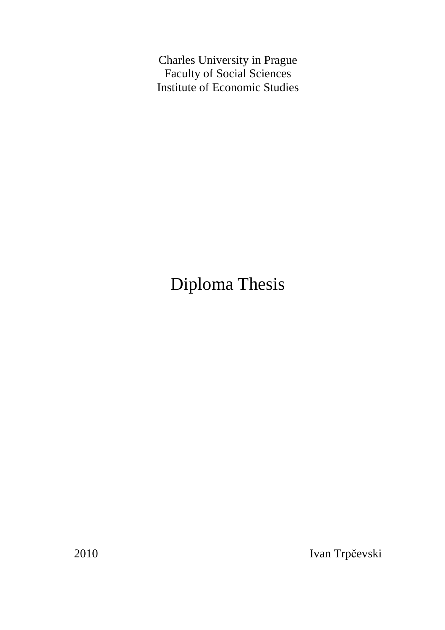Charles University in Prague Faculty of Social Sciences Institute of Economic Studies

# Diploma Thesis

2010 Ivan Trpčevski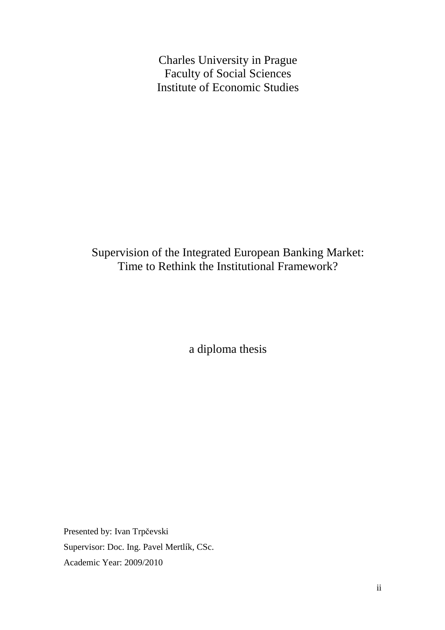Charles University in Prague Faculty of Social Sciences Institute of Economic Studies

## Supervision of the Integrated European Banking Market: Time to Rethink the Institutional Framework?

a diploma thesis

Presented by: Ivan Trpčevski Supervisor: Doc. Ing. Pavel Mertlík, CSc. Academic Year: 2009/2010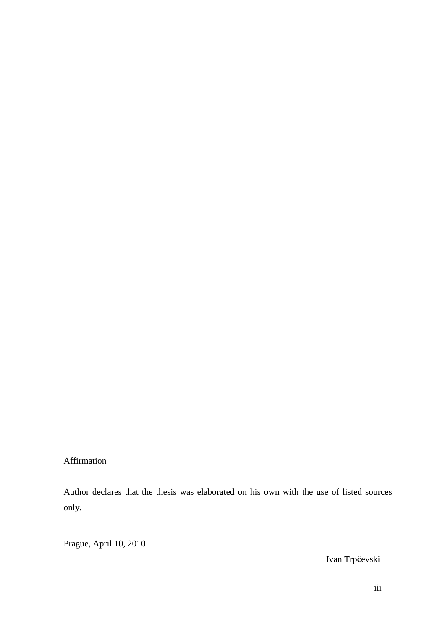Affirmation

Author declares that the thesis was elaborated on his own with the use of listed sources only.

Prague, April 10, 2010

Ivan Trpčevski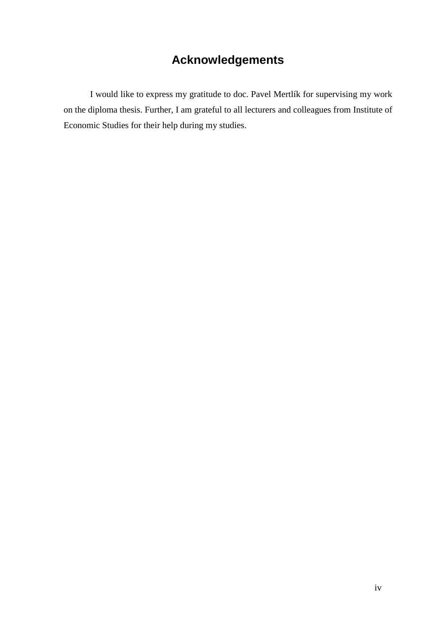## **Acknowledgements**

 I would like to express my gratitude to doc. Pavel Mertlík for supervising my work on the diploma thesis. Further, I am grateful to all lecturers and colleagues from Institute of Economic Studies for their help during my studies.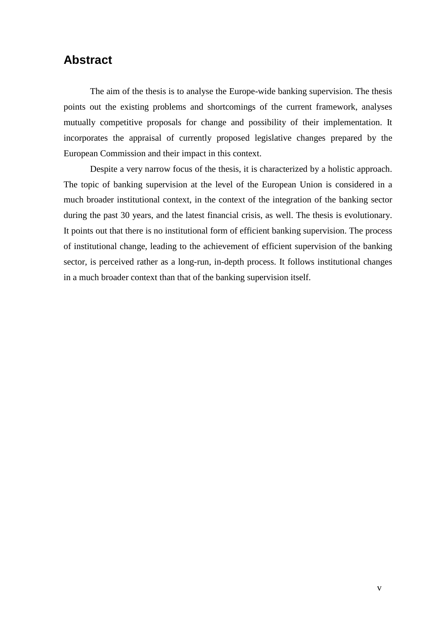## **Abstract**

The aim of the thesis is to analyse the Europe-wide banking supervision. The thesis points out the existing problems and shortcomings of the current framework, analyses mutually competitive proposals for change and possibility of their implementation. It incorporates the appraisal of currently proposed legislative changes prepared by the European Commission and their impact in this context.

 Despite a very narrow focus of the thesis, it is characterized by a holistic approach. The topic of banking supervision at the level of the European Union is considered in a much broader institutional context, in the context of the integration of the banking sector during the past 30 years, and the latest financial crisis, as well. The thesis is evolutionary. It points out that there is no institutional form of efficient banking supervision. The process of institutional change, leading to the achievement of efficient supervision of the banking sector, is perceived rather as a long-run, in-depth process. It follows institutional changes in a much broader context than that of the banking supervision itself.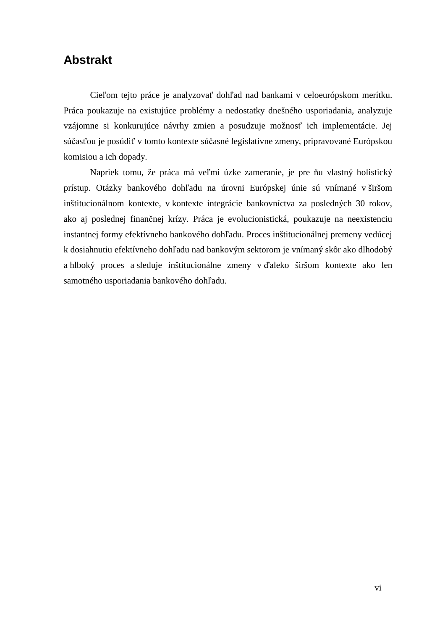## **Abstrakt**

 Cieľom tejto práce je analyzovať dohľad nad bankami v celoeurópskom merítku. Práca poukazuje na existujúce problémy a nedostatky dnešného usporiadania, analyzuje vzájomne si konkurujúce návrhy zmien a posudzuje možnosť ich implementácie. Jej súčasťou je posúdiť v tomto kontexte súčasné legislatívne zmeny, pripravované Európskou komisiou a ich dopady.

 Napriek tomu, že práca má veľmi úzke zameranie, je pre ňu vlastný holistický prístup. Otázky bankového dohľadu na úrovni Európskej únie sú vnímané v širšom inštitucionálnom kontexte, v kontexte integrácie bankovníctva za posledných 30 rokov, ako aj poslednej finančnej krízy. Práca je evolucionistická, poukazuje na neexistenciu instantnej formy efektívneho bankového dohľadu. Proces inštitucionálnej premeny vedúcej k dosiahnutiu efektívneho dohľadu nad bankovým sektorom je vnímaný skôr ako dlhodobý a hlboký proces a sleduje inštitucionálne zmeny v ďaleko širšom kontexte ako len samotného usporiadania bankového dohľadu.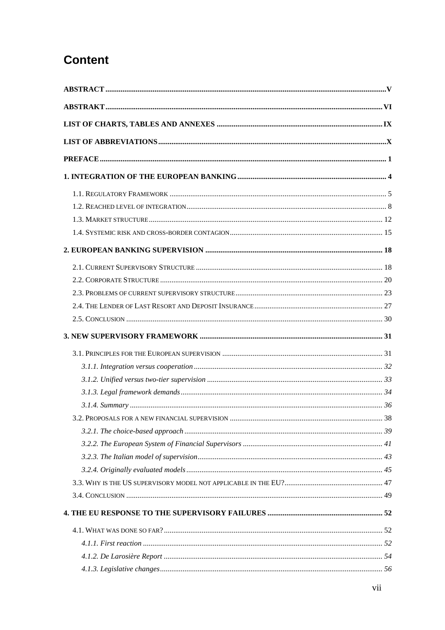## **Content**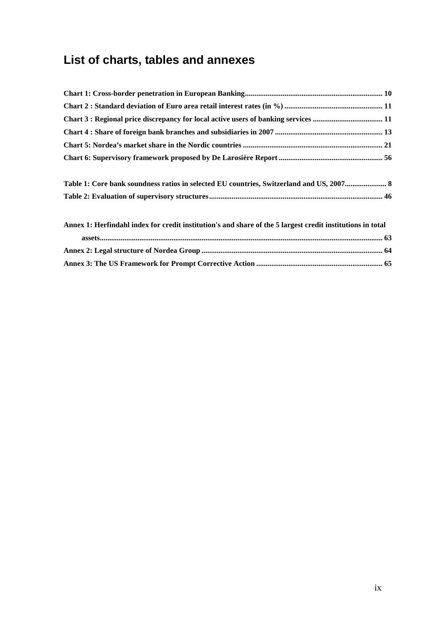## **List of charts, tables and annexes**

| Table 1: Core bank soundness ratios in selected EU countries, Switzerland and US, 2007 8                   |
|------------------------------------------------------------------------------------------------------------|
|                                                                                                            |
|                                                                                                            |
| Annex 1: Herfindahl index for credit institution's and share of the 5 largest credit institutions in total |
|                                                                                                            |
|                                                                                                            |
|                                                                                                            |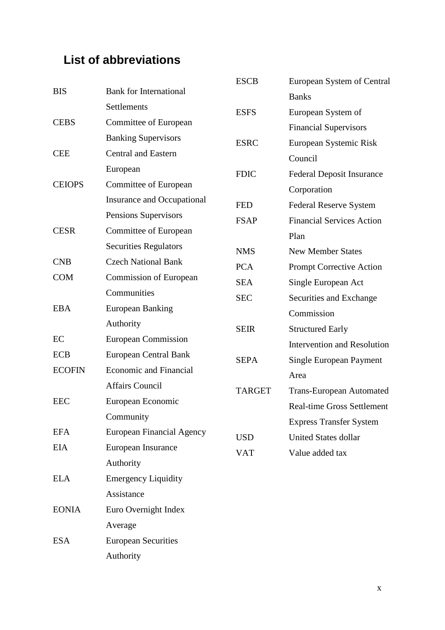## **List of abbreviations**

|               |                                   | <b>ESCB</b>   | European System of Central         |
|---------------|-----------------------------------|---------------|------------------------------------|
| <b>BIS</b>    | <b>Bank for International</b>     |               | <b>Banks</b>                       |
|               | Settlements                       | <b>ESFS</b>   | European System of                 |
| <b>CEBS</b>   | Committee of European             |               | <b>Financial Supervisors</b>       |
|               | <b>Banking Supervisors</b>        | <b>ESRC</b>   | European Systemic Risk             |
| <b>CEE</b>    | <b>Central and Eastern</b>        |               | Council                            |
|               | European                          | <b>FDIC</b>   | <b>Federal Deposit Insurance</b>   |
| <b>CEIOPS</b> | Committee of European             |               | Corporation                        |
|               | <b>Insurance and Occupational</b> | <b>FED</b>    | <b>Federal Reserve System</b>      |
|               | Pensions Supervisors              | <b>FSAP</b>   | <b>Financial Services Action</b>   |
| <b>CESR</b>   | Committee of European             |               | Plan                               |
|               | <b>Securities Regulators</b>      | <b>NMS</b>    | <b>New Member States</b>           |
| <b>CNB</b>    | <b>Czech National Bank</b>        | <b>PCA</b>    | Prompt Corrective Action           |
| <b>COM</b>    | Commission of European            | <b>SEA</b>    | Single European Act                |
|               | Communities                       | <b>SEC</b>    | Securities and Exchange            |
| <b>EBA</b>    | <b>European Banking</b>           |               | Commission                         |
|               | Authority                         | <b>SEIR</b>   | <b>Structured Early</b>            |
| EC            | <b>European Commission</b>        |               | <b>Intervention and Resolution</b> |
| <b>ECB</b>    | <b>European Central Bank</b>      | <b>SEPA</b>   | <b>Single European Payment</b>     |
| <b>ECOFIN</b> | <b>Economic and Financial</b>     |               | Area                               |
|               | <b>Affairs Council</b>            | <b>TARGET</b> | <b>Trans-European Automated</b>    |
| <b>EEC</b>    | European Economic                 |               | <b>Real-time Gross Settlement</b>  |
|               | Community                         |               | <b>Express Transfer System</b>     |
| <b>EFA</b>    | <b>European Financial Agency</b>  | <b>USD</b>    | <b>United States dollar</b>        |
| <b>EIA</b>    | European Insurance                | <b>VAT</b>    | Value added tax                    |
|               | Authority                         |               |                                    |
| <b>ELA</b>    | <b>Emergency Liquidity</b>        |               |                                    |
|               | Assistance                        |               |                                    |
| <b>EONIA</b>  | Euro Overnight Index              |               |                                    |
|               | Average                           |               |                                    |
| <b>ESA</b>    | <b>European Securities</b>        |               |                                    |
|               | Authority                         |               |                                    |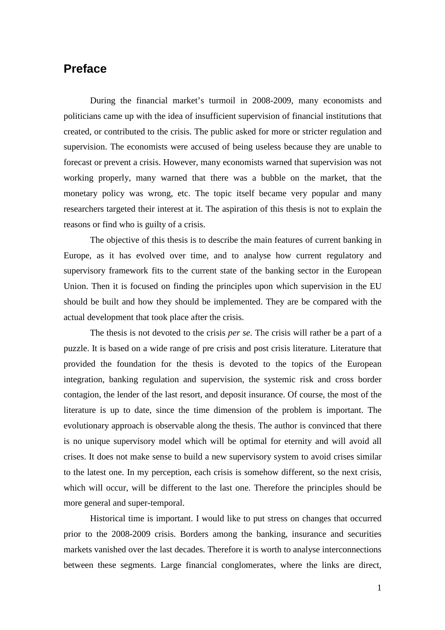## **Preface**

 During the financial market's turmoil in 2008-2009, many economists and politicians came up with the idea of insufficient supervision of financial institutions that created, or contributed to the crisis. The public asked for more or stricter regulation and supervision. The economists were accused of being useless because they are unable to forecast or prevent a crisis. However, many economists warned that supervision was not working properly, many warned that there was a bubble on the market, that the monetary policy was wrong, etc. The topic itself became very popular and many researchers targeted their interest at it. The aspiration of this thesis is not to explain the reasons or find who is guilty of a crisis.

 The objective of this thesis is to describe the main features of current banking in Europe, as it has evolved over time, and to analyse how current regulatory and supervisory framework fits to the current state of the banking sector in the European Union. Then it is focused on finding the principles upon which supervision in the EU should be built and how they should be implemented. They are be compared with the actual development that took place after the crisis.

 The thesis is not devoted to the crisis *per se*. The crisis will rather be a part of a puzzle. It is based on a wide range of pre crisis and post crisis literature. Literature that provided the foundation for the thesis is devoted to the topics of the European integration, banking regulation and supervision, the systemic risk and cross border contagion, the lender of the last resort, and deposit insurance. Of course, the most of the literature is up to date, since the time dimension of the problem is important. The evolutionary approach is observable along the thesis. The author is convinced that there is no unique supervisory model which will be optimal for eternity and will avoid all crises. It does not make sense to build a new supervisory system to avoid crises similar to the latest one. In my perception, each crisis is somehow different, so the next crisis, which will occur, will be different to the last one. Therefore the principles should be more general and super-temporal.

 Historical time is important. I would like to put stress on changes that occurred prior to the 2008-2009 crisis. Borders among the banking, insurance and securities markets vanished over the last decades. Therefore it is worth to analyse interconnections between these segments. Large financial conglomerates, where the links are direct,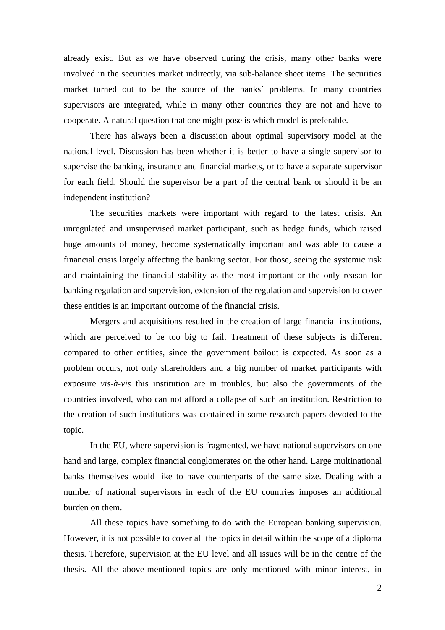already exist. But as we have observed during the crisis, many other banks were involved in the securities market indirectly, via sub-balance sheet items. The securities market turned out to be the source of the banks´ problems. In many countries supervisors are integrated, while in many other countries they are not and have to cooperate. A natural question that one might pose is which model is preferable.

 There has always been a discussion about optimal supervisory model at the national level. Discussion has been whether it is better to have a single supervisor to supervise the banking, insurance and financial markets, or to have a separate supervisor for each field. Should the supervisor be a part of the central bank or should it be an independent institution?

 The securities markets were important with regard to the latest crisis. An unregulated and unsupervised market participant, such as hedge funds, which raised huge amounts of money, become systematically important and was able to cause a financial crisis largely affecting the banking sector. For those, seeing the systemic risk and maintaining the financial stability as the most important or the only reason for banking regulation and supervision, extension of the regulation and supervision to cover these entities is an important outcome of the financial crisis.

 Mergers and acquisitions resulted in the creation of large financial institutions, which are perceived to be too big to fail. Treatment of these subjects is different compared to other entities, since the government bailout is expected. As soon as a problem occurs, not only shareholders and a big number of market participants with exposure *vis-à-vis* this institution are in troubles, but also the governments of the countries involved, who can not afford a collapse of such an institution. Restriction to the creation of such institutions was contained in some research papers devoted to the topic.

 In the EU, where supervision is fragmented, we have national supervisors on one hand and large, complex financial conglomerates on the other hand. Large multinational banks themselves would like to have counterparts of the same size. Dealing with a number of national supervisors in each of the EU countries imposes an additional burden on them.

 All these topics have something to do with the European banking supervision. However, it is not possible to cover all the topics in detail within the scope of a diploma thesis. Therefore, supervision at the EU level and all issues will be in the centre of the thesis. All the above-mentioned topics are only mentioned with minor interest, in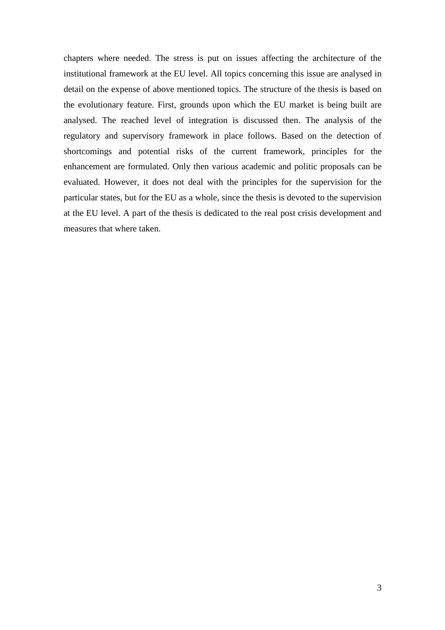chapters where needed. The stress is put on issues affecting the architecture of the institutional framework at the EU level. All topics concerning this issue are analysed in detail on the expense of above mentioned topics. The structure of the thesis is based on the evolutionary feature. First, grounds upon which the EU market is being built are analysed. The reached level of integration is discussed then. The analysis of the regulatory and supervisory framework in place follows. Based on the detection of shortcomings and potential risks of the current framework, principles for the enhancement are formulated. Only then various academic and politic proposals can be evaluated. However, it does not deal with the principles for the supervision for the particular states, but for the EU as a whole, since the thesis is devoted to the supervision at the EU level. A part of the thesis is dedicated to the real post crisis development and measures that where taken.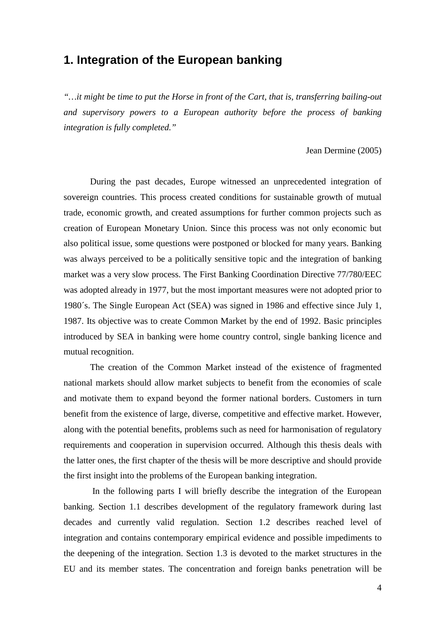## **1. Integration of the European banking**

*"…it might be time to put the Horse in front of the Cart, that is, transferring bailing-out and supervisory powers to a European authority before the process of banking integration is fully completed."* 

#### Jean Dermine (2005)

During the past decades, Europe witnessed an unprecedented integration of sovereign countries. This process created conditions for sustainable growth of mutual trade, economic growth, and created assumptions for further common projects such as creation of European Monetary Union. Since this process was not only economic but also political issue, some questions were postponed or blocked for many years. Banking was always perceived to be a politically sensitive topic and the integration of banking market was a very slow process. The First Banking Coordination Directive 77/780/EEC was adopted already in 1977, but the most important measures were not adopted prior to 1980´s. The Single European Act (SEA) was signed in 1986 and effective since July 1, 1987. Its objective was to create Common Market by the end of 1992. Basic principles introduced by SEA in banking were home country control, single banking licence and mutual recognition.

The creation of the Common Market instead of the existence of fragmented national markets should allow market subjects to benefit from the economies of scale and motivate them to expand beyond the former national borders. Customers in turn benefit from the existence of large, diverse, competitive and effective market. However, along with the potential benefits, problems such as need for harmonisation of regulatory requirements and cooperation in supervision occurred. Although this thesis deals with the latter ones, the first chapter of the thesis will be more descriptive and should provide the first insight into the problems of the European banking integration.

 In the following parts I will briefly describe the integration of the European banking. Section 1.1 describes development of the regulatory framework during last decades and currently valid regulation. Section 1.2 describes reached level of integration and contains contemporary empirical evidence and possible impediments to the deepening of the integration. Section 1.3 is devoted to the market structures in the EU and its member states. The concentration and foreign banks penetration will be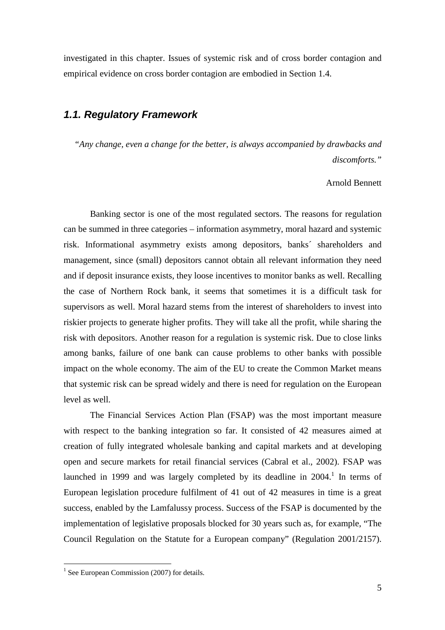investigated in this chapter. Issues of systemic risk and of cross border contagion and empirical evidence on cross border contagion are embodied in Section 1.4.

## **1.1. Regulatory Framework**

*"Any change, even a change for the better, is always accompanied by drawbacks and discomforts."* 

Arnold Bennett

Banking sector is one of the most regulated sectors. The reasons for regulation can be summed in three categories – information asymmetry, moral hazard and systemic risk. Informational asymmetry exists among depositors, banks´ shareholders and management, since (small) depositors cannot obtain all relevant information they need and if deposit insurance exists, they loose incentives to monitor banks as well. Recalling the case of Northern Rock bank, it seems that sometimes it is a difficult task for supervisors as well. Moral hazard stems from the interest of shareholders to invest into riskier projects to generate higher profits. They will take all the profit, while sharing the risk with depositors. Another reason for a regulation is systemic risk. Due to close links among banks, failure of one bank can cause problems to other banks with possible impact on the whole economy. The aim of the EU to create the Common Market means that systemic risk can be spread widely and there is need for regulation on the European level as well.

The Financial Services Action Plan (FSAP) was the most important measure with respect to the banking integration so far. It consisted of 42 measures aimed at creation of fully integrated wholesale banking and capital markets and at developing open and secure markets for retail financial services (Cabral et al., 2002). FSAP was launched in 1999 and was largely completed by its deadline in  $2004$ .<sup>1</sup> In terms of European legislation procedure fulfilment of 41 out of 42 measures in time is a great success, enabled by the Lamfalussy process. Success of the FSAP is documented by the implementation of legislative proposals blocked for 30 years such as, for example, "The Council Regulation on the Statute for a European company" (Regulation 2001/2157).

<sup>&</sup>lt;sup>1</sup> See European Commission (2007) for details.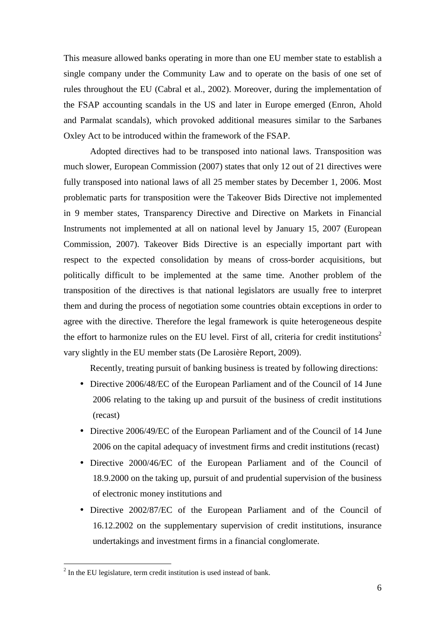This measure allowed banks operating in more than one EU member state to establish a single company under the Community Law and to operate on the basis of one set of rules throughout the EU (Cabral et al., 2002). Moreover, during the implementation of the FSAP accounting scandals in the US and later in Europe emerged (Enron, Ahold and Parmalat scandals), which provoked additional measures similar to the Sarbanes Oxley Act to be introduced within the framework of the FSAP.

Adopted directives had to be transposed into national laws. Transposition was much slower, European Commission (2007) states that only 12 out of 21 directives were fully transposed into national laws of all 25 member states by December 1, 2006. Most problematic parts for transposition were the Takeover Bids Directive not implemented in 9 member states, Transparency Directive and Directive on Markets in Financial Instruments not implemented at all on national level by January 15, 2007 (European Commission, 2007). Takeover Bids Directive is an especially important part with respect to the expected consolidation by means of cross-border acquisitions, but politically difficult to be implemented at the same time. Another problem of the transposition of the directives is that national legislators are usually free to interpret them and during the process of negotiation some countries obtain exceptions in order to agree with the directive. Therefore the legal framework is quite heterogeneous despite the effort to harmonize rules on the EU level. First of all, criteria for credit institutions<sup>2</sup> vary slightly in the EU member stats (De Larosière Report, 2009).

Recently, treating pursuit of banking business is treated by following directions:

- Directive 2006/48/EC of the European Parliament and of the Council of 14 June 2006 relating to the taking up and pursuit of the business of credit institutions (recast)
- Directive 2006/49/EC of the European Parliament and of the Council of 14 June 2006 on the capital adequacy of investment firms and credit institutions (recast)
- Directive 2000/46/EC of the European Parliament and of the Council of 18.9.2000 on the taking up, pursuit of and prudential supervision of the business of electronic money institutions and
- Directive 2002/87/EC of the European Parliament and of the Council of 16.12.2002 on the supplementary supervision of credit institutions, insurance undertakings and investment firms in a financial conglomerate.

 $2$  In the EU legislature, term credit institution is used instead of bank.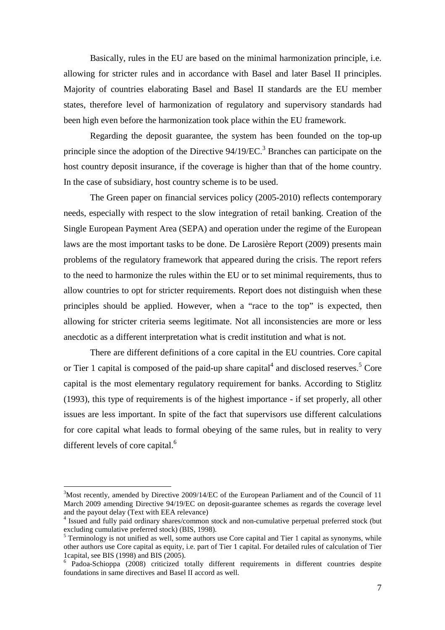Basically, rules in the EU are based on the minimal harmonization principle, i.e. allowing for stricter rules and in accordance with Basel and later Basel II principles. Majority of countries elaborating Basel and Basel II standards are the EU member states, therefore level of harmonization of regulatory and supervisory standards had been high even before the harmonization took place within the EU framework.

Regarding the deposit guarantee, the system has been founded on the top-up principle since the adoption of the Directive  $94/19/EC$ <sup>3</sup> Branches can participate on the host country deposit insurance, if the coverage is higher than that of the home country. In the case of subsidiary, host country scheme is to be used.

The Green paper on financial services policy (2005-2010) reflects contemporary needs, especially with respect to the slow integration of retail banking. Creation of the Single European Payment Area (SEPA) and operation under the regime of the European laws are the most important tasks to be done. De Larosière Report (2009) presents main problems of the regulatory framework that appeared during the crisis. The report refers to the need to harmonize the rules within the EU or to set minimal requirements, thus to allow countries to opt for stricter requirements. Report does not distinguish when these principles should be applied. However, when a "race to the top" is expected, then allowing for stricter criteria seems legitimate. Not all inconsistencies are more or less anecdotic as a different interpretation what is credit institution and what is not.

There are different definitions of a core capital in the EU countries. Core capital or Tier 1 capital is composed of the paid-up share capital<sup>4</sup> and disclosed reserves.<sup>5</sup> Core capital is the most elementary regulatory requirement for banks. According to Stiglitz (1993), this type of requirements is of the highest importance - if set properly, all other issues are less important. In spite of the fact that supervisors use different calculations for core capital what leads to formal obeying of the same rules, but in reality to very different levels of core capital.<sup>6</sup>

 $3$ Most recently, amended by Directive 2009/14/EC of the European Parliament and of the Council of 11 March 2009 amending Directive 94/19/EC on deposit-guarantee schemes as regards the coverage level and the payout delay (Text with EEA relevance)

<sup>&</sup>lt;sup>4</sup> Issued and fully paid ordinary shares/common stock and non-cumulative perpetual preferred stock (but excluding cumulative preferred stock) (BIS, 1998).

 $5$  Terminology is not unified as well, some authors use Core capital and Tier 1 capital as synonyms, while other authors use Core capital as equity, i.e. part of Tier 1 capital. For detailed rules of calculation of Tier 1capital, see BIS (1998) and BIS (2005).

<sup>&</sup>lt;sup>6</sup> Padoa-Schioppa (2008) criticized totally different requirements in different countries despite foundations in same directives and Basel II accord as well.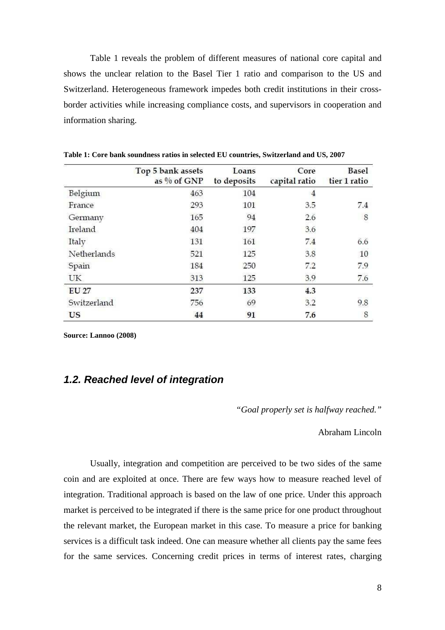Table 1 reveals the problem of different measures of national core capital and shows the unclear relation to the Basel Tier 1 ratio and comparison to the US and Switzerland. Heterogeneous framework impedes both credit institutions in their crossborder activities while increasing compliance costs, and supervisors in cooperation and information sharing.

|              | Top 5 bank assets<br>as $%$ of GNP | Loans<br>to deposits | Core<br>capital ratio | <b>Basel</b><br>tier 1 ratio |
|--------------|------------------------------------|----------------------|-----------------------|------------------------------|
| Belgium      | 463                                | 104                  | $\overline{4}$        |                              |
| France       | 293                                | 101                  | 3.5                   | 7.4                          |
| Germany      | 165                                | 94                   | 2.6                   | $\boldsymbol{8}$             |
| Ireland      | 404                                | 197                  | 3.6                   |                              |
| Italy        | 131                                | 161                  | 7.4                   | 6.6                          |
| Netherlands  | 521                                | 125                  | 3.8                   | 10                           |
| Spain        | 184                                | 250                  | 7.2                   | 7.9                          |
| UK           | 313                                | 125                  | 3.9                   | 7.6                          |
| <b>EU 27</b> | 237                                | 133                  | 4.3                   |                              |
| Switzerland  | 756                                | 69                   | 3.2                   | 9.8                          |
| <b>US</b>    | 44                                 | 91                   | 7.6                   | 8                            |

**Table 1: Core bank soundness ratios in selected EU countries, Switzerland and US, 2007** 

**Source: Lannoo (2008)** 

### **1.2. Reached level of integration**

*"Goal properly set is halfway reached."* 

Abraham Lincoln

Usually, integration and competition are perceived to be two sides of the same coin and are exploited at once. There are few ways how to measure reached level of integration. Traditional approach is based on the law of one price. Under this approach market is perceived to be integrated if there is the same price for one product throughout the relevant market, the European market in this case. To measure a price for banking services is a difficult task indeed. One can measure whether all clients pay the same fees for the same services. Concerning credit prices in terms of interest rates, charging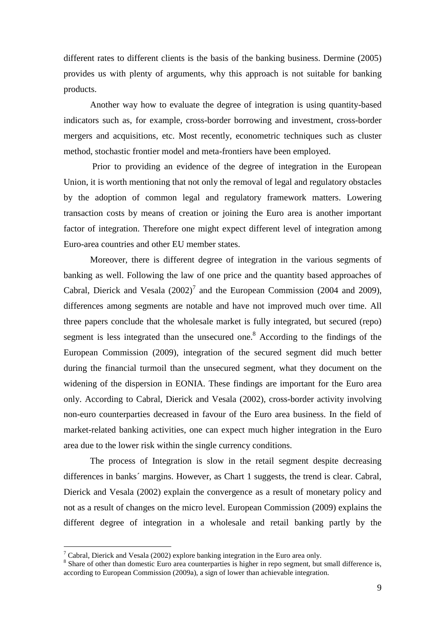different rates to different clients is the basis of the banking business. Dermine (2005) provides us with plenty of arguments, why this approach is not suitable for banking products.

Another way how to evaluate the degree of integration is using quantity-based indicators such as, for example, cross-border borrowing and investment, cross-border mergers and acquisitions, etc. Most recently, econometric techniques such as cluster method, stochastic frontier model and meta-frontiers have been employed.

 Prior to providing an evidence of the degree of integration in the European Union, it is worth mentioning that not only the removal of legal and regulatory obstacles by the adoption of common legal and regulatory framework matters. Lowering transaction costs by means of creation or joining the Euro area is another important factor of integration. Therefore one might expect different level of integration among Euro-area countries and other EU member states.

Moreover, there is different degree of integration in the various segments of banking as well. Following the law of one price and the quantity based approaches of Cabral, Dierick and Vesala  $(2002)^7$  and the European Commission (2004 and 2009), differences among segments are notable and have not improved much over time. All three papers conclude that the wholesale market is fully integrated, but secured (repo) segment is less integrated than the unsecured one.<sup>8</sup> According to the findings of the European Commission (2009), integration of the secured segment did much better during the financial turmoil than the unsecured segment, what they document on the widening of the dispersion in EONIA. These findings are important for the Euro area only. According to Cabral, Dierick and Vesala (2002), cross-border activity involving non-euro counterparties decreased in favour of the Euro area business. In the field of market-related banking activities, one can expect much higher integration in the Euro area due to the lower risk within the single currency conditions.

The process of Integration is slow in the retail segment despite decreasing differences in banks´ margins. However, as Chart 1 suggests, the trend is clear. Cabral, Dierick and Vesala (2002) explain the convergence as a result of monetary policy and not as a result of changes on the micro level. European Commission (2009) explains the different degree of integration in a wholesale and retail banking partly by the

<sup>&</sup>lt;sup>7</sup> Cabral, Dierick and Vesala (2002) explore banking integration in the Euro area only.

<sup>&</sup>lt;sup>8</sup> Share of other than domestic Euro area counterparties is higher in repo segment, but small difference is, according to European Commission (2009a), a sign of lower than achievable integration.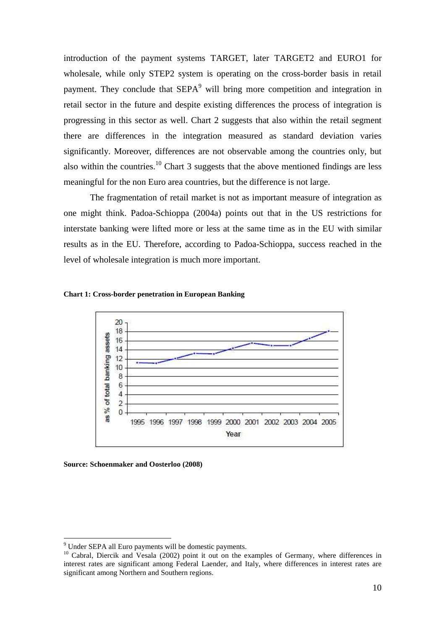introduction of the payment systems TARGET, later TARGET2 and EURO1 for wholesale, while only STEP2 system is operating on the cross-border basis in retail payment. They conclude that  $SEPA<sup>9</sup>$  will bring more competition and integration in retail sector in the future and despite existing differences the process of integration is progressing in this sector as well. Chart 2 suggests that also within the retail segment there are differences in the integration measured as standard deviation varies significantly. Moreover, differences are not observable among the countries only, but also within the countries.<sup>10</sup> Chart 3 suggests that the above mentioned findings are less meaningful for the non Euro area countries, but the difference is not large.

The fragmentation of retail market is not as important measure of integration as one might think. Padoa-Schioppa (2004a) points out that in the US restrictions for interstate banking were lifted more or less at the same time as in the EU with similar results as in the EU. Therefore, according to Padoa-Schioppa, success reached in the level of wholesale integration is much more important.

#### **Chart 1: Cross-border penetration in European Banking**



**Source: Schoenmaker and Oosterloo (2008)** 

<sup>&</sup>lt;sup>9</sup> Under SEPA all Euro payments will be domestic payments.

<sup>&</sup>lt;sup>10</sup> Cabral, Diercik and Vesala (2002) point it out on the examples of Germany, where differences in interest rates are significant among Federal Laender, and Italy, where differences in interest rates are significant among Northern and Southern regions.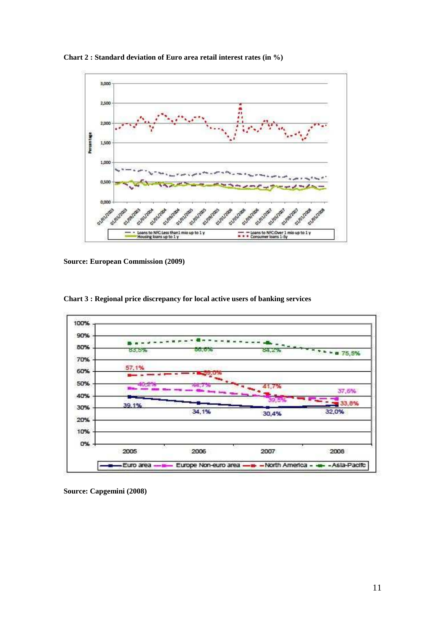**Chart 2 : Standard deviation of Euro area retail interest rates (in %)** 



**Source: European Commission (2009)** 



**Chart 3 : Regional price discrepancy for local active users of banking services** 

**Source: Capgemini (2008)**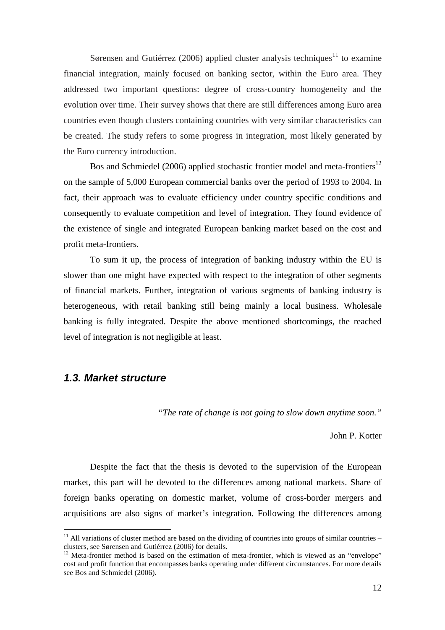Sørensen and Gutiérrez (2006) applied cluster analysis techniques<sup>11</sup> to examine financial integration, mainly focused on banking sector, within the Euro area. They addressed two important questions: degree of cross-country homogeneity and the evolution over time. Their survey shows that there are still differences among Euro area countries even though clusters containing countries with very similar characteristics can be created. The study refers to some progress in integration, most likely generated by the Euro currency introduction.

Bos and Schmiedel (2006) applied stochastic frontier model and meta-frontiers<sup>12</sup> on the sample of 5,000 European commercial banks over the period of 1993 to 2004. In fact, their approach was to evaluate efficiency under country specific conditions and consequently to evaluate competition and level of integration. They found evidence of the existence of single and integrated European banking market based on the cost and profit meta-frontiers.

To sum it up, the process of integration of banking industry within the EU is slower than one might have expected with respect to the integration of other segments of financial markets. Further, integration of various segments of banking industry is heterogeneous, with retail banking still being mainly a local business. Wholesale banking is fully integrated. Despite the above mentioned shortcomings, the reached level of integration is not negligible at least.

### **1.3. Market structure**

 $\overline{a}$ 

*"The rate of change is not going to slow down anytime soon."* 

John P. Kotter

 Despite the fact that the thesis is devoted to the supervision of the European market, this part will be devoted to the differences among national markets. Share of foreign banks operating on domestic market, volume of cross-border mergers and acquisitions are also signs of market's integration. Following the differences among

 $11$  All variations of cluster method are based on the dividing of countries into groups of similar countries – clusters, see Sørensen and Gutiérrez (2006) for details.

 $12$  Meta-frontier method is based on the estimation of meta-frontier, which is viewed as an "envelope" cost and profit function that encompasses banks operating under different circumstances. For more details see Bos and Schmiedel (2006).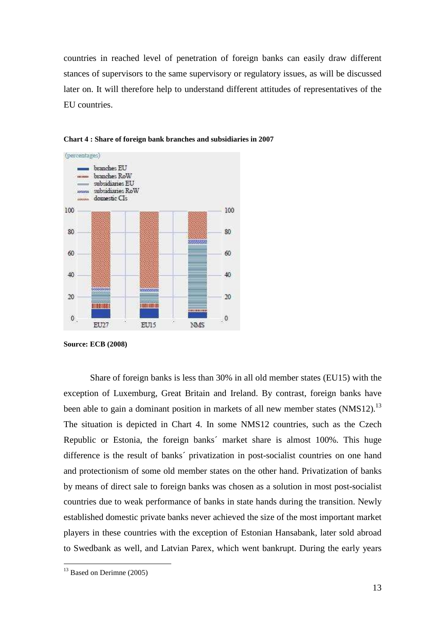countries in reached level of penetration of foreign banks can easily draw different stances of supervisors to the same supervisory or regulatory issues, as will be discussed later on. It will therefore help to understand different attitudes of representatives of the EU countries.



**Chart 4 : Share of foreign bank branches and subsidiaries in 2007** 

**Source: ECB (2008)** 

Share of foreign banks is less than 30% in all old member states (EU15) with the exception of Luxemburg, Great Britain and Ireland. By contrast, foreign banks have been able to gain a dominant position in markets of all new member states (NMS12).<sup>13</sup> The situation is depicted in Chart 4. In some NMS12 countries, such as the Czech Republic or Estonia, the foreign banks´ market share is almost 100%. This huge difference is the result of banks´ privatization in post-socialist countries on one hand and protectionism of some old member states on the other hand. Privatization of banks by means of direct sale to foreign banks was chosen as a solution in most post-socialist countries due to weak performance of banks in state hands during the transition. Newly established domestic private banks never achieved the size of the most important market players in these countries with the exception of Estonian Hansabank, later sold abroad to Swedbank as well, and Latvian Parex, which went bankrupt. During the early years

 $13$  Based on Derimne (2005)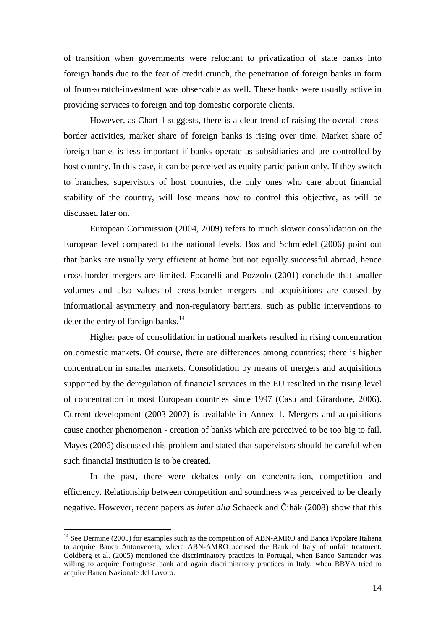of transition when governments were reluctant to privatization of state banks into foreign hands due to the fear of credit crunch, the penetration of foreign banks in form of from-scratch-investment was observable as well. These banks were usually active in providing services to foreign and top domestic corporate clients.

However, as Chart 1 suggests, there is a clear trend of raising the overall crossborder activities, market share of foreign banks is rising over time. Market share of foreign banks is less important if banks operate as subsidiaries and are controlled by host country. In this case, it can be perceived as equity participation only. If they switch to branches, supervisors of host countries, the only ones who care about financial stability of the country, will lose means how to control this objective, as will be discussed later on.

European Commission (2004, 2009) refers to much slower consolidation on the European level compared to the national levels. Bos and Schmiedel (2006) point out that banks are usually very efficient at home but not equally successful abroad, hence cross-border mergers are limited. Focarelli and Pozzolo (2001) conclude that smaller volumes and also values of cross-border mergers and acquisitions are caused by informational asymmetry and non-regulatory barriers, such as public interventions to deter the entry of foreign banks.<sup>14</sup>

 Higher pace of consolidation in national markets resulted in rising concentration on domestic markets. Of course, there are differences among countries; there is higher concentration in smaller markets. Consolidation by means of mergers and acquisitions supported by the deregulation of financial services in the EU resulted in the rising level of concentration in most European countries since 1997 (Casu and Girardone, 2006). Current development (2003-2007) is available in Annex 1. Mergers and acquisitions cause another phenomenon - creation of banks which are perceived to be too big to fail. Mayes (2006) discussed this problem and stated that supervisors should be careful when such financial institution is to be created.

 In the past, there were debates only on concentration, competition and efficiency. Relationship between competition and soundness was perceived to be clearly negative. However, recent papers as *inter alia* Schaeck and Čihák (2008) show that this

<sup>&</sup>lt;sup>14</sup> See Dermine (2005) for examples such as the competition of ABN-AMRO and Banca Popolare Italiana to acquire Banca Antonveneta, where ABN-AMRO accused the Bank of Italy of unfair treatment. Goldberg et al. (2005) mentioned the discriminatory practices in Portugal, when Banco Santander was willing to acquire Portuguese bank and again discriminatory practices in Italy, when BBVA tried to acquire Banco Nazionale del Lavoro.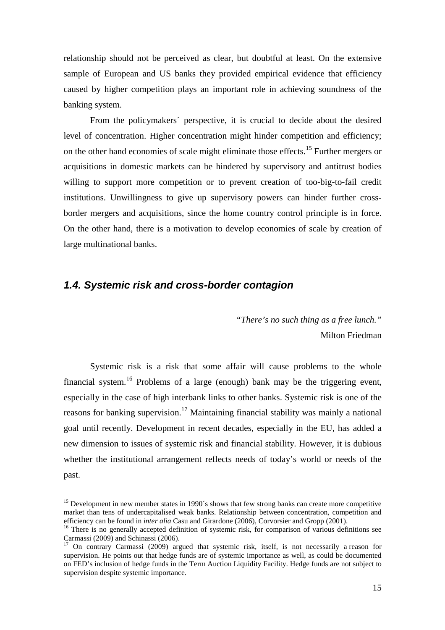relationship should not be perceived as clear, but doubtful at least. On the extensive sample of European and US banks they provided empirical evidence that efficiency caused by higher competition plays an important role in achieving soundness of the banking system.

From the policymakers´ perspective, it is crucial to decide about the desired level of concentration. Higher concentration might hinder competition and efficiency; on the other hand economies of scale might eliminate those effects.<sup>15</sup> Further mergers or acquisitions in domestic markets can be hindered by supervisory and antitrust bodies willing to support more competition or to prevent creation of too-big-to-fail credit institutions. Unwillingness to give up supervisory powers can hinder further crossborder mergers and acquisitions, since the home country control principle is in force. On the other hand, there is a motivation to develop economies of scale by creation of large multinational banks.

### **1.4. Systemic risk and cross-border contagion**

 $\overline{a}$ 

*"There's no such thing as a free lunch."*  Milton Friedman

 Systemic risk is a risk that some affair will cause problems to the whole financial system.<sup>16</sup> Problems of a large (enough) bank may be the triggering event, especially in the case of high interbank links to other banks. Systemic risk is one of the reasons for banking supervision.<sup>17</sup> Maintaining financial stability was mainly a national goal until recently. Development in recent decades, especially in the EU, has added a new dimension to issues of systemic risk and financial stability. However, it is dubious whether the institutional arrangement reflects needs of today's world or needs of the past.

<sup>&</sup>lt;sup>15</sup> Development in new member states in 1990's shows that few strong banks can create more competitive market than tens of undercapitalised weak banks. Relationship between concentration, competition and efficiency can be found in *inter alia* Casu and Girardone (2006), Corvorsier and Gropp (2001).

<sup>&</sup>lt;sup>16</sup> There is no generally accepted definition of systemic risk, for comparison of various definitions see Carmassi (2009) and Schinassi (2006).

<sup>17</sup> On contrary Carmassi (2009) argued that systemic risk, itself, is not necessarily a reason for supervision. He points out that hedge funds are of systemic importance as well, as could be documented on FED's inclusion of hedge funds in the Term Auction Liquidity Facility. Hedge funds are not subject to supervision despite systemic importance.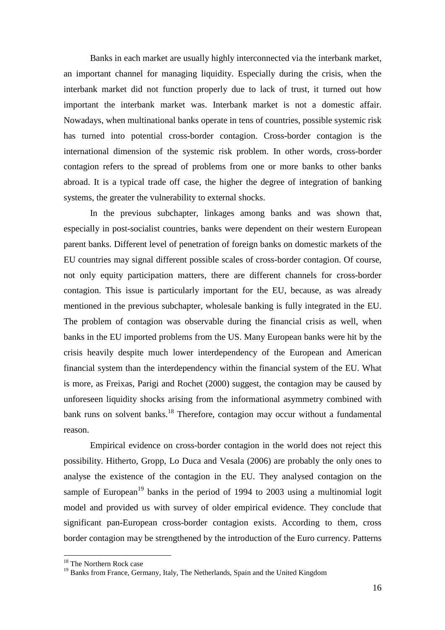Banks in each market are usually highly interconnected via the interbank market, an important channel for managing liquidity. Especially during the crisis, when the interbank market did not function properly due to lack of trust, it turned out how important the interbank market was. Interbank market is not a domestic affair. Nowadays, when multinational banks operate in tens of countries, possible systemic risk has turned into potential cross-border contagion. Cross-border contagion is the international dimension of the systemic risk problem. In other words, cross-border contagion refers to the spread of problems from one or more banks to other banks abroad. It is a typical trade off case, the higher the degree of integration of banking systems, the greater the vulnerability to external shocks.

In the previous subchapter, linkages among banks and was shown that, especially in post-socialist countries, banks were dependent on their western European parent banks. Different level of penetration of foreign banks on domestic markets of the EU countries may signal different possible scales of cross-border contagion. Of course, not only equity participation matters, there are different channels for cross-border contagion. This issue is particularly important for the EU, because, as was already mentioned in the previous subchapter, wholesale banking is fully integrated in the EU. The problem of contagion was observable during the financial crisis as well, when banks in the EU imported problems from the US. Many European banks were hit by the crisis heavily despite much lower interdependency of the European and American financial system than the interdependency within the financial system of the EU. What is more, as Freixas, Parigi and Rochet (2000) suggest, the contagion may be caused by unforeseen liquidity shocks arising from the informational asymmetry combined with bank runs on solvent banks.<sup>18</sup> Therefore, contagion may occur without a fundamental reason.

 Empirical evidence on cross-border contagion in the world does not reject this possibility. Hitherto, Gropp, Lo Duca and Vesala (2006) are probably the only ones to analyse the existence of the contagion in the EU. They analysed contagion on the sample of European<sup>19</sup> banks in the period of 1994 to 2003 using a multinomial logit model and provided us with survey of older empirical evidence. They conclude that significant pan-European cross-border contagion exists. According to them, cross border contagion may be strengthened by the introduction of the Euro currency. Patterns

<sup>&</sup>lt;sup>18</sup> The Northern Rock case

<sup>&</sup>lt;sup>19</sup> Banks from France, Germany, Italy, The Netherlands, Spain and the United Kingdom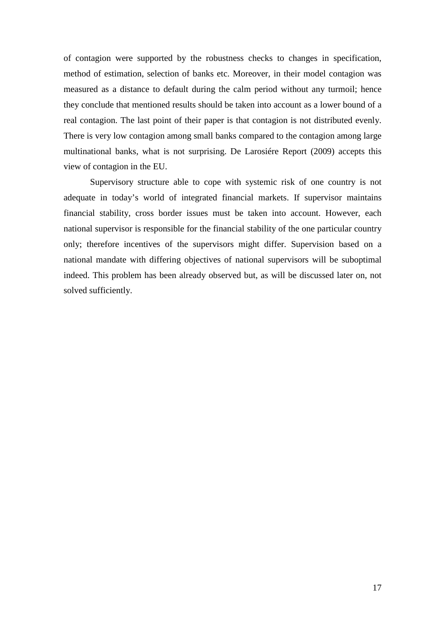of contagion were supported by the robustness checks to changes in specification, method of estimation, selection of banks etc. Moreover, in their model contagion was measured as a distance to default during the calm period without any turmoil; hence they conclude that mentioned results should be taken into account as a lower bound of a real contagion. The last point of their paper is that contagion is not distributed evenly. There is very low contagion among small banks compared to the contagion among large multinational banks, what is not surprising. De Larosiére Report (2009) accepts this view of contagion in the EU.

 Supervisory structure able to cope with systemic risk of one country is not adequate in today's world of integrated financial markets. If supervisor maintains financial stability, cross border issues must be taken into account. However, each national supervisor is responsible for the financial stability of the one particular country only; therefore incentives of the supervisors might differ. Supervision based on a national mandate with differing objectives of national supervisors will be suboptimal indeed. This problem has been already observed but, as will be discussed later on, not solved sufficiently.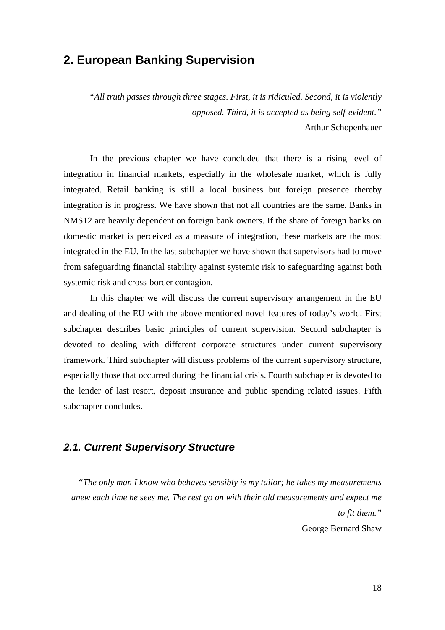## **2. European Banking Supervision**

*"All truth passes through three stages. First, it is ridiculed. Second, it is violently opposed. Third, it is accepted as being self-evident."*  Arthur Schopenhauer

In the previous chapter we have concluded that there is a rising level of integration in financial markets, especially in the wholesale market, which is fully integrated. Retail banking is still a local business but foreign presence thereby integration is in progress. We have shown that not all countries are the same. Banks in NMS12 are heavily dependent on foreign bank owners. If the share of foreign banks on domestic market is perceived as a measure of integration, these markets are the most integrated in the EU. In the last subchapter we have shown that supervisors had to move from safeguarding financial stability against systemic risk to safeguarding against both systemic risk and cross-border contagion.

In this chapter we will discuss the current supervisory arrangement in the EU and dealing of the EU with the above mentioned novel features of today's world. First subchapter describes basic principles of current supervision. Second subchapter is devoted to dealing with different corporate structures under current supervisory framework. Third subchapter will discuss problems of the current supervisory structure, especially those that occurred during the financial crisis. Fourth subchapter is devoted to the lender of last resort, deposit insurance and public spending related issues. Fifth subchapter concludes.

## **2.1. Current Supervisory Structure**

*"The only man I know who behaves sensibly is my tailor; he takes my measurements anew each time he sees me. The rest go on with their old measurements and expect me to fit them."*  George Bernard Shaw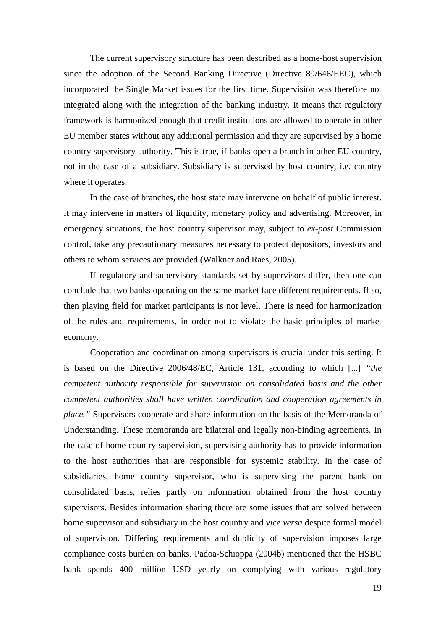The current supervisory structure has been described as a home-host supervision since the adoption of the Second Banking Directive (Directive 89/646/EEC), which incorporated the Single Market issues for the first time. Supervision was therefore not integrated along with the integration of the banking industry. It means that regulatory framework is harmonized enough that credit institutions are allowed to operate in other EU member states without any additional permission and they are supervised by a home country supervisory authority. This is true, if banks open a branch in other EU country, not in the case of a subsidiary. Subsidiary is supervised by host country, i.e. country where it operates.

In the case of branches, the host state may intervene on behalf of public interest. It may intervene in matters of liquidity, monetary policy and advertising. Moreover, in emergency situations, the host country supervisor may, subject to *ex-post* Commission control, take any precautionary measures necessary to protect depositors, investors and others to whom services are provided (Walkner and Raes, 2005).

If regulatory and supervisory standards set by supervisors differ, then one can conclude that two banks operating on the same market face different requirements. If so, then playing field for market participants is not level. There is need for harmonization of the rules and requirements, in order not to violate the basic principles of market economy.

Cooperation and coordination among supervisors is crucial under this setting. It is based on the Directive 2006/48/EC, Article 131, according to which [...] *"the competent authority responsible for supervision on consolidated basis and the other competent authorities shall have written coordination and cooperation agreements in place."* Supervisors cooperate and share information on the basis of the Memoranda of Understanding. These memoranda are bilateral and legally non-binding agreements. In the case of home country supervision, supervising authority has to provide information to the host authorities that are responsible for systemic stability. In the case of subsidiaries, home country supervisor, who is supervising the parent bank on consolidated basis, relies partly on information obtained from the host country supervisors. Besides information sharing there are some issues that are solved between home supervisor and subsidiary in the host country and *vice versa* despite formal model of supervision. Differing requirements and duplicity of supervision imposes large compliance costs burden on banks. Padoa-Schioppa (2004b) mentioned that the HSBC bank spends 400 million USD yearly on complying with various regulatory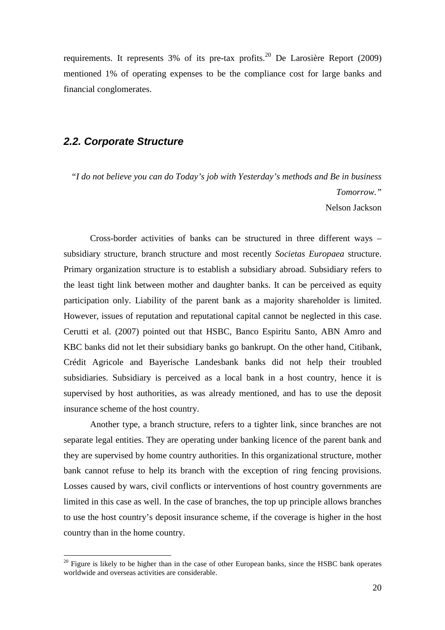requirements. It represents  $3\%$  of its pre-tax profits.<sup>20</sup> De Larosière Report (2009) mentioned 1% of operating expenses to be the compliance cost for large banks and financial conglomerates.

#### **2.2. Corporate Structure**

 $\overline{a}$ 

*"I do not believe you can do Today's job with Yesterday's methods and Be in business Tomorrow."*  Nelson Jackson

 Cross-border activities of banks can be structured in three different ways – subsidiary structure, branch structure and most recently *Societas Europaea* structure. Primary organization structure is to establish a subsidiary abroad. Subsidiary refers to the least tight link between mother and daughter banks. It can be perceived as equity participation only. Liability of the parent bank as a majority shareholder is limited. However, issues of reputation and reputational capital cannot be neglected in this case. Cerutti et al. (2007) pointed out that HSBC, Banco Espiritu Santo, ABN Amro and KBC banks did not let their subsidiary banks go bankrupt. On the other hand, Citibank, Crédit Agricole and Bayerische Landesbank banks did not help their troubled subsidiaries. Subsidiary is perceived as a local bank in a host country, hence it is supervised by host authorities, as was already mentioned, and has to use the deposit insurance scheme of the host country.

Another type, a branch structure, refers to a tighter link, since branches are not separate legal entities. They are operating under banking licence of the parent bank and they are supervised by home country authorities. In this organizational structure, mother bank cannot refuse to help its branch with the exception of ring fencing provisions. Losses caused by wars, civil conflicts or interventions of host country governments are limited in this case as well. In the case of branches, the top up principle allows branches to use the host country's deposit insurance scheme, if the coverage is higher in the host country than in the home country.

<sup>&</sup>lt;sup>20</sup> Figure is likely to be higher than in the case of other European banks, since the HSBC bank operates worldwide and overseas activities are considerable.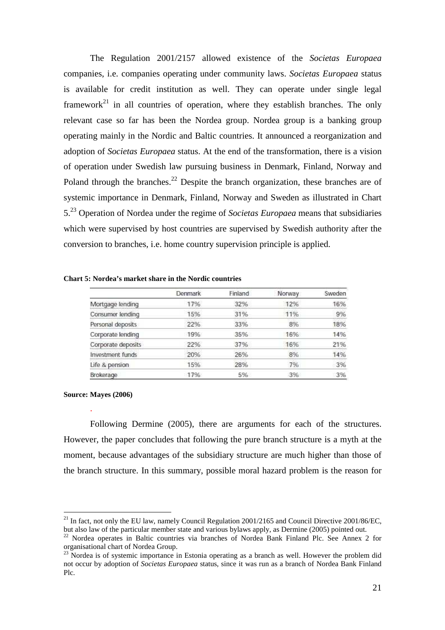The Regulation 2001/2157 allowed existence of the *Societas Europaea* companies, i.e. companies operating under community laws. *Societas Europaea* status is available for credit institution as well. They can operate under single legal framework<sup>21</sup> in all countries of operation, where they establish branches. The only relevant case so far has been the Nordea group. Nordea group is a banking group operating mainly in the Nordic and Baltic countries. It announced a reorganization and adoption of *Societas Europaea* status. At the end of the transformation, there is a vision of operation under Swedish law pursuing business in Denmark, Finland, Norway and Poland through the branches.<sup>22</sup> Despite the branch organization, these branches are of systemic importance in Denmark, Finland, Norway and Sweden as illustrated in Chart 5.<sup>23</sup> Operation of Nordea under the regime of *Societas Europaea* means that subsidiaries which were supervised by host countries are supervised by Swedish authority after the conversion to branches, i.e. home country supervision principle is applied.

|                    | Denmark | Finland | Norway | Sweden |
|--------------------|---------|---------|--------|--------|
| Mortgage lending   | 17%     | 32%     | 12%    | 16%    |
| Consumer lending   | 15%     | 31%     | 11%    | 9%     |
| Personal deposits  | 22%     | 33%     | 8%     | 18%    |
| Corporate lending  | 19%     | 35%     | 16%    | 14%    |
| Corporate deposits | 22%     | 37%     | 16%    | 21%    |
| Investment funds   | 20%     | 26%     | 8%     | 14%    |
| Life & pension     | 15%     | 28%     | 7%     | 3%     |
| Brokerage          | 17%     | 5%      | 3%     | 3%     |

#### **Chart 5: Nordea's market share in the Nordic countries**

#### **Source: Mayes (2006)**

.

 $\overline{a}$ 

Following Dermine (2005), there are arguments for each of the structures. However, the paper concludes that following the pure branch structure is a myth at the moment, because advantages of the subsidiary structure are much higher than those of the branch structure. In this summary, possible moral hazard problem is the reason for

<sup>&</sup>lt;sup>21</sup> In fact, not only the EU law, namely Council Regulation 2001/2165 and Council Directive 2001/86/EC. but also law of the particular member state and various bylaws apply, as Dermine (2005) pointed out.

 $22$  Nordea operates in Baltic countries via branches of Nordea Bank Finland Plc. See Annex 2 for organisational chart of Nordea Group.

 $23$  Nordea is of systemic importance in Estonia operating as a branch as well. However the problem did not occur by adoption of *Societas Europaea* status, since it was run as a branch of Nordea Bank Finland Plc.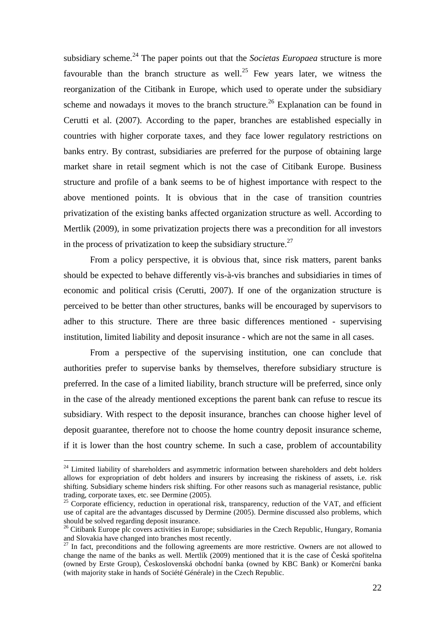subsidiary scheme.<sup>24</sup> The paper points out that the *Societas Europaea* structure is more favourable than the branch structure as well.<sup>25</sup> Few years later, we witness the reorganization of the Citibank in Europe, which used to operate under the subsidiary scheme and nowadays it moves to the branch structure.<sup>26</sup> Explanation can be found in Cerutti et al. (2007). According to the paper, branches are established especially in countries with higher corporate taxes, and they face lower regulatory restrictions on banks entry. By contrast, subsidiaries are preferred for the purpose of obtaining large market share in retail segment which is not the case of Citibank Europe. Business structure and profile of a bank seems to be of highest importance with respect to the above mentioned points. It is obvious that in the case of transition countries privatization of the existing banks affected organization structure as well. According to Mertlik (2009), in some privatization projects there was a precondition for all investors in the process of privatization to keep the subsidiary structure.<sup>27</sup>

From a policy perspective, it is obvious that, since risk matters, parent banks should be expected to behave differently vis-à-vis branches and subsidiaries in times of economic and political crisis (Cerutti, 2007). If one of the organization structure is perceived to be better than other structures, banks will be encouraged by supervisors to adher to this structure. There are three basic differences mentioned - supervising institution, limited liability and deposit insurance - which are not the same in all cases.

From a perspective of the supervising institution, one can conclude that authorities prefer to supervise banks by themselves, therefore subsidiary structure is preferred. In the case of a limited liability, branch structure will be preferred, since only in the case of the already mentioned exceptions the parent bank can refuse to rescue its subsidiary. With respect to the deposit insurance, branches can choose higher level of deposit guarantee, therefore not to choose the home country deposit insurance scheme, if it is lower than the host country scheme. In such a case, problem of accountability

 $24$  Limited liability of shareholders and asymmetric information between shareholders and debt holders allows for expropriation of debt holders and insurers by increasing the riskiness of assets, i.e. risk shifting. Subsidiary scheme hinders risk shifting. For other reasons such as managerial resistance, public trading, corporate taxes, etc. see Dermine (2005).

 $25$  Corporate efficiency, reduction in operational risk, transparency, reduction of the VAT, and efficient use of capital are the advantages discussed by Dermine (2005). Dermine discussed also problems, which should be solved regarding deposit insurance.

<sup>&</sup>lt;sup>26</sup> Citibank Europe plc covers activities in Europe; subsidiaries in the Czech Republic, Hungary, Romania and Slovakia have changed into branches most recently.

 $<sup>7</sup>$  In fact, preconditions and the following agreements are more restrictive. Owners are not allowed to</sup> change the name of the banks as well. Mertlík (2009) mentioned that it is the case of Česká spořitelna (owned by Erste Group), Československá obchodní banka (owned by KBC Bank) or Komerční banka (with majority stake in hands of Société Générale) in the Czech Republic.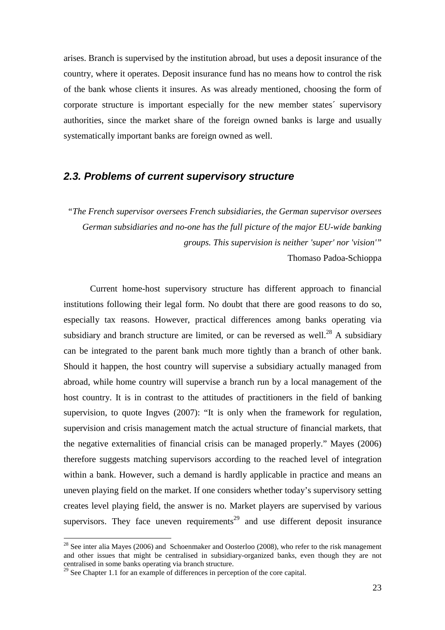arises. Branch is supervised by the institution abroad, but uses a deposit insurance of the country, where it operates. Deposit insurance fund has no means how to control the risk of the bank whose clients it insures. As was already mentioned, choosing the form of corporate structure is important especially for the new member states´ supervisory authorities, since the market share of the foreign owned banks is large and usually systematically important banks are foreign owned as well.

### **2.3. Problems of current supervisory structure**

*"The French supervisor oversees French subsidiaries, the German supervisor oversees German subsidiaries and no-one has the full picture of the major EU-wide banking groups. This supervision is neither 'super' nor 'vision'"*  Thomaso Padoa-Schioppa

Current home-host supervisory structure has different approach to financial institutions following their legal form. No doubt that there are good reasons to do so, especially tax reasons. However, practical differences among banks operating via subsidiary and branch structure are limited, or can be reversed as well.<sup>28</sup> A subsidiary can be integrated to the parent bank much more tightly than a branch of other bank. Should it happen, the host country will supervise a subsidiary actually managed from abroad, while home country will supervise a branch run by a local management of the host country. It is in contrast to the attitudes of practitioners in the field of banking supervision, to quote Ingves (2007): "It is only when the framework for regulation, supervision and crisis management match the actual structure of financial markets, that the negative externalities of financial crisis can be managed properly." Mayes (2006) therefore suggests matching supervisors according to the reached level of integration within a bank. However, such a demand is hardly applicable in practice and means an uneven playing field on the market. If one considers whether today's supervisory setting creates level playing field, the answer is no. Market players are supervised by various supervisors. They face uneven requirements<sup>29</sup> and use different deposit insurance

 $^{28}$  See inter alia Mayes (2006) and Schoenmaker and Oosterloo (2008), who refer to the risk management and other issues that might be centralised in subsidiary-organized banks, even though they are not centralised in some banks operating via branch structure.

 $29$  See Chapter 1.1 for an example of differences in perception of the core capital.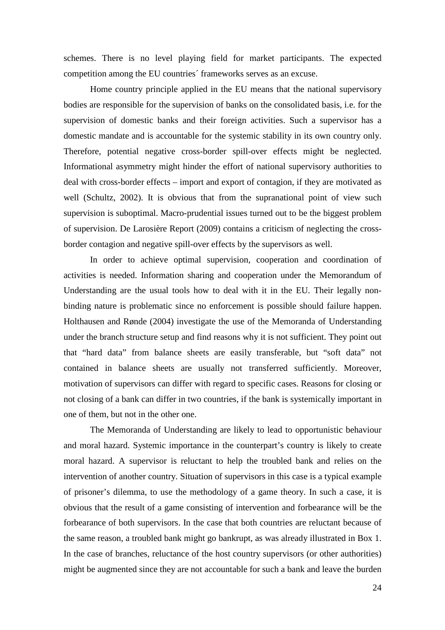schemes. There is no level playing field for market participants. The expected competition among the EU countries´ frameworks serves as an excuse.

Home country principle applied in the EU means that the national supervisory bodies are responsible for the supervision of banks on the consolidated basis, i.e. for the supervision of domestic banks and their foreign activities. Such a supervisor has a domestic mandate and is accountable for the systemic stability in its own country only. Therefore, potential negative cross-border spill-over effects might be neglected. Informational asymmetry might hinder the effort of national supervisory authorities to deal with cross-border effects – import and export of contagion, if they are motivated as well (Schultz, 2002). It is obvious that from the supranational point of view such supervision is suboptimal. Macro-prudential issues turned out to be the biggest problem of supervision. De Larosière Report (2009) contains a criticism of neglecting the crossborder contagion and negative spill-over effects by the supervisors as well.

 In order to achieve optimal supervision, cooperation and coordination of activities is needed. Information sharing and cooperation under the Memorandum of Understanding are the usual tools how to deal with it in the EU. Their legally nonbinding nature is problematic since no enforcement is possible should failure happen. Holthausen and Rønde (2004) investigate the use of the Memoranda of Understanding under the branch structure setup and find reasons why it is not sufficient. They point out that "hard data" from balance sheets are easily transferable, but "soft data" not contained in balance sheets are usually not transferred sufficiently. Moreover, motivation of supervisors can differ with regard to specific cases. Reasons for closing or not closing of a bank can differ in two countries, if the bank is systemically important in one of them, but not in the other one.

 The Memoranda of Understanding are likely to lead to opportunistic behaviour and moral hazard. Systemic importance in the counterpart's country is likely to create moral hazard. A supervisor is reluctant to help the troubled bank and relies on the intervention of another country. Situation of supervisors in this case is a typical example of prisoner's dilemma, to use the methodology of a game theory. In such a case, it is obvious that the result of a game consisting of intervention and forbearance will be the forbearance of both supervisors. In the case that both countries are reluctant because of the same reason, a troubled bank might go bankrupt, as was already illustrated in Box 1. In the case of branches, reluctance of the host country supervisors (or other authorities) might be augmented since they are not accountable for such a bank and leave the burden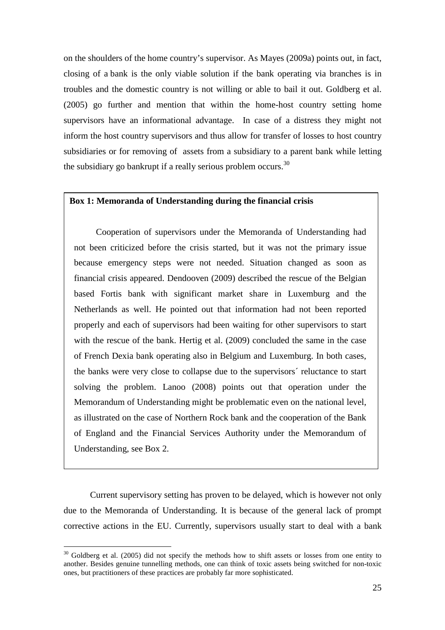on the shoulders of the home country's supervisor. As Mayes (2009a) points out, in fact, closing of a bank is the only viable solution if the bank operating via branches is in troubles and the domestic country is not willing or able to bail it out. Goldberg et al. (2005) go further and mention that within the home-host country setting home supervisors have an informational advantage. In case of a distress they might not inform the host country supervisors and thus allow for transfer of losses to host country subsidiaries or for removing of assets from a subsidiary to a parent bank while letting the subsidiary go bankrupt if a really serious problem occurs.<sup>30</sup>

#### **Box 1: Memoranda of Understanding during the financial crisis**

 Cooperation of supervisors under the Memoranda of Understanding had not been criticized before the crisis started, but it was not the primary issue because emergency steps were not needed. Situation changed as soon as financial crisis appeared. Dendooven (2009) described the rescue of the Belgian based Fortis bank with significant market share in Luxemburg and the Netherlands as well. He pointed out that information had not been reported properly and each of supervisors had been waiting for other supervisors to start with the rescue of the bank. Hertig et al. (2009) concluded the same in the case of French Dexia bank operating also in Belgium and Luxemburg. In both cases, the banks were very close to collapse due to the supervisors´ reluctance to start solving the problem. Lanoo (2008) points out that operation under the Memorandum of Understanding might be problematic even on the national level, as illustrated on the case of Northern Rock bank and the cooperation of the Bank of England and the Financial Services Authority under the Memorandum of Understanding, see Box 2.

 Current supervisory setting has proven to be delayed, which is however not only due to the Memoranda of Understanding. It is because of the general lack of prompt corrective actions in the EU. Currently, supervisors usually start to deal with a bank

 $30$  Goldberg et al. (2005) did not specify the methods how to shift assets or losses from one entity to another. Besides genuine tunnelling methods, one can think of toxic assets being switched for non-toxic ones, but practitioners of these practices are probably far more sophisticated.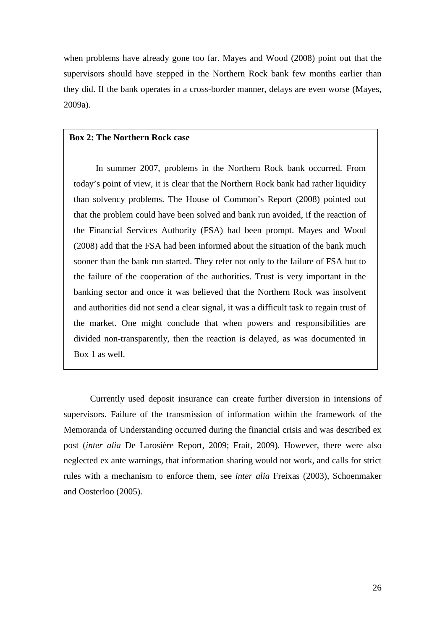when problems have already gone too far. Mayes and Wood (2008) point out that the supervisors should have stepped in the Northern Rock bank few months earlier than they did. If the bank operates in a cross-border manner, delays are even worse (Mayes, 2009a).

#### **Box 2: The Northern Rock case**

In summer 2007, problems in the Northern Rock bank occurred. From today's point of view, it is clear that the Northern Rock bank had rather liquidity than solvency problems. The House of Common's Report (2008) pointed out that the problem could have been solved and bank run avoided, if the reaction of the Financial Services Authority (FSA) had been prompt. Mayes and Wood (2008) add that the FSA had been informed about the situation of the bank much sooner than the bank run started. They refer not only to the failure of FSA but to the failure of the cooperation of the authorities. Trust is very important in the banking sector and once it was believed that the Northern Rock was insolvent and authorities did not send a clear signal, it was a difficult task to regain trust of the market. One might conclude that when powers and responsibilities are divided non-transparently, then the reaction is delayed, as was documented in Box 1 as well.

 Currently used deposit insurance can create further diversion in intensions of supervisors. Failure of the transmission of information within the framework of the Memoranda of Understanding occurred during the financial crisis and was described ex post (*inter alia* De Larosière Report, 2009; Frait, 2009). However, there were also neglected ex ante warnings, that information sharing would not work, and calls for strict rules with a mechanism to enforce them, see *inter alia* Freixas (2003), Schoenmaker and Oosterloo (2005).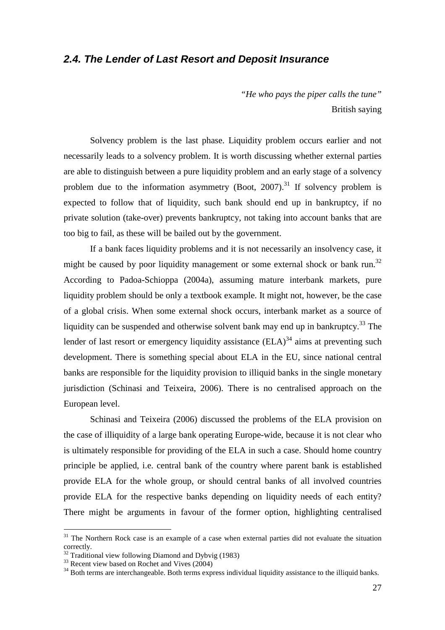## **2.4. The Lender of Last Resort and Deposit Insurance**

*"He who pays the piper calls the tune"*  British saying

 Solvency problem is the last phase. Liquidity problem occurs earlier and not necessarily leads to a solvency problem. It is worth discussing whether external parties are able to distinguish between a pure liquidity problem and an early stage of a solvency problem due to the information asymmetry (Boot, 2007).<sup>31</sup> If solvency problem is expected to follow that of liquidity, such bank should end up in bankruptcy, if no private solution (take-over) prevents bankruptcy, not taking into account banks that are too big to fail, as these will be bailed out by the government.

 If a bank faces liquidity problems and it is not necessarily an insolvency case, it might be caused by poor liquidity management or some external shock or bank run.<sup>32</sup> According to Padoa-Schioppa (2004a), assuming mature interbank markets, pure liquidity problem should be only a textbook example. It might not, however, be the case of a global crisis. When some external shock occurs, interbank market as a source of liquidity can be suspended and otherwise solvent bank may end up in bankruptcy.<sup>33</sup> The lender of last resort or emergency liquidity assistance  $(ELA)^{34}$  aims at preventing such development. There is something special about ELA in the EU, since national central banks are responsible for the liquidity provision to illiquid banks in the single monetary jurisdiction (Schinasi and Teixeira, 2006). There is no centralised approach on the European level.

 Schinasi and Teixeira (2006) discussed the problems of the ELA provision on the case of illiquidity of a large bank operating Europe-wide, because it is not clear who is ultimately responsible for providing of the ELA in such a case. Should home country principle be applied, i.e. central bank of the country where parent bank is established provide ELA for the whole group, or should central banks of all involved countries provide ELA for the respective banks depending on liquidity needs of each entity? There might be arguments in favour of the former option, highlighting centralised

<sup>&</sup>lt;sup>31</sup> The Northern Rock case is an example of a case when external parties did not evaluate the situation correctly.

Traditional view following Diamond and Dybvig (1983)

<sup>&</sup>lt;sup>33</sup> Recent view based on Rochet and Vives (2004)

<sup>&</sup>lt;sup>34</sup> Both terms are interchangeable. Both terms express individual liquidity assistance to the illiquid banks.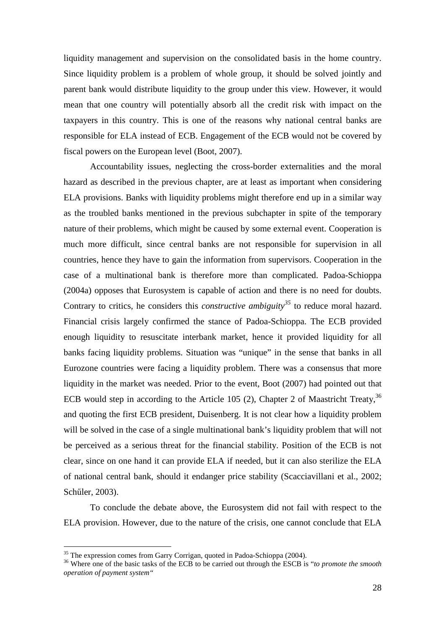liquidity management and supervision on the consolidated basis in the home country. Since liquidity problem is a problem of whole group, it should be solved jointly and parent bank would distribute liquidity to the group under this view. However, it would mean that one country will potentially absorb all the credit risk with impact on the taxpayers in this country. This is one of the reasons why national central banks are responsible for ELA instead of ECB. Engagement of the ECB would not be covered by fiscal powers on the European level (Boot, 2007).

 Accountability issues, neglecting the cross-border externalities and the moral hazard as described in the previous chapter, are at least as important when considering ELA provisions. Banks with liquidity problems might therefore end up in a similar way as the troubled banks mentioned in the previous subchapter in spite of the temporary nature of their problems, which might be caused by some external event. Cooperation is much more difficult, since central banks are not responsible for supervision in all countries, hence they have to gain the information from supervisors. Cooperation in the case of a multinational bank is therefore more than complicated. Padoa-Schioppa (2004a) opposes that Eurosystem is capable of action and there is no need for doubts. Contrary to critics, he considers this *constructive ambiguity<sup>35</sup>* to reduce moral hazard. Financial crisis largely confirmed the stance of Padoa-Schioppa. The ECB provided enough liquidity to resuscitate interbank market, hence it provided liquidity for all banks facing liquidity problems. Situation was "unique" in the sense that banks in all Eurozone countries were facing a liquidity problem. There was a consensus that more liquidity in the market was needed. Prior to the event, Boot (2007) had pointed out that ECB would step in according to the Article 105 (2), Chapter 2 of Maastricht Treaty,  $36$ and quoting the first ECB president, Duisenberg. It is not clear how a liquidity problem will be solved in the case of a single multinational bank's liquidity problem that will not be perceived as a serious threat for the financial stability. Position of the ECB is not clear, since on one hand it can provide ELA if needed, but it can also sterilize the ELA of national central bank, should it endanger price stability (Scacciavillani et al., 2002; Schőler, 2003).

 To conclude the debate above, the Eurosystem did not fail with respect to the ELA provision. However, due to the nature of the crisis, one cannot conclude that ELA

<sup>&</sup>lt;sup>35</sup> The expression comes from Garry Corrigan, quoted in Padoa-Schioppa (2004).

<sup>36</sup> Where one of the basic tasks of the ECB to be carried out through the ESCB is "*to promote the smooth operation of payment system"*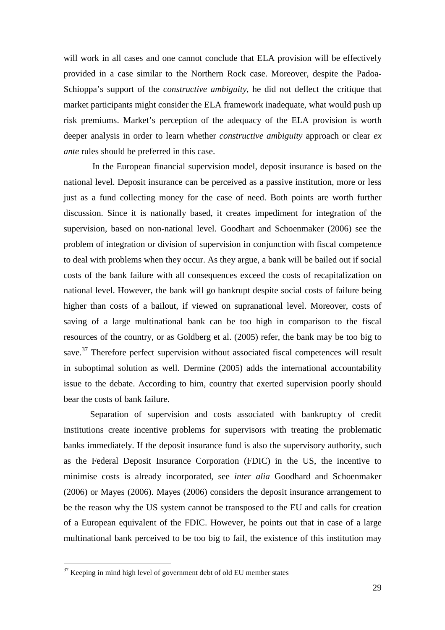will work in all cases and one cannot conclude that ELA provision will be effectively provided in a case similar to the Northern Rock case. Moreover, despite the Padoa-Schioppa's support of the *constructive ambiguity*, he did not deflect the critique that market participants might consider the ELA framework inadequate, what would push up risk premiums. Market's perception of the adequacy of the ELA provision is worth deeper analysis in order to learn whether *constructive ambiguity* approach or clear *ex ante* rules should be preferred in this case.

 In the European financial supervision model, deposit insurance is based on the national level. Deposit insurance can be perceived as a passive institution, more or less just as a fund collecting money for the case of need. Both points are worth further discussion. Since it is nationally based, it creates impediment for integration of the supervision, based on non-national level. Goodhart and Schoenmaker (2006) see the problem of integration or division of supervision in conjunction with fiscal competence to deal with problems when they occur. As they argue, a bank will be bailed out if social costs of the bank failure with all consequences exceed the costs of recapitalization on national level. However, the bank will go bankrupt despite social costs of failure being higher than costs of a bailout, if viewed on supranational level. Moreover, costs of saving of a large multinational bank can be too high in comparison to the fiscal resources of the country, or as Goldberg et al. (2005) refer, the bank may be too big to save.<sup>37</sup> Therefore perfect supervision without associated fiscal competences will result in suboptimal solution as well. Dermine (2005) adds the international accountability issue to the debate. According to him, country that exerted supervision poorly should bear the costs of bank failure.

 Separation of supervision and costs associated with bankruptcy of credit institutions create incentive problems for supervisors with treating the problematic banks immediately. If the deposit insurance fund is also the supervisory authority, such as the Federal Deposit Insurance Corporation (FDIC) in the US, the incentive to minimise costs is already incorporated, see *inter alia* Goodhard and Schoenmaker (2006) or Mayes (2006). Mayes (2006) considers the deposit insurance arrangement to be the reason why the US system cannot be transposed to the EU and calls for creation of a European equivalent of the FDIC. However, he points out that in case of a large multinational bank perceived to be too big to fail, the existence of this institution may

 $37$  Keeping in mind high level of government debt of old EU member states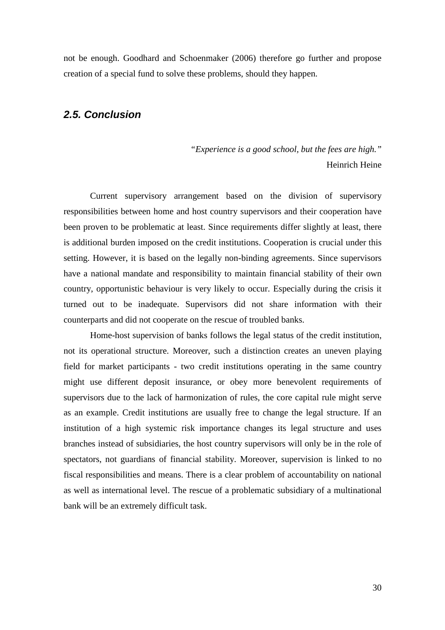not be enough. Goodhard and Schoenmaker (2006) therefore go further and propose creation of a special fund to solve these problems, should they happen.

# **2.5. Conclusion**

*"Experience is a good school, but the fees are high."*  Heinrich Heine

 Current supervisory arrangement based on the division of supervisory responsibilities between home and host country supervisors and their cooperation have been proven to be problematic at least. Since requirements differ slightly at least, there is additional burden imposed on the credit institutions. Cooperation is crucial under this setting. However, it is based on the legally non-binding agreements. Since supervisors have a national mandate and responsibility to maintain financial stability of their own country, opportunistic behaviour is very likely to occur. Especially during the crisis it turned out to be inadequate. Supervisors did not share information with their counterparts and did not cooperate on the rescue of troubled banks.

Home-host supervision of banks follows the legal status of the credit institution, not its operational structure. Moreover, such a distinction creates an uneven playing field for market participants - two credit institutions operating in the same country might use different deposit insurance, or obey more benevolent requirements of supervisors due to the lack of harmonization of rules, the core capital rule might serve as an example. Credit institutions are usually free to change the legal structure. If an institution of a high systemic risk importance changes its legal structure and uses branches instead of subsidiaries, the host country supervisors will only be in the role of spectators, not guardians of financial stability. Moreover, supervision is linked to no fiscal responsibilities and means. There is a clear problem of accountability on national as well as international level. The rescue of a problematic subsidiary of a multinational bank will be an extremely difficult task.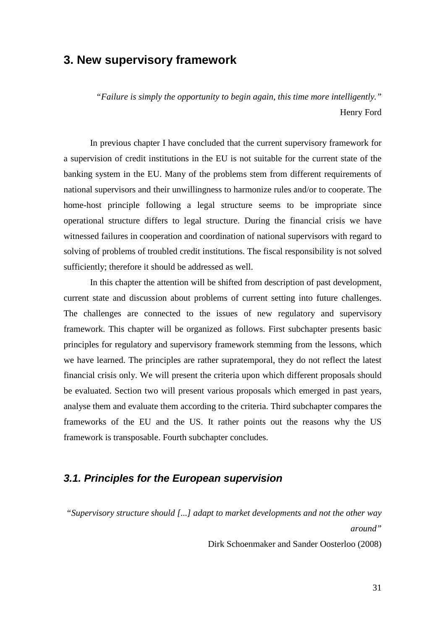# **3. New supervisory framework**

*"Failure is simply the opportunity to begin again, this time more intelligently."*  Henry Ford

In previous chapter I have concluded that the current supervisory framework for a supervision of credit institutions in the EU is not suitable for the current state of the banking system in the EU. Many of the problems stem from different requirements of national supervisors and their unwillingness to harmonize rules and/or to cooperate. The home-host principle following a legal structure seems to be impropriate since operational structure differs to legal structure. During the financial crisis we have witnessed failures in cooperation and coordination of national supervisors with regard to solving of problems of troubled credit institutions. The fiscal responsibility is not solved sufficiently; therefore it should be addressed as well.

 In this chapter the attention will be shifted from description of past development, current state and discussion about problems of current setting into future challenges. The challenges are connected to the issues of new regulatory and supervisory framework. This chapter will be organized as follows. First subchapter presents basic principles for regulatory and supervisory framework stemming from the lessons, which we have learned. The principles are rather supratemporal, they do not reflect the latest financial crisis only. We will present the criteria upon which different proposals should be evaluated. Section two will present various proposals which emerged in past years, analyse them and evaluate them according to the criteria. Third subchapter compares the frameworks of the EU and the US. It rather points out the reasons why the US framework is transposable. Fourth subchapter concludes.

## **3.1. Principles for the European supervision**

*"Supervisory structure should [...] adapt to market developments and not the other way around"*

Dirk Schoenmaker and Sander Oosterloo (2008)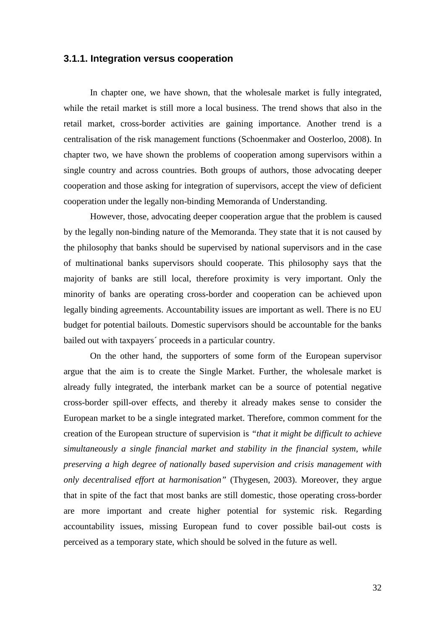### **3.1.1. Integration versus cooperation**

In chapter one, we have shown, that the wholesale market is fully integrated, while the retail market is still more a local business. The trend shows that also in the retail market, cross-border activities are gaining importance. Another trend is a centralisation of the risk management functions (Schoenmaker and Oosterloo, 2008). In chapter two, we have shown the problems of cooperation among supervisors within a single country and across countries. Both groups of authors, those advocating deeper cooperation and those asking for integration of supervisors, accept the view of deficient cooperation under the legally non-binding Memoranda of Understanding.

However, those, advocating deeper cooperation argue that the problem is caused by the legally non-binding nature of the Memoranda. They state that it is not caused by the philosophy that banks should be supervised by national supervisors and in the case of multinational banks supervisors should cooperate. This philosophy says that the majority of banks are still local, therefore proximity is very important. Only the minority of banks are operating cross-border and cooperation can be achieved upon legally binding agreements. Accountability issues are important as well. There is no EU budget for potential bailouts. Domestic supervisors should be accountable for the banks bailed out with taxpayers´ proceeds in a particular country.

On the other hand, the supporters of some form of the European supervisor argue that the aim is to create the Single Market. Further, the wholesale market is already fully integrated, the interbank market can be a source of potential negative cross-border spill-over effects, and thereby it already makes sense to consider the European market to be a single integrated market. Therefore, common comment for the creation of the European structure of supervision is *"that it might be difficult to achieve simultaneously a single financial market and stability in the financial system, while preserving a high degree of nationally based supervision and crisis management with only decentralised effort at harmonisation"* (Thygesen, 2003). Moreover, they argue that in spite of the fact that most banks are still domestic, those operating cross-border are more important and create higher potential for systemic risk. Regarding accountability issues, missing European fund to cover possible bail-out costs is perceived as a temporary state, which should be solved in the future as well.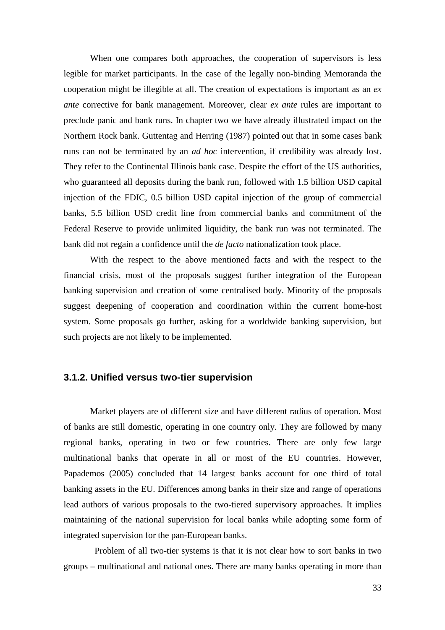When one compares both approaches, the cooperation of supervisors is less legible for market participants. In the case of the legally non-binding Memoranda the cooperation might be illegible at all. The creation of expectations is important as an *ex ante* corrective for bank management. Moreover, clear *ex ante* rules are important to preclude panic and bank runs. In chapter two we have already illustrated impact on the Northern Rock bank. Guttentag and Herring (1987) pointed out that in some cases bank runs can not be terminated by an *ad hoc* intervention, if credibility was already lost. They refer to the Continental Illinois bank case. Despite the effort of the US authorities, who guaranteed all deposits during the bank run, followed with 1.5 billion USD capital injection of the FDIC, 0.5 billion USD capital injection of the group of commercial banks, 5.5 billion USD credit line from commercial banks and commitment of the Federal Reserve to provide unlimited liquidity, the bank run was not terminated. The bank did not regain a confidence until the *de facto* nationalization took place.

With the respect to the above mentioned facts and with the respect to the financial crisis, most of the proposals suggest further integration of the European banking supervision and creation of some centralised body. Minority of the proposals suggest deepening of cooperation and coordination within the current home-host system. Some proposals go further, asking for a worldwide banking supervision, but such projects are not likely to be implemented.

### **3.1.2. Unified versus two-tier supervision**

Market players are of different size and have different radius of operation. Most of banks are still domestic, operating in one country only. They are followed by many regional banks, operating in two or few countries. There are only few large multinational banks that operate in all or most of the EU countries. However, Papademos (2005) concluded that 14 largest banks account for one third of total banking assets in the EU. Differences among banks in their size and range of operations lead authors of various proposals to the two-tiered supervisory approaches. It implies maintaining of the national supervision for local banks while adopting some form of integrated supervision for the pan-European banks.

 Problem of all two-tier systems is that it is not clear how to sort banks in two groups – multinational and national ones. There are many banks operating in more than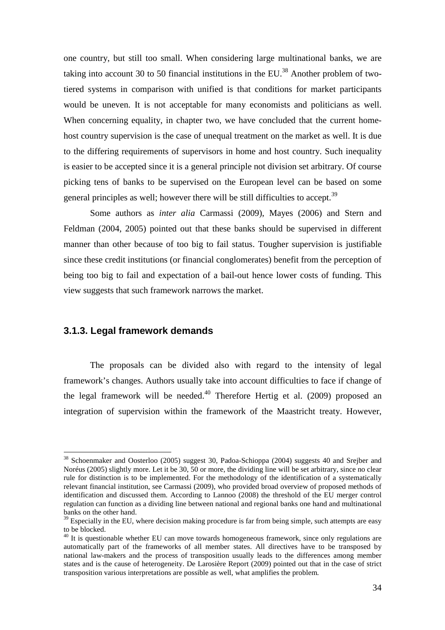one country, but still too small. When considering large multinational banks, we are taking into account 30 to 50 financial institutions in the EU.<sup>38</sup> Another problem of twotiered systems in comparison with unified is that conditions for market participants would be uneven. It is not acceptable for many economists and politicians as well. When concerning equality, in chapter two, we have concluded that the current homehost country supervision is the case of unequal treatment on the market as well. It is due to the differing requirements of supervisors in home and host country. Such inequality is easier to be accepted since it is a general principle not division set arbitrary. Of course picking tens of banks to be supervised on the European level can be based on some general principles as well; however there will be still difficulties to accept.<sup>39</sup>

Some authors as *inter alia* Carmassi (2009), Mayes (2006) and Stern and Feldman (2004, 2005) pointed out that these banks should be supervised in different manner than other because of too big to fail status. Tougher supervision is justifiable since these credit institutions (or financial conglomerates) benefit from the perception of being too big to fail and expectation of a bail-out hence lower costs of funding. This view suggests that such framework narrows the market.

### **3.1.3. Legal framework demands**

 $\overline{a}$ 

The proposals can be divided also with regard to the intensity of legal framework's changes. Authors usually take into account difficulties to face if change of the legal framework will be needed. $40$  Therefore Hertig et al. (2009) proposed an integration of supervision within the framework of the Maastricht treaty. However,

<sup>&</sup>lt;sup>38</sup> Schoenmaker and Oosterloo (2005) suggest 30, Padoa-Schioppa (2004) suggests 40 and Srejber and Noréus (2005) slightly more. Let it be 30, 50 or more, the dividing line will be set arbitrary, since no clear rule for distinction is to be implemented. For the methodology of the identification of a systematically relevant financial institution, see Carmassi (2009), who provided broad overview of proposed methods of identification and discussed them. According to Lannoo (2008) the threshold of the EU merger control regulation can function as a dividing line between national and regional banks one hand and multinational banks on the other hand.

 $39$  Especially in the EU, where decision making procedure is far from being simple, such attempts are easy to be blocked.

<sup>&</sup>lt;sup>40</sup> It is questionable whether EU can move towards homogeneous framework, since only regulations are automatically part of the frameworks of all member states. All directives have to be transposed by national law-makers and the process of transposition usually leads to the differences among member states and is the cause of heterogeneity. De Larosière Report (2009) pointed out that in the case of strict transposition various interpretations are possible as well, what amplifies the problem.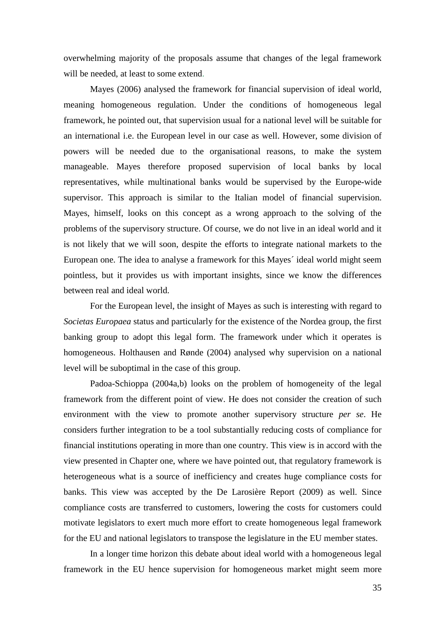overwhelming majority of the proposals assume that changes of the legal framework will be needed, at least to some extend.

Mayes (2006) analysed the framework for financial supervision of ideal world, meaning homogeneous regulation. Under the conditions of homogeneous legal framework, he pointed out, that supervision usual for a national level will be suitable for an international i.e. the European level in our case as well. However, some division of powers will be needed due to the organisational reasons, to make the system manageable. Mayes therefore proposed supervision of local banks by local representatives, while multinational banks would be supervised by the Europe-wide supervisor. This approach is similar to the Italian model of financial supervision. Mayes, himself, looks on this concept as a wrong approach to the solving of the problems of the supervisory structure. Of course, we do not live in an ideal world and it is not likely that we will soon, despite the efforts to integrate national markets to the European one. The idea to analyse a framework for this Mayes´ ideal world might seem pointless, but it provides us with important insights, since we know the differences between real and ideal world.

For the European level, the insight of Mayes as such is interesting with regard to *Societas Europaea* status and particularly for the existence of the Nordea group, the first banking group to adopt this legal form. The framework under which it operates is homogeneous. Holthausen and Rønde (2004) analysed why supervision on a national level will be suboptimal in the case of this group.

Padoa-Schioppa (2004a,b) looks on the problem of homogeneity of the legal framework from the different point of view. He does not consider the creation of such environment with the view to promote another supervisory structure *per se*. He considers further integration to be a tool substantially reducing costs of compliance for financial institutions operating in more than one country. This view is in accord with the view presented in Chapter one, where we have pointed out, that regulatory framework is heterogeneous what is a source of inefficiency and creates huge compliance costs for banks. This view was accepted by the De Larosière Report (2009) as well. Since compliance costs are transferred to customers, lowering the costs for customers could motivate legislators to exert much more effort to create homogeneous legal framework for the EU and national legislators to transpose the legislature in the EU member states.

In a longer time horizon this debate about ideal world with a homogeneous legal framework in the EU hence supervision for homogeneous market might seem more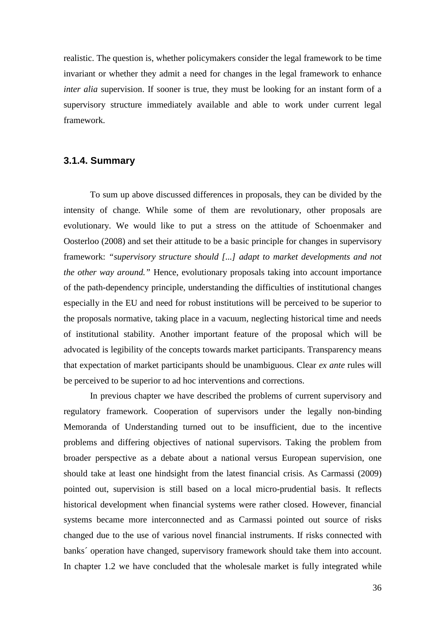realistic. The question is, whether policymakers consider the legal framework to be time invariant or whether they admit a need for changes in the legal framework to enhance *inter alia* supervision. If sooner is true, they must be looking for an instant form of a supervisory structure immediately available and able to work under current legal framework.

### **3.1.4. Summary**

To sum up above discussed differences in proposals, they can be divided by the intensity of change. While some of them are revolutionary, other proposals are evolutionary. We would like to put a stress on the attitude of Schoenmaker and Oosterloo (2008) and set their attitude to be a basic principle for changes in supervisory framework: *"supervisory structure should [...] adapt to market developments and not the other way around.*" Hence, evolutionary proposals taking into account importance of the path-dependency principle, understanding the difficulties of institutional changes especially in the EU and need for robust institutions will be perceived to be superior to the proposals normative, taking place in a vacuum, neglecting historical time and needs of institutional stability. Another important feature of the proposal which will be advocated is legibility of the concepts towards market participants. Transparency means that expectation of market participants should be unambiguous. Clear *ex ante* rules will be perceived to be superior to ad hoc interventions and corrections.

 In previous chapter we have described the problems of current supervisory and regulatory framework. Cooperation of supervisors under the legally non-binding Memoranda of Understanding turned out to be insufficient, due to the incentive problems and differing objectives of national supervisors. Taking the problem from broader perspective as a debate about a national versus European supervision, one should take at least one hindsight from the latest financial crisis. As Carmassi (2009) pointed out, supervision is still based on a local micro-prudential basis. It reflects historical development when financial systems were rather closed. However, financial systems became more interconnected and as Carmassi pointed out source of risks changed due to the use of various novel financial instruments. If risks connected with banks´ operation have changed, supervisory framework should take them into account. In chapter 1.2 we have concluded that the wholesale market is fully integrated while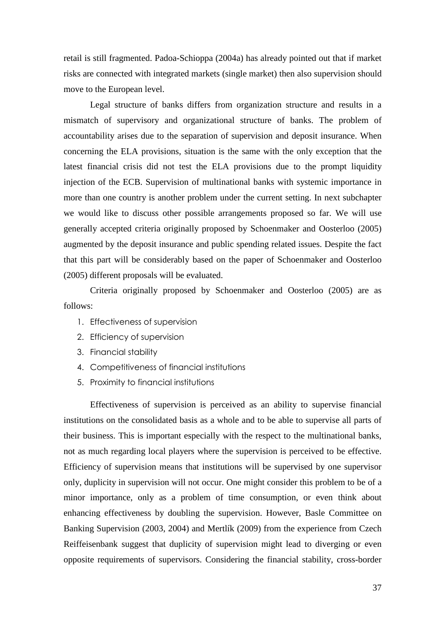retail is still fragmented. Padoa-Schioppa (2004a) has already pointed out that if market risks are connected with integrated markets (single market) then also supervision should move to the European level.

 Legal structure of banks differs from organization structure and results in a mismatch of supervisory and organizational structure of banks. The problem of accountability arises due to the separation of supervision and deposit insurance. When concerning the ELA provisions, situation is the same with the only exception that the latest financial crisis did not test the ELA provisions due to the prompt liquidity injection of the ECB. Supervision of multinational banks with systemic importance in more than one country is another problem under the current setting. In next subchapter we would like to discuss other possible arrangements proposed so far. We will use generally accepted criteria originally proposed by Schoenmaker and Oosterloo (2005) augmented by the deposit insurance and public spending related issues. Despite the fact that this part will be considerably based on the paper of Schoenmaker and Oosterloo (2005) different proposals will be evaluated.

 Criteria originally proposed by Schoenmaker and Oosterloo (2005) are as follows:

- 1. Effectiveness of supervision
- 2. Efficiency of supervision
- 3. Financial stability
- 4. Competitiveness of financial institutions
- 5. Proximity to financial institutions

 Effectiveness of supervision is perceived as an ability to supervise financial institutions on the consolidated basis as a whole and to be able to supervise all parts of their business. This is important especially with the respect to the multinational banks, not as much regarding local players where the supervision is perceived to be effective. Efficiency of supervision means that institutions will be supervised by one supervisor only, duplicity in supervision will not occur. One might consider this problem to be of a minor importance, only as a problem of time consumption, or even think about enhancing effectiveness by doubling the supervision. However, Basle Committee on Banking Supervision (2003, 2004) and Mertlík (2009) from the experience from Czech Reiffeisenbank suggest that duplicity of supervision might lead to diverging or even opposite requirements of supervisors. Considering the financial stability, cross-border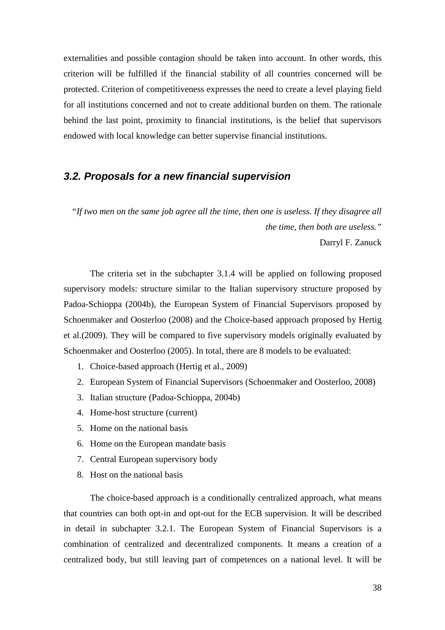externalities and possible contagion should be taken into account. In other words, this criterion will be fulfilled if the financial stability of all countries concerned will be protected. Criterion of competitiveness expresses the need to create a level playing field for all institutions concerned and not to create additional burden on them. The rationale behind the last point, proximity to financial institutions, is the belief that supervisors endowed with local knowledge can better supervise financial institutions.

# **3.2. Proposals for a new financial supervision**

*"If two men on the same job agree all the time, then one is useless. If they disagree all the time, then both are useless."*  Darryl F. Zanuck

 The criteria set in the subchapter 3.1.4 will be applied on following proposed supervisory models: structure similar to the Italian supervisory structure proposed by Padoa-Schioppa (2004b), the European System of Financial Supervisors proposed by Schoenmaker and Oosterloo (2008) and the Choice-based approach proposed by Hertig et al.(2009). They will be compared to five supervisory models originally evaluated by Schoenmaker and Oosterloo (2005). In total, there are 8 models to be evaluated:

- 1. Choice-based approach (Hertig et al., 2009)
- 2. European System of Financial Supervisors (Schoenmaker and Oosterloo, 2008)
- 3. Italian structure (Padoa-Schioppa, 2004b)
- 4. Home-host structure (current)
- 5. Home on the national basis
- 6. Home on the European mandate basis
- 7. Central European supervisory body
- 8. Host on the national basis

 The choice-based approach is a conditionally centralized approach, what means that countries can both opt-in and opt-out for the ECB supervision. It will be described in detail in subchapter 3.2.1. The European System of Financial Supervisors is a combination of centralized and decentralized components. It means a creation of a centralized body, but still leaving part of competences on a national level. It will be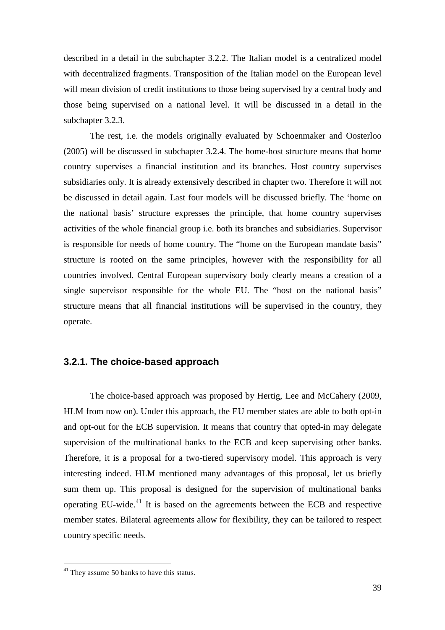described in a detail in the subchapter 3.2.2. The Italian model is a centralized model with decentralized fragments. Transposition of the Italian model on the European level will mean division of credit institutions to those being supervised by a central body and those being supervised on a national level. It will be discussed in a detail in the subchapter 3.2.3.

 The rest, i.e. the models originally evaluated by Schoenmaker and Oosterloo (2005) will be discussed in subchapter 3.2.4. The home-host structure means that home country supervises a financial institution and its branches. Host country supervises subsidiaries only. It is already extensively described in chapter two. Therefore it will not be discussed in detail again. Last four models will be discussed briefly. The 'home on the national basis' structure expresses the principle, that home country supervises activities of the whole financial group i.e. both its branches and subsidiaries. Supervisor is responsible for needs of home country. The "home on the European mandate basis" structure is rooted on the same principles, however with the responsibility for all countries involved. Central European supervisory body clearly means a creation of a single supervisor responsible for the whole EU. The "host on the national basis" structure means that all financial institutions will be supervised in the country, they operate.

### **3.2.1. The choice-based approach**

 The choice-based approach was proposed by Hertig, Lee and McCahery (2009, HLM from now on). Under this approach, the EU member states are able to both opt-in and opt-out for the ECB supervision. It means that country that opted-in may delegate supervision of the multinational banks to the ECB and keep supervising other banks. Therefore, it is a proposal for a two-tiered supervisory model. This approach is very interesting indeed. HLM mentioned many advantages of this proposal, let us briefly sum them up. This proposal is designed for the supervision of multinational banks operating EU-wide.<sup>41</sup> It is based on the agreements between the ECB and respective member states. Bilateral agreements allow for flexibility, they can be tailored to respect country specific needs.

<sup>&</sup>lt;sup>41</sup> They assume 50 banks to have this status.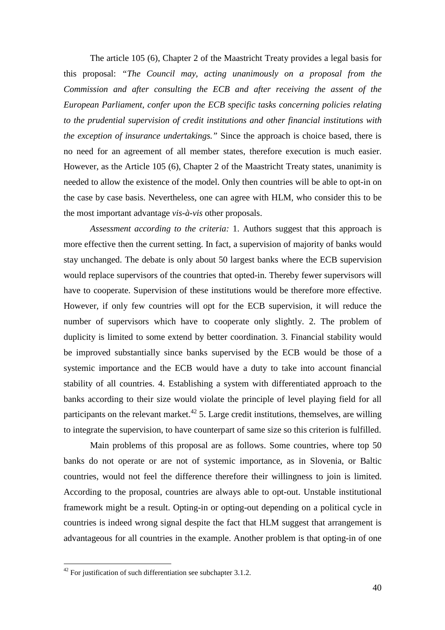The article 105 (6), Chapter 2 of the Maastricht Treaty provides a legal basis for this proposal: *"The Council may, acting unanimously on a proposal from the Commission and after consulting the ECB and after receiving the assent of the European Parliament, confer upon the ECB specific tasks concerning policies relating to the prudential supervision of credit institutions and other financial institutions with the exception of insurance undertakings."* Since the approach is choice based, there is no need for an agreement of all member states, therefore execution is much easier. However, as the Article 105 (6), Chapter 2 of the Maastricht Treaty states, unanimity is needed to allow the existence of the model. Only then countries will be able to opt-in on the case by case basis. Nevertheless, one can agree with HLM, who consider this to be the most important advantage *vis-à-vis* other proposals.

*Assessment according to the criteria:* 1. Authors suggest that this approach is more effective then the current setting. In fact, a supervision of majority of banks would stay unchanged. The debate is only about 50 largest banks where the ECB supervision would replace supervisors of the countries that opted-in. Thereby fewer supervisors will have to cooperate. Supervision of these institutions would be therefore more effective. However, if only few countries will opt for the ECB supervision, it will reduce the number of supervisors which have to cooperate only slightly. 2. The problem of duplicity is limited to some extend by better coordination. 3. Financial stability would be improved substantially since banks supervised by the ECB would be those of a systemic importance and the ECB would have a duty to take into account financial stability of all countries. 4. Establishing a system with differentiated approach to the banks according to their size would violate the principle of level playing field for all participants on the relevant market.<sup>42</sup> 5. Large credit institutions, themselves, are willing to integrate the supervision, to have counterpart of same size so this criterion is fulfilled.

 Main problems of this proposal are as follows. Some countries, where top 50 banks do not operate or are not of systemic importance, as in Slovenia, or Baltic countries, would not feel the difference therefore their willingness to join is limited. According to the proposal, countries are always able to opt-out. Unstable institutional framework might be a result. Opting-in or opting-out depending on a political cycle in countries is indeed wrong signal despite the fact that HLM suggest that arrangement is advantageous for all countries in the example. Another problem is that opting-in of one

 $42$  For justification of such differentiation see subchapter 3.1.2.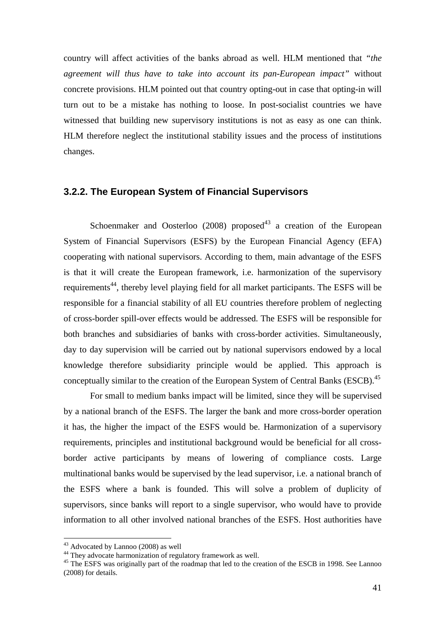country will affect activities of the banks abroad as well. HLM mentioned that *"the agreement will thus have to take into account its pan-European impact"* without concrete provisions. HLM pointed out that country opting-out in case that opting-in will turn out to be a mistake has nothing to loose. In post-socialist countries we have witnessed that building new supervisory institutions is not as easy as one can think. HLM therefore neglect the institutional stability issues and the process of institutions changes.

### **3.2.2. The European System of Financial Supervisors**

Schoenmaker and Oosterloo (2008) proposed<sup>43</sup> a creation of the European System of Financial Supervisors (ESFS) by the European Financial Agency (EFA) cooperating with national supervisors. According to them, main advantage of the ESFS is that it will create the European framework, i.e. harmonization of the supervisory requirements<sup>44</sup>, thereby level playing field for all market participants. The ESFS will be responsible for a financial stability of all EU countries therefore problem of neglecting of cross-border spill-over effects would be addressed. The ESFS will be responsible for both branches and subsidiaries of banks with cross-border activities. Simultaneously, day to day supervision will be carried out by national supervisors endowed by a local knowledge therefore subsidiarity principle would be applied. This approach is conceptually similar to the creation of the European System of Central Banks (ESCB).<sup>45</sup>

 For small to medium banks impact will be limited, since they will be supervised by a national branch of the ESFS. The larger the bank and more cross-border operation it has, the higher the impact of the ESFS would be. Harmonization of a supervisory requirements, principles and institutional background would be beneficial for all crossborder active participants by means of lowering of compliance costs. Large multinational banks would be supervised by the lead supervisor, i.e. a national branch of the ESFS where a bank is founded. This will solve a problem of duplicity of supervisors, since banks will report to a single supervisor, who would have to provide information to all other involved national branches of the ESFS. Host authorities have

<sup>&</sup>lt;sup>43</sup> Advocated by Lannoo (2008) as well

<sup>&</sup>lt;sup>44</sup> They advocate harmonization of regulatory framework as well.

<sup>&</sup>lt;sup>45</sup> The ESFS was originally part of the roadmap that led to the creation of the ESCB in 1998. See Lannoo (2008) for details.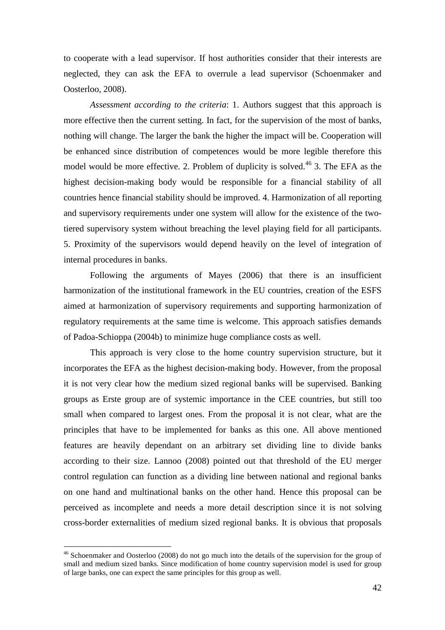to cooperate with a lead supervisor. If host authorities consider that their interests are neglected, they can ask the EFA to overrule a lead supervisor (Schoenmaker and Oosterloo, 2008).

 *Assessment according to the criteria*: 1. Authors suggest that this approach is more effective then the current setting. In fact, for the supervision of the most of banks, nothing will change. The larger the bank the higher the impact will be. Cooperation will be enhanced since distribution of competences would be more legible therefore this model would be more effective. 2. Problem of duplicity is solved.<sup>46</sup> 3. The EFA as the highest decision-making body would be responsible for a financial stability of all countries hence financial stability should be improved. 4. Harmonization of all reporting and supervisory requirements under one system will allow for the existence of the twotiered supervisory system without breaching the level playing field for all participants. 5. Proximity of the supervisors would depend heavily on the level of integration of internal procedures in banks.

 Following the arguments of Mayes (2006) that there is an insufficient harmonization of the institutional framework in the EU countries, creation of the ESFS aimed at harmonization of supervisory requirements and supporting harmonization of regulatory requirements at the same time is welcome. This approach satisfies demands of Padoa-Schioppa (2004b) to minimize huge compliance costs as well.

 This approach is very close to the home country supervision structure, but it incorporates the EFA as the highest decision-making body. However, from the proposal it is not very clear how the medium sized regional banks will be supervised. Banking groups as Erste group are of systemic importance in the CEE countries, but still too small when compared to largest ones. From the proposal it is not clear, what are the principles that have to be implemented for banks as this one. All above mentioned features are heavily dependant on an arbitrary set dividing line to divide banks according to their size. Lannoo (2008) pointed out that threshold of the EU merger control regulation can function as a dividing line between national and regional banks on one hand and multinational banks on the other hand. Hence this proposal can be perceived as incomplete and needs a more detail description since it is not solving cross-border externalities of medium sized regional banks. It is obvious that proposals

<sup>&</sup>lt;sup>46</sup> Schoenmaker and Oosterloo (2008) do not go much into the details of the supervision for the group of small and medium sized banks. Since modification of home country supervision model is used for group of large banks, one can expect the same principles for this group as well.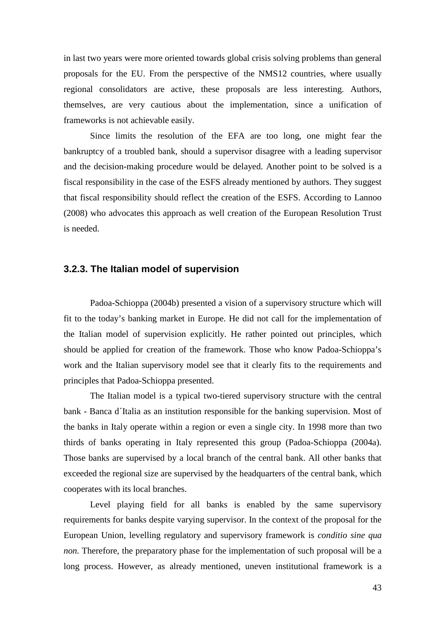in last two years were more oriented towards global crisis solving problems than general proposals for the EU. From the perspective of the NMS12 countries, where usually regional consolidators are active, these proposals are less interesting. Authors, themselves, are very cautious about the implementation, since a unification of frameworks is not achievable easily.

 Since limits the resolution of the EFA are too long, one might fear the bankruptcy of a troubled bank, should a supervisor disagree with a leading supervisor and the decision-making procedure would be delayed. Another point to be solved is a fiscal responsibility in the case of the ESFS already mentioned by authors. They suggest that fiscal responsibility should reflect the creation of the ESFS. According to Lannoo (2008) who advocates this approach as well creation of the European Resolution Trust is needed.

### **3.2.3. The Italian model of supervision**

 Padoa-Schioppa (2004b) presented a vision of a supervisory structure which will fit to the today's banking market in Europe. He did not call for the implementation of the Italian model of supervision explicitly. He rather pointed out principles, which should be applied for creation of the framework. Those who know Padoa-Schioppa's work and the Italian supervisory model see that it clearly fits to the requirements and principles that Padoa-Schioppa presented.

 The Italian model is a typical two-tiered supervisory structure with the central bank - Banca d´Italia as an institution responsible for the banking supervision. Most of the banks in Italy operate within a region or even a single city. In 1998 more than two thirds of banks operating in Italy represented this group (Padoa-Schioppa (2004a). Those banks are supervised by a local branch of the central bank. All other banks that exceeded the regional size are supervised by the headquarters of the central bank, which cooperates with its local branches.

 Level playing field for all banks is enabled by the same supervisory requirements for banks despite varying supervisor. In the context of the proposal for the European Union, levelling regulatory and supervisory framework is *conditio sine qua non*. Therefore, the preparatory phase for the implementation of such proposal will be a long process. However, as already mentioned, uneven institutional framework is a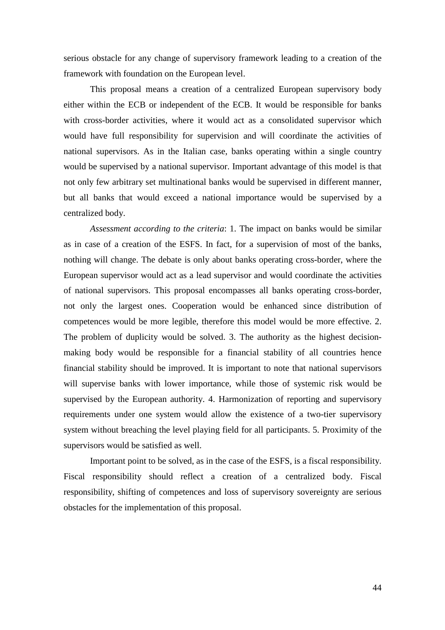serious obstacle for any change of supervisory framework leading to a creation of the framework with foundation on the European level.

 This proposal means a creation of a centralized European supervisory body either within the ECB or independent of the ECB. It would be responsible for banks with cross-border activities, where it would act as a consolidated supervisor which would have full responsibility for supervision and will coordinate the activities of national supervisors. As in the Italian case, banks operating within a single country would be supervised by a national supervisor. Important advantage of this model is that not only few arbitrary set multinational banks would be supervised in different manner, but all banks that would exceed a national importance would be supervised by a centralized body.

 *Assessment according to the criteria*: 1. The impact on banks would be similar as in case of a creation of the ESFS. In fact, for a supervision of most of the banks, nothing will change. The debate is only about banks operating cross-border, where the European supervisor would act as a lead supervisor and would coordinate the activities of national supervisors. This proposal encompasses all banks operating cross-border, not only the largest ones. Cooperation would be enhanced since distribution of competences would be more legible, therefore this model would be more effective. 2. The problem of duplicity would be solved. 3. The authority as the highest decisionmaking body would be responsible for a financial stability of all countries hence financial stability should be improved. It is important to note that national supervisors will supervise banks with lower importance, while those of systemic risk would be supervised by the European authority. 4. Harmonization of reporting and supervisory requirements under one system would allow the existence of a two-tier supervisory system without breaching the level playing field for all participants. 5. Proximity of the supervisors would be satisfied as well.

 Important point to be solved, as in the case of the ESFS, is a fiscal responsibility. Fiscal responsibility should reflect a creation of a centralized body. Fiscal responsibility, shifting of competences and loss of supervisory sovereignty are serious obstacles for the implementation of this proposal.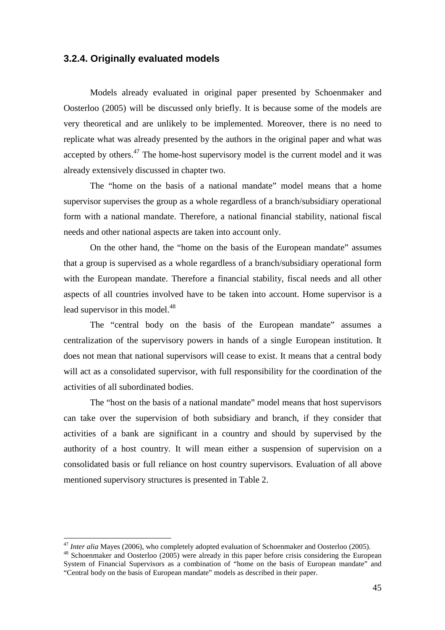## **3.2.4. Originally evaluated models**

 Models already evaluated in original paper presented by Schoenmaker and Oosterloo (2005) will be discussed only briefly. It is because some of the models are very theoretical and are unlikely to be implemented. Moreover, there is no need to replicate what was already presented by the authors in the original paper and what was accepted by others.<sup>47</sup> The home-host supervisory model is the current model and it was already extensively discussed in chapter two.

 The "home on the basis of a national mandate" model means that a home supervisor supervises the group as a whole regardless of a branch/subsidiary operational form with a national mandate. Therefore, a national financial stability, national fiscal needs and other national aspects are taken into account only.

 On the other hand, the "home on the basis of the European mandate" assumes that a group is supervised as a whole regardless of a branch/subsidiary operational form with the European mandate. Therefore a financial stability, fiscal needs and all other aspects of all countries involved have to be taken into account. Home supervisor is a lead supervisor in this model.<sup>48</sup>

 The "central body on the basis of the European mandate" assumes a centralization of the supervisory powers in hands of a single European institution. It does not mean that national supervisors will cease to exist. It means that a central body will act as a consolidated supervisor, with full responsibility for the coordination of the activities of all subordinated bodies.

 The "host on the basis of a national mandate" model means that host supervisors can take over the supervision of both subsidiary and branch, if they consider that activities of a bank are significant in a country and should by supervised by the authority of a host country. It will mean either a suspension of supervision on a consolidated basis or full reliance on host country supervisors. Evaluation of all above mentioned supervisory structures is presented in Table 2.

<sup>&</sup>lt;sup>47</sup> *Inter alia* Mayes (2006), who completely adopted evaluation of Schoenmaker and Oosterloo (2005).

<sup>48</sup> Schoenmaker and Oosterloo (2005) were already in this paper before crisis considering the European System of Financial Supervisors as a combination of "home on the basis of European mandate" and "Central body on the basis of European mandate" models as described in their paper.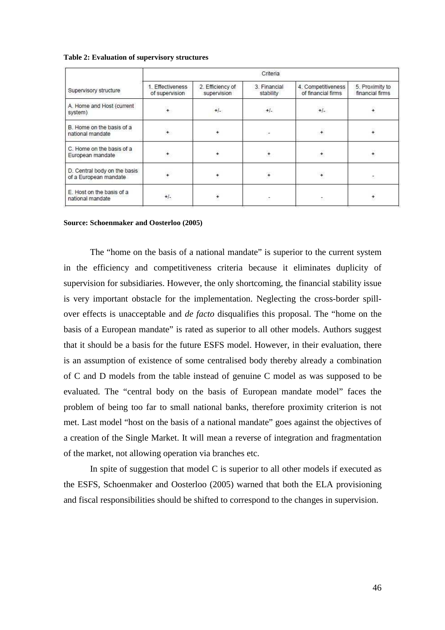#### **Table 2: Evaluation of supervisory structures**

| Supervisory structure                                 | Criteria                           |                                 |                           |                                          |                                    |
|-------------------------------------------------------|------------------------------------|---------------------------------|---------------------------|------------------------------------------|------------------------------------|
|                                                       | 1. Effectiveness<br>of supervision | 2. Efficiency of<br>supervision | 3. Financial<br>stability | 4. Competitiveness<br>of financial firms | 5. Proximity to<br>financial firms |
| A. Home and Host (current<br>system)                  | $\ddot{\phantom{0}}$               | $+1$                            | $+/-$                     | $+/-$                                    | ÷                                  |
| B. Home on the basis of a<br>national mandate         | $+$                                | $\ddot{}$                       | ×                         | ÷                                        | ÷                                  |
| C. Home on the basis of a<br>European mandate         |                                    | ÷                               | $\star$                   | $\overline{ }$                           |                                    |
| D. Central body on the basis<br>of a European mandate |                                    | ŧ                               | ¥                         | $\ddot{\phantom{0}}$                     | ۳                                  |
| E. Host on the basis of a<br>national mandate         | $+/-$                              | $\ddot{\phantom{0}}$            | œ                         | Đ)                                       |                                    |

#### **Source: Schoenmaker and Oosterloo (2005)**

The "home on the basis of a national mandate" is superior to the current system in the efficiency and competitiveness criteria because it eliminates duplicity of supervision for subsidiaries. However, the only shortcoming, the financial stability issue is very important obstacle for the implementation. Neglecting the cross-border spillover effects is unacceptable and *de facto* disqualifies this proposal. The "home on the basis of a European mandate" is rated as superior to all other models. Authors suggest that it should be a basis for the future ESFS model. However, in their evaluation, there is an assumption of existence of some centralised body thereby already a combination of C and D models from the table instead of genuine C model as was supposed to be evaluated. The "central body on the basis of European mandate model" faces the problem of being too far to small national banks, therefore proximity criterion is not met. Last model "host on the basis of a national mandate" goes against the objectives of a creation of the Single Market. It will mean a reverse of integration and fragmentation of the market, not allowing operation via branches etc.

 In spite of suggestion that model C is superior to all other models if executed as the ESFS, Schoenmaker and Oosterloo (2005) warned that both the ELA provisioning and fiscal responsibilities should be shifted to correspond to the changes in supervision.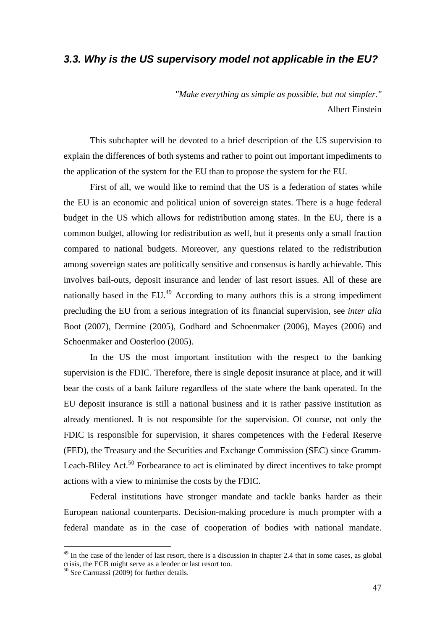# **3.3. Why is the US supervisory model not applicable in the EU?**

*"Make everything as simple as possible, but not simpler."*  Albert Einstein

 This subchapter will be devoted to a brief description of the US supervision to explain the differences of both systems and rather to point out important impediments to the application of the system for the EU than to propose the system for the EU.

 First of all, we would like to remind that the US is a federation of states while the EU is an economic and political union of sovereign states. There is a huge federal budget in the US which allows for redistribution among states. In the EU, there is a common budget, allowing for redistribution as well, but it presents only a small fraction compared to national budgets. Moreover, any questions related to the redistribution among sovereign states are politically sensitive and consensus is hardly achievable. This involves bail-outs, deposit insurance and lender of last resort issues. All of these are nationally based in the  $EU^{49}$  According to many authors this is a strong impediment precluding the EU from a serious integration of its financial supervision, see *inter alia* Boot (2007), Dermine (2005), Godhard and Schoenmaker (2006), Mayes (2006) and Schoenmaker and Oosterloo (2005).

 In the US the most important institution with the respect to the banking supervision is the FDIC. Therefore, there is single deposit insurance at place, and it will bear the costs of a bank failure regardless of the state where the bank operated. In the EU deposit insurance is still a national business and it is rather passive institution as already mentioned. It is not responsible for the supervision. Of course, not only the FDIC is responsible for supervision, it shares competences with the Federal Reserve (FED), the Treasury and the Securities and Exchange Commission (SEC) since Gramm-Leach-Bliley Act.<sup>50</sup> Forbearance to act is eliminated by direct incentives to take prompt actions with a view to minimise the costs by the FDIC.

Federal institutions have stronger mandate and tackle banks harder as their European national counterparts. Decision-making procedure is much prompter with a federal mandate as in the case of cooperation of bodies with national mandate.

 $49$  In the case of the lender of last resort, there is a discussion in chapter 2.4 that in some cases, as global crisis, the ECB might serve as a lender or last resort too.

 $50$  See Carmassi (2009) for further details.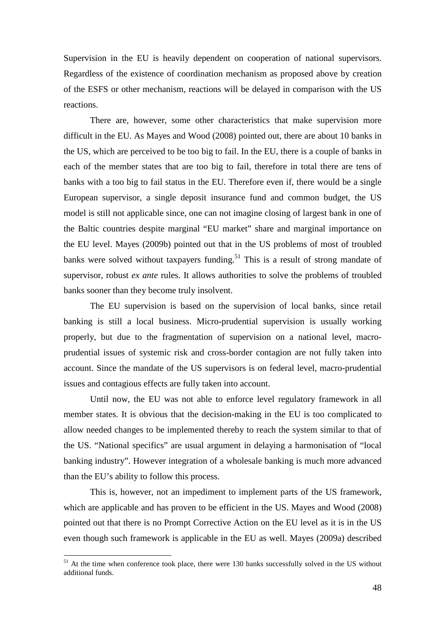Supervision in the EU is heavily dependent on cooperation of national supervisors. Regardless of the existence of coordination mechanism as proposed above by creation of the ESFS or other mechanism, reactions will be delayed in comparison with the US reactions.

There are, however, some other characteristics that make supervision more difficult in the EU. As Mayes and Wood (2008) pointed out, there are about 10 banks in the US, which are perceived to be too big to fail. In the EU, there is a couple of banks in each of the member states that are too big to fail, therefore in total there are tens of banks with a too big to fail status in the EU. Therefore even if, there would be a single European supervisor, a single deposit insurance fund and common budget, the US model is still not applicable since, one can not imagine closing of largest bank in one of the Baltic countries despite marginal "EU market" share and marginal importance on the EU level. Mayes (2009b) pointed out that in the US problems of most of troubled banks were solved without taxpayers funding.<sup>51</sup> This is a result of strong mandate of supervisor, robust *ex ante* rules. It allows authorities to solve the problems of troubled banks sooner than they become truly insolvent.

 The EU supervision is based on the supervision of local banks, since retail banking is still a local business. Micro-prudential supervision is usually working properly, but due to the fragmentation of supervision on a national level, macroprudential issues of systemic risk and cross-border contagion are not fully taken into account. Since the mandate of the US supervisors is on federal level, macro-prudential issues and contagious effects are fully taken into account.

 Until now, the EU was not able to enforce level regulatory framework in all member states. It is obvious that the decision-making in the EU is too complicated to allow needed changes to be implemented thereby to reach the system similar to that of the US. "National specifics" are usual argument in delaying a harmonisation of "local banking industry". However integration of a wholesale banking is much more advanced than the EU's ability to follow this process.

 This is, however, not an impediment to implement parts of the US framework, which are applicable and has proven to be efficient in the US. Mayes and Wood (2008) pointed out that there is no Prompt Corrective Action on the EU level as it is in the US even though such framework is applicable in the EU as well. Mayes (2009a) described

 $51$  At the time when conference took place, there were 130 banks successfully solved in the US without additional funds.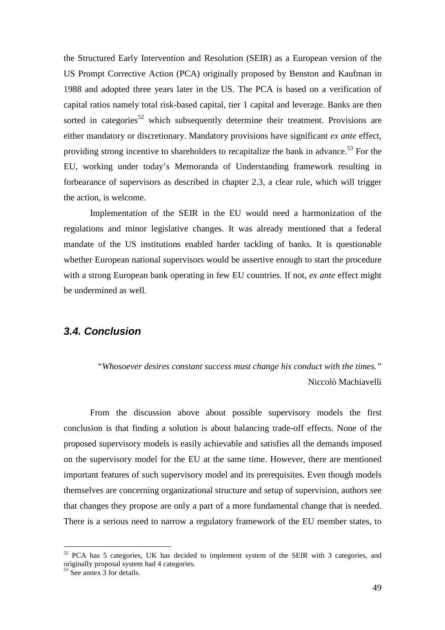the Structured Early Intervention and Resolution (SEIR) as a European version of the US Prompt Corrective Action (PCA) originally proposed by Benston and Kaufman in 1988 and adopted three years later in the US. The PCA is based on a verification of capital ratios namely total risk-based capital, tier 1 capital and leverage. Banks are then sorted in categories<sup>52</sup> which subsequently determine their treatment. Provisions are either mandatory or discretionary. Mandatory provisions have significant *ex ante* effect, providing strong incentive to shareholders to recapitalize the bank in advance.<sup>53</sup> For the EU, working under today's Memoranda of Understanding framework resulting in forbearance of supervisors as described in chapter 2.3, a clear rule, which will trigger the action, is welcome.

Implementation of the SEIR in the EU would need a harmonization of the regulations and minor legislative changes. It was already mentioned that a federal mandate of the US institutions enabled harder tackling of banks. It is questionable whether European national supervisors would be assertive enough to start the procedure with a strong European bank operating in few EU countries. If not, *ex ante* effect might be undermined as well.

## **3.4. Conclusion**

*"Whosoever desires constant success must change his conduct with the times."*  Niccolò Machiavelli

 From the discussion above about possible supervisory models the first conclusion is that finding a solution is about balancing trade-off effects. None of the proposed supervisory models is easily achievable and satisfies all the demands imposed on the supervisory model for the EU at the same time. However, there are mentioned important features of such supervisory model and its prerequisites. Even though models themselves are concerning organizational structure and setup of supervision, authors see that changes they propose are only a part of a more fundamental change that is needed. There is a serious need to narrow a regulatory framework of the EU member states, to

 $52$  PCA has 5 categories, UK has decided to implement system of the SEIR with 3 categories, and originally proposal system had 4 categories.

 $53$  See annex 3 for details.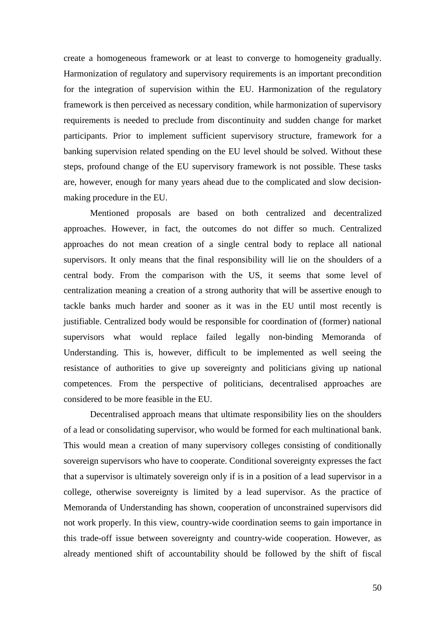create a homogeneous framework or at least to converge to homogeneity gradually. Harmonization of regulatory and supervisory requirements is an important precondition for the integration of supervision within the EU. Harmonization of the regulatory framework is then perceived as necessary condition, while harmonization of supervisory requirements is needed to preclude from discontinuity and sudden change for market participants. Prior to implement sufficient supervisory structure, framework for a banking supervision related spending on the EU level should be solved. Without these steps, profound change of the EU supervisory framework is not possible. These tasks are, however, enough for many years ahead due to the complicated and slow decisionmaking procedure in the EU.

 Mentioned proposals are based on both centralized and decentralized approaches. However, in fact, the outcomes do not differ so much. Centralized approaches do not mean creation of a single central body to replace all national supervisors. It only means that the final responsibility will lie on the shoulders of a central body. From the comparison with the US, it seems that some level of centralization meaning a creation of a strong authority that will be assertive enough to tackle banks much harder and sooner as it was in the EU until most recently is justifiable. Centralized body would be responsible for coordination of (former) national supervisors what would replace failed legally non-binding Memoranda of Understanding. This is, however, difficult to be implemented as well seeing the resistance of authorities to give up sovereignty and politicians giving up national competences. From the perspective of politicians, decentralised approaches are considered to be more feasible in the EU.

Decentralised approach means that ultimate responsibility lies on the shoulders of a lead or consolidating supervisor, who would be formed for each multinational bank. This would mean a creation of many supervisory colleges consisting of conditionally sovereign supervisors who have to cooperate. Conditional sovereignty expresses the fact that a supervisor is ultimately sovereign only if is in a position of a lead supervisor in a college, otherwise sovereignty is limited by a lead supervisor. As the practice of Memoranda of Understanding has shown, cooperation of unconstrained supervisors did not work properly. In this view, country-wide coordination seems to gain importance in this trade-off issue between sovereignty and country-wide cooperation. However, as already mentioned shift of accountability should be followed by the shift of fiscal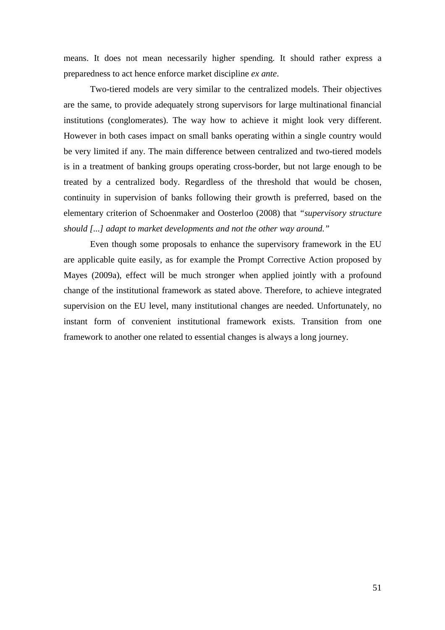means. It does not mean necessarily higher spending. It should rather express a preparedness to act hence enforce market discipline *ex ante*.

 Two-tiered models are very similar to the centralized models. Their objectives are the same, to provide adequately strong supervisors for large multinational financial institutions (conglomerates). The way how to achieve it might look very different. However in both cases impact on small banks operating within a single country would be very limited if any. The main difference between centralized and two-tiered models is in a treatment of banking groups operating cross-border, but not large enough to be treated by a centralized body. Regardless of the threshold that would be chosen, continuity in supervision of banks following their growth is preferred, based on the elementary criterion of Schoenmaker and Oosterloo (2008) that *"supervisory structure should [...] adapt to market developments and not the other way around."*

 Even though some proposals to enhance the supervisory framework in the EU are applicable quite easily, as for example the Prompt Corrective Action proposed by Mayes (2009a), effect will be much stronger when applied jointly with a profound change of the institutional framework as stated above. Therefore, to achieve integrated supervision on the EU level, many institutional changes are needed. Unfortunately, no instant form of convenient institutional framework exists. Transition from one framework to another one related to essential changes is always a long journey.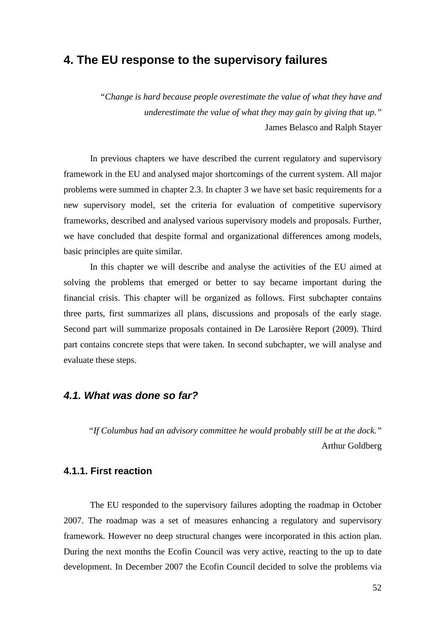# **4. The EU response to the supervisory failures**

*"Change is hard because people overestimate the value of what they have and underestimate the value of what they may gain by giving that up."*  James Belasco and Ralph Stayer

 In previous chapters we have described the current regulatory and supervisory framework in the EU and analysed major shortcomings of the current system. All major problems were summed in chapter 2.3. In chapter 3 we have set basic requirements for a new supervisory model, set the criteria for evaluation of competitive supervisory frameworks, described and analysed various supervisory models and proposals. Further, we have concluded that despite formal and organizational differences among models, basic principles are quite similar.

In this chapter we will describe and analyse the activities of the EU aimed at solving the problems that emerged or better to say became important during the financial crisis. This chapter will be organized as follows. First subchapter contains three parts, first summarizes all plans, discussions and proposals of the early stage. Second part will summarize proposals contained in De Larosière Report (2009). Third part contains concrete steps that were taken. In second subchapter, we will analyse and evaluate these steps.

## **4.1. What was done so far?**

*"If Columbus had an advisory committee he would probably still be at the dock."*  Arthur Goldberg

## **4.1.1. First reaction**

 The EU responded to the supervisory failures adopting the roadmap in October 2007. The roadmap was a set of measures enhancing a regulatory and supervisory framework. However no deep structural changes were incorporated in this action plan. During the next months the Ecofin Council was very active, reacting to the up to date development. In December 2007 the Ecofin Council decided to solve the problems via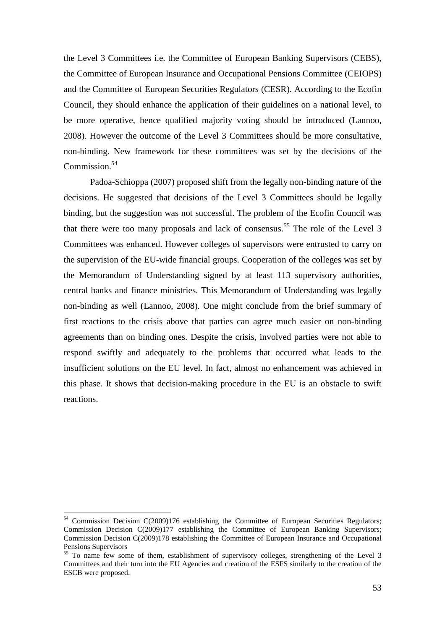the Level 3 Committees i.e. the Committee of European Banking Supervisors (CEBS), the Committee of European Insurance and Occupational Pensions Committee (CEIOPS) and the Committee of European Securities Regulators (CESR). According to the Ecofin Council, they should enhance the application of their guidelines on a national level, to be more operative, hence qualified majority voting should be introduced (Lannoo, 2008). However the outcome of the Level 3 Committees should be more consultative, non-binding. New framework for these committees was set by the decisions of the  $Common<sup>54</sup>$ 

 Padoa-Schioppa (2007) proposed shift from the legally non-binding nature of the decisions. He suggested that decisions of the Level 3 Committees should be legally binding, but the suggestion was not successful. The problem of the Ecofin Council was that there were too many proposals and lack of consensus.<sup>55</sup> The role of the Level  $3$ Committees was enhanced. However colleges of supervisors were entrusted to carry on the supervision of the EU-wide financial groups. Cooperation of the colleges was set by the Memorandum of Understanding signed by at least 113 supervisory authorities, central banks and finance ministries. This Memorandum of Understanding was legally non-binding as well (Lannoo, 2008). One might conclude from the brief summary of first reactions to the crisis above that parties can agree much easier on non-binding agreements than on binding ones. Despite the crisis, involved parties were not able to respond swiftly and adequately to the problems that occurred what leads to the insufficient solutions on the EU level. In fact, almost no enhancement was achieved in this phase. It shows that decision-making procedure in the EU is an obstacle to swift reactions.

<sup>&</sup>lt;sup>54</sup> Commission Decision C(2009)176 establishing the Committee of European Securities Regulators; Commission Decision C(2009)177 establishing the Committee of European Banking Supervisors; Commission Decision C(2009)178 establishing the Committee of European Insurance and Occupational Pensions Supervisors

<sup>&</sup>lt;sup>55</sup> To name few some of them, establishment of supervisory colleges, strengthening of the Level 3 Committees and their turn into the EU Agencies and creation of the ESFS similarly to the creation of the ESCB were proposed.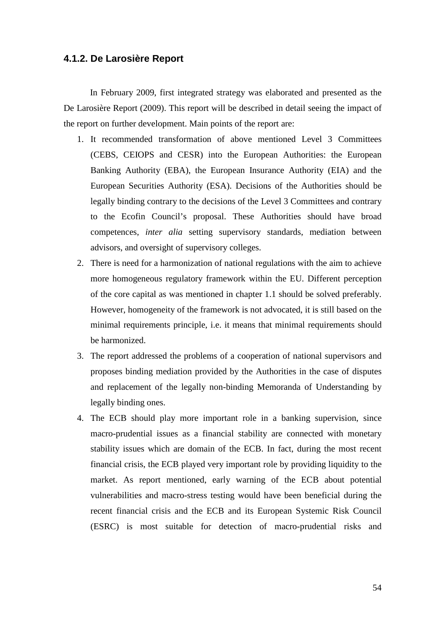### **4.1.2. De Larosière Report**

 In February 2009, first integrated strategy was elaborated and presented as the De Larosière Report (2009). This report will be described in detail seeing the impact of the report on further development. Main points of the report are:

- 1. It recommended transformation of above mentioned Level 3 Committees (CEBS, CEIOPS and CESR) into the European Authorities: the European Banking Authority (EBA), the European Insurance Authority (EIA) and the European Securities Authority (ESA). Decisions of the Authorities should be legally binding contrary to the decisions of the Level 3 Committees and contrary to the Ecofin Council's proposal. These Authorities should have broad competences, *inter alia* setting supervisory standards, mediation between advisors, and oversight of supervisory colleges.
- 2. There is need for a harmonization of national regulations with the aim to achieve more homogeneous regulatory framework within the EU. Different perception of the core capital as was mentioned in chapter 1.1 should be solved preferably. However, homogeneity of the framework is not advocated, it is still based on the minimal requirements principle, i.e. it means that minimal requirements should be harmonized.
- 3. The report addressed the problems of a cooperation of national supervisors and proposes binding mediation provided by the Authorities in the case of disputes and replacement of the legally non-binding Memoranda of Understanding by legally binding ones.
- 4. The ECB should play more important role in a banking supervision, since macro-prudential issues as a financial stability are connected with monetary stability issues which are domain of the ECB. In fact, during the most recent financial crisis, the ECB played very important role by providing liquidity to the market. As report mentioned, early warning of the ECB about potential vulnerabilities and macro-stress testing would have been beneficial during the recent financial crisis and the ECB and its European Systemic Risk Council (ESRC) is most suitable for detection of macro-prudential risks and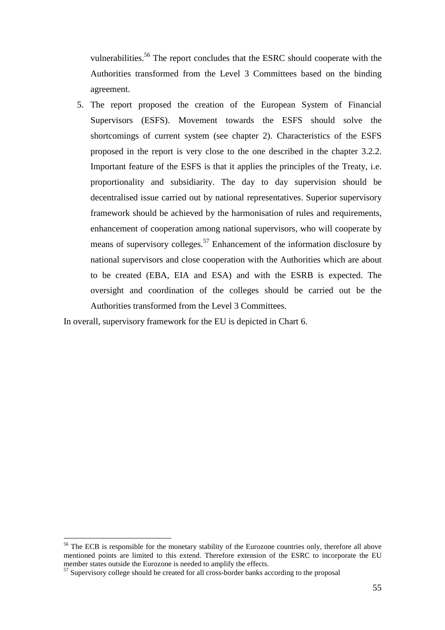vulnerabilities.<sup>56</sup> The report concludes that the ESRC should cooperate with the Authorities transformed from the Level 3 Committees based on the binding agreement.

5. The report proposed the creation of the European System of Financial Supervisors (ESFS). Movement towards the ESFS should solve the shortcomings of current system (see chapter 2). Characteristics of the ESFS proposed in the report is very close to the one described in the chapter 3.2.2. Important feature of the ESFS is that it applies the principles of the Treaty, i.e. proportionality and subsidiarity. The day to day supervision should be decentralised issue carried out by national representatives. Superior supervisory framework should be achieved by the harmonisation of rules and requirements, enhancement of cooperation among national supervisors, who will cooperate by means of supervisory colleges.<sup>57</sup> Enhancement of the information disclosure by national supervisors and close cooperation with the Authorities which are about to be created (EBA, EIA and ESA) and with the ESRB is expected. The oversight and coordination of the colleges should be carried out be the Authorities transformed from the Level 3 Committees.

In overall, supervisory framework for the EU is depicted in Chart 6.

<sup>&</sup>lt;sup>56</sup> The ECB is responsible for the monetary stability of the Eurozone countries only, therefore all above mentioned points are limited to this extend. Therefore extension of the ESRC to incorporate the EU member states outside the Eurozone is needed to amplify the effects.

<sup>&</sup>lt;sup>57</sup> Supervisory college should be created for all cross-border banks according to the proposal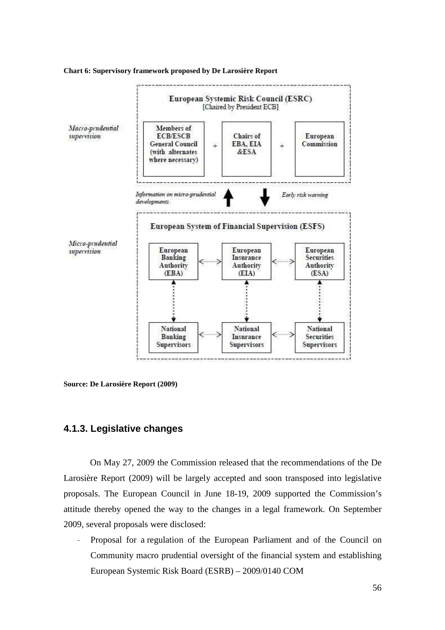

**Chart 6: Supervisory framework proposed by De Larosière Report** 

**Source: De Larosière Report (2009)**

## **4.1.3. Legislative changes**

 On May 27, 2009 the Commission released that the recommendations of the De Larosière Report (2009) will be largely accepted and soon transposed into legislative proposals. The European Council in June 18-19, 2009 supported the Commission's attitude thereby opened the way to the changes in a legal framework. On September 2009, several proposals were disclosed:

Proposal for a regulation of the European Parliament and of the Council on Community macro prudential oversight of the financial system and establishing European Systemic Risk Board (ESRB) – 2009/0140 COM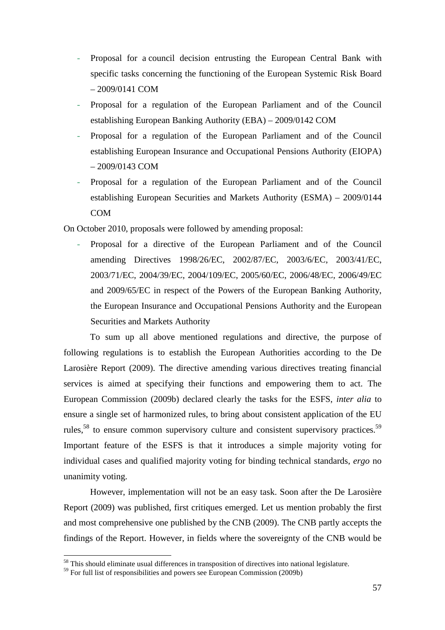- Proposal for a council decision entrusting the European Central Bank with specific tasks concerning the functioning of the European Systemic Risk Board – 2009/0141 COM
- Proposal for a regulation of the European Parliament and of the Council establishing European Banking Authority (EBA) – 2009/0142 COM
- Proposal for a regulation of the European Parliament and of the Council establishing European Insurance and Occupational Pensions Authority (EIOPA) – 2009/0143 COM
- Proposal for a regulation of the European Parliament and of the Council establishing European Securities and Markets Authority (ESMA) – 2009/0144 COM

On October 2010, proposals were followed by amending proposal:

- Proposal for a directive of the European Parliament and of the Council amending Directives 1998/26/EC, 2002/87/EC, 2003/6/EC, 2003/41/EC, 2003/71/EC, 2004/39/EC, 2004/109/EC, 2005/60/EC, 2006/48/EC, 2006/49/EC and 2009/65/EC in respect of the Powers of the European Banking Authority, the European Insurance and Occupational Pensions Authority and the European Securities and Markets Authority

 To sum up all above mentioned regulations and directive, the purpose of following regulations is to establish the European Authorities according to the De Larosière Report (2009). The directive amending various directives treating financial services is aimed at specifying their functions and empowering them to act. The European Commission (2009b) declared clearly the tasks for the ESFS, *inter alia* to ensure a single set of harmonized rules, to bring about consistent application of the EU rules,<sup>58</sup> to ensure common supervisory culture and consistent supervisory practices.<sup>59</sup> Important feature of the ESFS is that it introduces a simple majority voting for individual cases and qualified majority voting for binding technical standards, *ergo* no unanimity voting.

 However, implementation will not be an easy task. Soon after the De Larosière Report (2009) was published, first critiques emerged. Let us mention probably the first and most comprehensive one published by the CNB (2009). The CNB partly accepts the findings of the Report. However, in fields where the sovereignty of the CNB would be

 $58$  This should eliminate usual differences in transposition of directives into national legislature.

 $59$  For full list of responsibilities and powers see European Commission (2009b)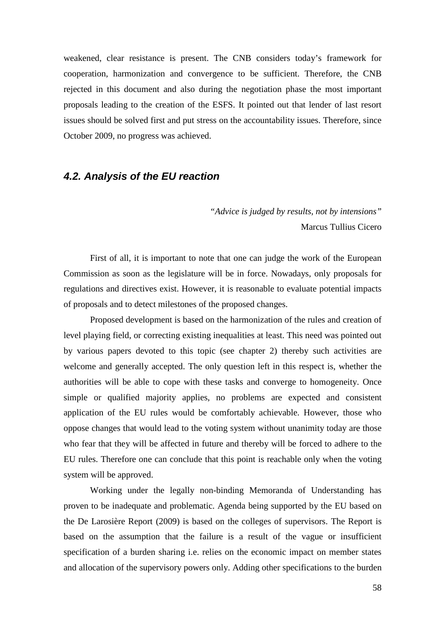weakened, clear resistance is present. The CNB considers today's framework for cooperation, harmonization and convergence to be sufficient. Therefore, the CNB rejected in this document and also during the negotiation phase the most important proposals leading to the creation of the ESFS. It pointed out that lender of last resort issues should be solved first and put stress on the accountability issues. Therefore, since October 2009, no progress was achieved.

# **4.2. Analysis of the EU reaction**

*"Advice is judged by results, not by intensions"*  Marcus Tullius Cicero

 First of all, it is important to note that one can judge the work of the European Commission as soon as the legislature will be in force. Nowadays, only proposals for regulations and directives exist. However, it is reasonable to evaluate potential impacts of proposals and to detect milestones of the proposed changes.

 Proposed development is based on the harmonization of the rules and creation of level playing field, or correcting existing inequalities at least. This need was pointed out by various papers devoted to this topic (see chapter 2) thereby such activities are welcome and generally accepted. The only question left in this respect is, whether the authorities will be able to cope with these tasks and converge to homogeneity. Once simple or qualified majority applies, no problems are expected and consistent application of the EU rules would be comfortably achievable. However, those who oppose changes that would lead to the voting system without unanimity today are those who fear that they will be affected in future and thereby will be forced to adhere to the EU rules. Therefore one can conclude that this point is reachable only when the voting system will be approved.

 Working under the legally non-binding Memoranda of Understanding has proven to be inadequate and problematic. Agenda being supported by the EU based on the De Larosière Report (2009) is based on the colleges of supervisors. The Report is based on the assumption that the failure is a result of the vague or insufficient specification of a burden sharing i.e. relies on the economic impact on member states and allocation of the supervisory powers only. Adding other specifications to the burden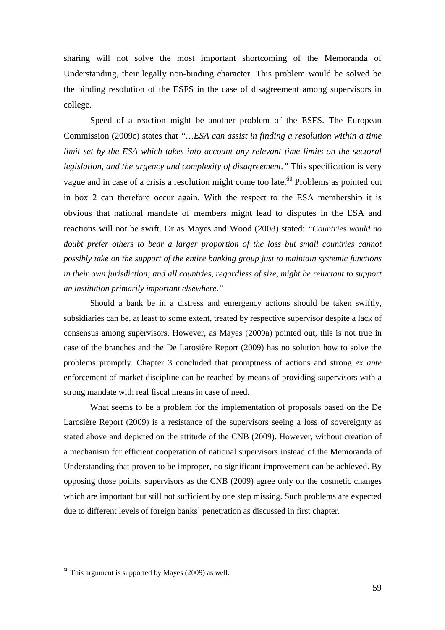sharing will not solve the most important shortcoming of the Memoranda of Understanding, their legally non-binding character. This problem would be solved be the binding resolution of the ESFS in the case of disagreement among supervisors in college.

 Speed of a reaction might be another problem of the ESFS. The European Commission (2009c) states that *"…ESA can assist in finding a resolution within a time limit set by the ESA which takes into account any relevant time limits on the sectoral legislation, and the urgency and complexity of disagreement."* This specification is very vague and in case of a crisis a resolution might come too late.<sup>60</sup> Problems as pointed out in box 2 can therefore occur again. With the respect to the ESA membership it is obvious that national mandate of members might lead to disputes in the ESA and reactions will not be swift. Or as Mayes and Wood (2008) stated: *"Countries would no*  doubt prefer others to bear a larger proportion of the loss but small countries cannot *possibly take on the support of the entire banking group just to maintain systemic functions in their own jurisdiction; and all countries, regardless of size, might be reluctant to support an institution primarily important elsewhere."* 

 Should a bank be in a distress and emergency actions should be taken swiftly, subsidiaries can be, at least to some extent, treated by respective supervisor despite a lack of consensus among supervisors. However, as Mayes (2009a) pointed out, this is not true in case of the branches and the De Larosière Report (2009) has no solution how to solve the problems promptly. Chapter 3 concluded that promptness of actions and strong *ex ante* enforcement of market discipline can be reached by means of providing supervisors with a strong mandate with real fiscal means in case of need.

 What seems to be a problem for the implementation of proposals based on the De Larosière Report (2009) is a resistance of the supervisors seeing a loss of sovereignty as stated above and depicted on the attitude of the CNB (2009). However, without creation of a mechanism for efficient cooperation of national supervisors instead of the Memoranda of Understanding that proven to be improper, no significant improvement can be achieved. By opposing those points, supervisors as the CNB (2009) agree only on the cosmetic changes which are important but still not sufficient by one step missing. Such problems are expected due to different levels of foreign banks` penetration as discussed in first chapter.

 $60$  This argument is supported by Mayes (2009) as well.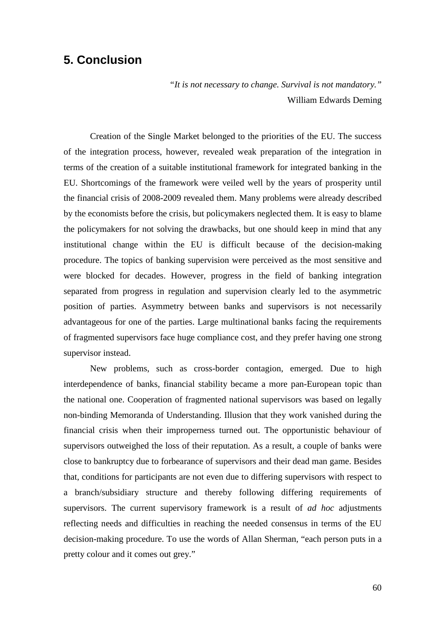# **5. Conclusion**

*"It is not necessary to change. Survival is not mandatory."*  William Edwards Deming

 Creation of the Single Market belonged to the priorities of the EU. The success of the integration process, however, revealed weak preparation of the integration in terms of the creation of a suitable institutional framework for integrated banking in the EU. Shortcomings of the framework were veiled well by the years of prosperity until the financial crisis of 2008-2009 revealed them. Many problems were already described by the economists before the crisis, but policymakers neglected them. It is easy to blame the policymakers for not solving the drawbacks, but one should keep in mind that any institutional change within the EU is difficult because of the decision-making procedure. The topics of banking supervision were perceived as the most sensitive and were blocked for decades. However, progress in the field of banking integration separated from progress in regulation and supervision clearly led to the asymmetric position of parties. Asymmetry between banks and supervisors is not necessarily advantageous for one of the parties. Large multinational banks facing the requirements of fragmented supervisors face huge compliance cost, and they prefer having one strong supervisor instead.

New problems, such as cross-border contagion, emerged. Due to high interdependence of banks, financial stability became a more pan-European topic than the national one. Cooperation of fragmented national supervisors was based on legally non-binding Memoranda of Understanding. Illusion that they work vanished during the financial crisis when their improperness turned out. The opportunistic behaviour of supervisors outweighed the loss of their reputation. As a result, a couple of banks were close to bankruptcy due to forbearance of supervisors and their dead man game. Besides that, conditions for participants are not even due to differing supervisors with respect to a branch/subsidiary structure and thereby following differing requirements of supervisors. The current supervisory framework is a result of *ad hoc* adjustments reflecting needs and difficulties in reaching the needed consensus in terms of the EU decision-making procedure. To use the words of Allan Sherman, "each person puts in a pretty colour and it comes out grey."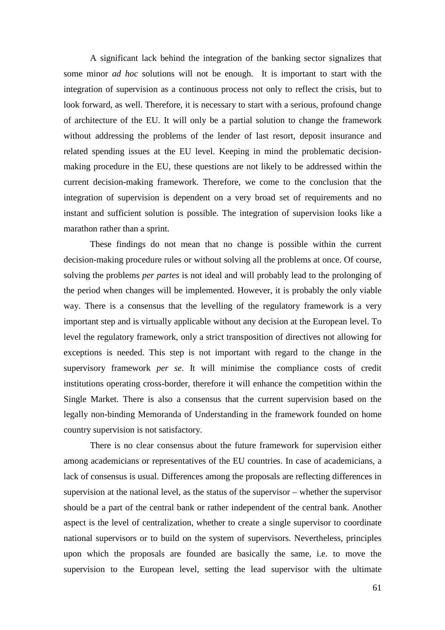A significant lack behind the integration of the banking sector signalizes that some minor *ad hoc* solutions will not be enough. It is important to start with the integration of supervision as a continuous process not only to reflect the crisis, but to look forward, as well. Therefore, it is necessary to start with a serious, profound change of architecture of the EU. It will only be a partial solution to change the framework without addressing the problems of the lender of last resort, deposit insurance and related spending issues at the EU level. Keeping in mind the problematic decisionmaking procedure in the EU, these questions are not likely to be addressed within the current decision-making framework. Therefore, we come to the conclusion that the integration of supervision is dependent on a very broad set of requirements and no instant and sufficient solution is possible. The integration of supervision looks like a marathon rather than a sprint.

These findings do not mean that no change is possible within the current decision-making procedure rules or without solving all the problems at once. Of course, solving the problems *per partes* is not ideal and will probably lead to the prolonging of the period when changes will be implemented. However, it is probably the only viable way. There is a consensus that the levelling of the regulatory framework is a very important step and is virtually applicable without any decision at the European level. To level the regulatory framework, only a strict transposition of directives not allowing for exceptions is needed. This step is not important with regard to the change in the supervisory framework *per se*. It will minimise the compliance costs of credit institutions operating cross-border, therefore it will enhance the competition within the Single Market. There is also a consensus that the current supervision based on the legally non-binding Memoranda of Understanding in the framework founded on home country supervision is not satisfactory.

There is no clear consensus about the future framework for supervision either among academicians or representatives of the EU countries. In case of academicians, a lack of consensus is usual. Differences among the proposals are reflecting differences in supervision at the national level, as the status of the supervisor – whether the supervisor should be a part of the central bank or rather independent of the central bank. Another aspect is the level of centralization, whether to create a single supervisor to coordinate national supervisors or to build on the system of supervisors. Nevertheless, principles upon which the proposals are founded are basically the same, i.e. to move the supervision to the European level, setting the lead supervisor with the ultimate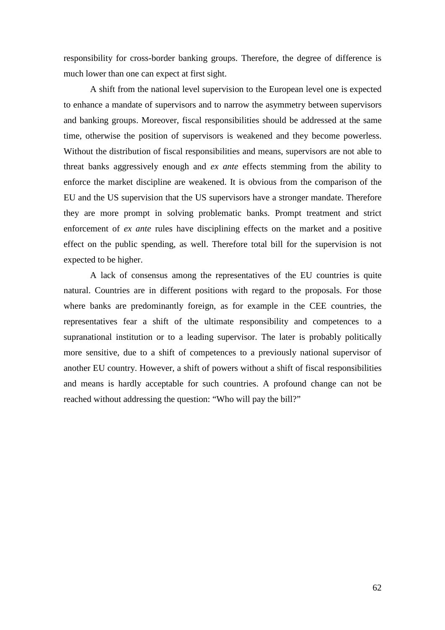responsibility for cross-border banking groups. Therefore, the degree of difference is much lower than one can expect at first sight.

A shift from the national level supervision to the European level one is expected to enhance a mandate of supervisors and to narrow the asymmetry between supervisors and banking groups. Moreover, fiscal responsibilities should be addressed at the same time, otherwise the position of supervisors is weakened and they become powerless. Without the distribution of fiscal responsibilities and means, supervisors are not able to threat banks aggressively enough and *ex ante* effects stemming from the ability to enforce the market discipline are weakened. It is obvious from the comparison of the EU and the US supervision that the US supervisors have a stronger mandate. Therefore they are more prompt in solving problematic banks. Prompt treatment and strict enforcement of *ex ante* rules have disciplining effects on the market and a positive effect on the public spending, as well. Therefore total bill for the supervision is not expected to be higher.

A lack of consensus among the representatives of the EU countries is quite natural. Countries are in different positions with regard to the proposals. For those where banks are predominantly foreign, as for example in the CEE countries, the representatives fear a shift of the ultimate responsibility and competences to a supranational institution or to a leading supervisor. The later is probably politically more sensitive, due to a shift of competences to a previously national supervisor of another EU country. However, a shift of powers without a shift of fiscal responsibilities and means is hardly acceptable for such countries. A profound change can not be reached without addressing the question: "Who will pay the bill?"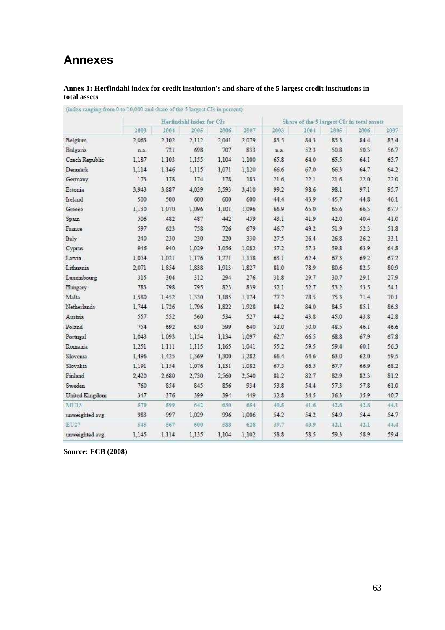# **Annexes**

### **Annex 1: Herfindahl index for credit institution's and share of the 5 largest credit institutions in total assets**

|                 |       | Herfindahl index for CIs |       |       |       |      | Share of the 5 largest CIs in total assets |      |      |      |  |
|-----------------|-------|--------------------------|-------|-------|-------|------|--------------------------------------------|------|------|------|--|
|                 | 2003  | 2004                     | 2005  | 2006  | 2087  | 2003 | 2004                                       | 2005 | 2006 | 2007 |  |
| Belgium         | 2.063 | 2.102                    | 2.112 | 2.041 | 2.079 | 83.5 | 84.3                                       | 85.3 | 84.4 | 83.4 |  |
| Bulgaria        | n.a.  | 721                      | 698   | 707   | 833   | n.a. | 52.3                                       | 50.8 | 50.3 | 56.7 |  |
| Czech Republic  | 1.187 | 1.103                    | 1.155 | 1.104 | 1,100 | 65.8 | 64.0                                       | 65.5 | 64.1 | 65.7 |  |
| Denmark         | 1.114 | 1.146                    | 1.115 | 1.071 | 1,120 | 66.6 | 67.0                                       | 66.3 | 64.7 | 64.2 |  |
| Germany         | 173   | 178                      | 174   | 178   | 183   | 21.6 | 22.1                                       | 21.6 | 22.0 | 22.0 |  |
| Estonia         | 3.943 | 3,887                    | 4,039 | 3.593 | 3,410 | 99.2 | 98.6                                       | 98.1 | 97.1 | 95.7 |  |
| Ireland         | 500   | 500                      | 600   | 600   | 600   | 44.4 | 43.9                                       | 45.7 | 44.8 | 46.1 |  |
| Greece          | 1.130 | 1.070                    | 1.096 | 1.101 | 1.096 | 669  | 65.0                                       | 65.6 | 66.3 | 677  |  |
| Spain           | 506   | 482                      | 487   | 442   | 459   | 43.1 | 41.9                                       | 42.0 | 40.4 | 41.0 |  |
| France          | 597   | 623                      | 758   | 726   | 679   | 46.7 | 49.2                                       | 51.9 | 52.3 | 51.8 |  |
| Italy           | 240   | 230                      | 230   | 220   | 330   | 27.5 | 26.4                                       | 26.8 | 26.2 | 33.1 |  |
| Cyprus          | 946   | 940                      | 1.029 | 1.056 | 1.082 | 57.2 | 57.3                                       | 59.8 | 63.9 | 64.8 |  |
| Latvia          | 1.054 | 1.021                    | 1.176 | 1.271 | 1.158 | 63.1 | 62.4                                       | 67.3 | 69.2 | 67.2 |  |
| Lithuania       | 2.071 | 1.854                    | 1.838 | 1.913 | 1,827 | 81.0 | 78.9                                       | 80.6 | 82.5 | 80.9 |  |
| Luxembourg      | 315   | 304                      | 312   | 294   | 276   | 31.8 | 29.7                                       | 30.7 | 29.1 | 27.9 |  |
| Hungary         | 783   | 798                      | 795   | 823   | 839   | 52.1 | 52.7                                       | 53.2 | 53.5 | 54.1 |  |
| Malta           | 1.580 | 1.452                    | 1.330 | 1.185 | 1.174 | 77.7 | 78.5                                       | 75.3 | 71.4 | 70.1 |  |
| Netherlands     | 1.744 | 1.726                    | 1.796 | 1.822 | 1.928 | 84.2 | 84.0                                       | 84.5 | 85.1 | 86.3 |  |
| Austria         | 557   | 552                      | 560   | 534   | 527   | 44.2 | 43.8                                       | 45.0 | 43.8 | 42.8 |  |
| Poland          | 754   | 692                      | 650   | 599   | 640   | 52.0 | 50.0                                       | 48.5 | 46.1 | 46.6 |  |
| Portugal        | 1.043 | 1.093                    | 1.154 | 1.134 | 1.097 | 62.7 | 66.5                                       | 68.8 | 67.9 | 67.8 |  |
| Romania         | 1.251 | 1,111                    | 1,115 | 1.165 | 1,041 | 55.2 | 59.5                                       | 59.4 | 60.1 | 56.3 |  |
| Slovenia        | 1.496 | 1,425                    | 1,369 | 1.300 | 1,282 | 66.4 | 64.6                                       | 63.0 | 62.0 | 59.5 |  |
| Slovakia        | 1,191 | 1,154                    | 1,076 | 1.131 | 1.082 | 67.5 | 66.5                                       | 67.7 | 66.9 | 68.2 |  |
| Finland         | 2.420 | 2.680                    | 2,730 | 2.560 | 2.540 | 81.2 | 82.7                                       | 82.9 | 82.3 | 81.2 |  |
| Sweden          | 760   | 854                      | 845   | 856   | 934   | 53.8 | 54.4                                       | 57.3 | 57.8 | 61.0 |  |
| United Kingdom  | 347   | 376                      | 399   | 394   | 449   | 32.8 | 34.5                                       | 36.3 | 35.9 | 407  |  |
| MU13            | 579   | 599                      | 642   | 630   | 654   | 40.5 | 41.6                                       | 42.6 | 42.8 | 44.1 |  |
| unweighted avg. | 983   | 997                      | 1.029 | 996   | 1.006 | 54.2 | 54.2                                       | 54.9 | 54.4 | 54.7 |  |
| ET127           | 545   | 567                      | 600   | 588   | 528   | 39.7 | 40.9                                       | 42.1 | 42.1 | 44.4 |  |
| unweighted avg. | 1.145 | 1.114                    | 1.135 | 1.104 | 1,102 | 58.8 | 58.5                                       | 59.3 | 58.9 | 59.4 |  |

(index ranging from 0 to  $10{,}000$  and share of the 5 largest CIs in percent)

**Source: ECB (2008)**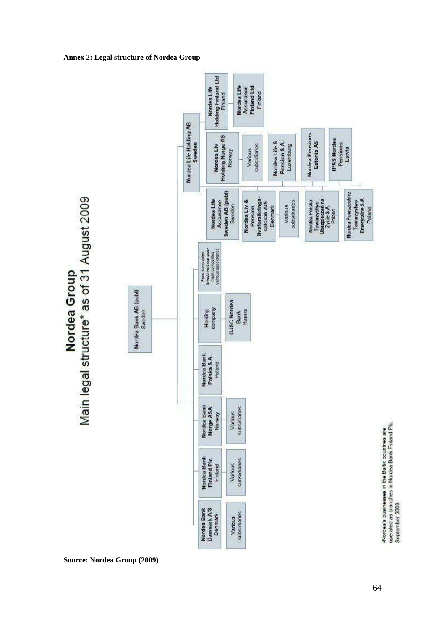

#### **Annex 2: Legal structure of Nordea Group**

**Source: Nordea Group (2009)**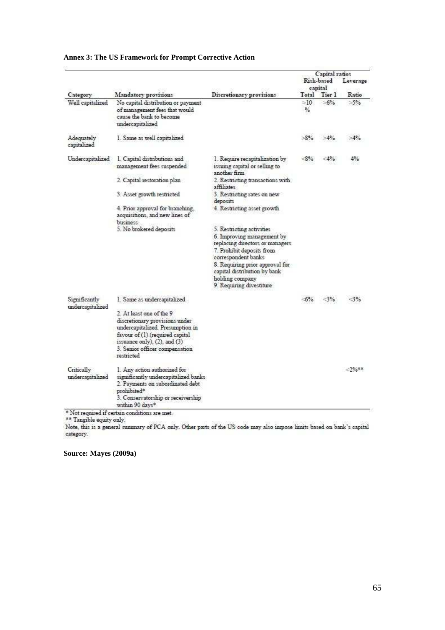| Category                          |                                                                                                                                                                                                                  |                                                                                                                                                                                                                                                                  |                       | Capital ratios<br>Leverage |          |
|-----------------------------------|------------------------------------------------------------------------------------------------------------------------------------------------------------------------------------------------------------------|------------------------------------------------------------------------------------------------------------------------------------------------------------------------------------------------------------------------------------------------------------------|-----------------------|----------------------------|----------|
|                                   |                                                                                                                                                                                                                  |                                                                                                                                                                                                                                                                  | Risk-based<br>capital |                            |          |
|                                   | Mandatory provisions                                                                                                                                                                                             | Discretionary provisions                                                                                                                                                                                                                                         | Total                 | Tier 1                     | Ratio    |
| Well capitalized                  | No capital distribution or payment<br>of management fees that would<br>cause the bank to become<br>undercapitalized                                                                                              |                                                                                                                                                                                                                                                                  | >10<br>%              | $>6\%$                     | $>5\%$   |
| Adequately<br>capitalized         | I. Same as well capitalized                                                                                                                                                                                      |                                                                                                                                                                                                                                                                  | $>8\%$                | >4%                        | $>4\%$   |
| Undercapitalized                  | 1. Capital distributions and<br>management fees suspended                                                                                                                                                        | I. Require recapitalization by<br>issuing capital or selling to<br>another firm                                                                                                                                                                                  | -8%                   | $-4%$                      | 4%       |
|                                   | 2. Capital restoration plan                                                                                                                                                                                      | 2. Restricting transactions with<br>affiliates                                                                                                                                                                                                                   |                       |                            |          |
|                                   | 3. Asset growth restricted                                                                                                                                                                                       | 3. Restricting rates on new<br>deposits                                                                                                                                                                                                                          |                       |                            |          |
|                                   | 4. Prior approval for branching,<br>acquisitions, and new lines of<br>business                                                                                                                                   | 4. Restricting asset growth                                                                                                                                                                                                                                      |                       |                            |          |
|                                   | 5. No brokered deposits                                                                                                                                                                                          | 5. Restricting activities<br>6. Improving management by<br>replacing directors or managers<br>7. Prohibit deposits from<br>correspondent banks<br>8. Requiring prior approval for<br>capital distribution by bank<br>holding company<br>9. Requiring divestiture |                       |                            |          |
| Significantly<br>undercapitalized | 1. Same as undercapitalized                                                                                                                                                                                      |                                                                                                                                                                                                                                                                  | -6%                   | <3%                        | $-3%$    |
|                                   | 2. At least one of the 9<br>discretionary provisions under<br>undercapitalized. Presumption in<br>favour of (1) (required capital<br>issuance only), (2), and (3)<br>3. Semor officer compensation<br>restricted |                                                                                                                                                                                                                                                                  |                       |                            |          |
| Critically<br>undercapitalized    | 1. Any action authorized for<br>significantly undercapitalized banks<br>2. Payments on subordinated debt<br>prohibited*<br>3. Conservatorship or receivership<br>within 90 days*                                 |                                                                                                                                                                                                                                                                  |                       |                            | $-2\%**$ |

### **Annex 3: The US Framework for Prompt Corrective Action**

\* Not required if certain conditions are met.<br>\*\* Tangible equity only.<br>Note, this is a general summary of PCA only. Other parts of the US code may also impose limits based on bank's capital category.

**Source: Mayes (2009a)**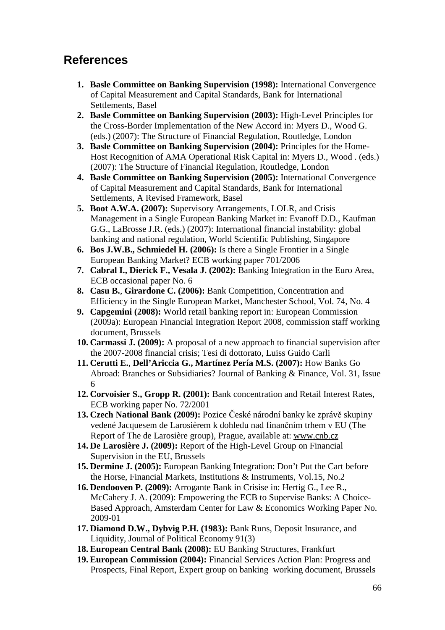# **References**

- **1. Basle Committee on Banking Supervision (1998):** International Convergence of Capital Measurement and Capital Standards, Bank for International Settlements, Basel
- **2. Basle Committee on Banking Supervision (2003):** High-Level Principles for the Cross-Border Implementation of the New Accord in: Myers D., Wood G. (eds.) (2007): The Structure of Financial Regulation, Routledge, London
- **3. Basle Committee on Banking Supervision (2004):** Principles for the Home-Host Recognition of AMA Operational Risk Capital in: Myers D., Wood . (eds.) (2007): The Structure of Financial Regulation, Routledge, London
- **4. Basle Committee on Banking Supervision (2005):** International Convergence of Capital Measurement and Capital Standards, Bank for International Settlements, A Revised Framework, Basel
- **5. Boot A.W.A. (2007):** Supervisory Arrangements, LOLR, and Crisis Management in a Single European Banking Market in: Evanoff D.D., Kaufman G.G., LaBrosse J.R. (eds.) (2007): International financial instability: global banking and national regulation, World Scientific Publishing, Singapore
- **6. Bos J.W.B., Schmiedel H. (2006):** Is there a Single Frontier in a Single European Banking Market? ECB working paper 701/2006
- **7. Cabral I., Dierick F., Vesala J. (2002):** Banking Integration in the Euro Area, ECB occasional paper No. 6
- **8. Casu B.**, **Girardone C. (2006):** Bank Competition, Concentration and Efficiency in the Single European Market, Manchester School, Vol. 74, No. 4
- **9. Capgemini (2008):** World retail banking report in: European Commission (2009a): European Financial Integration Report 2008, commission staff working document, Brussels
- **10. Carmassi J. (2009):** A proposal of a new approach to financial supervision after the 2007-2008 financial crisis; Tesi di dottorato, Luiss Guido Carli
- **11. Cerutti E.**, **Dell'Ariccia G., Martínez Pería M.S. (2007):** How Banks Go Abroad: Branches or Subsidiaries? Journal of Banking & Finance, Vol. 31, Issue 6
- **12. Corvoisier S., Gropp R. (2001):** Bank concentration and Retail Interest Rates, ECB working paper No. 72/2001
- **13. Czech National Bank (2009):** Pozice České národní banky ke zprávě skupiny vedené Jacquesem de Larosièrem k dohledu nad finančním trhem v EU (The Report of The de Larosière group), Prague, available at: www.cnb.cz
- **14. De Larosière J. (2009):** Report of the High-Level Group on Financial Supervision in the EU, Brussels
- **15. Dermine J. (2005):** European Banking Integration: Don't Put the Cart before the Horse, Financial Markets, Institutions & Instruments, Vol.15, No.2
- **16. Dendooven P. (2009):** Arrogante Bank in Crisise in: Hertig G., Lee R., McCahery J. A. (2009): Empowering the ECB to Supervise Banks: A Choice-Based Approach, Amsterdam Center for Law & Economics Working Paper No. 2009-01
- **17. Diamond D.W., Dybvig P.H. (1983):** Bank Runs, Deposit Insurance, and Liquidity, Journal of Political Economy 91(3)
- **18. European Central Bank (2008):** EU Banking Structures, Frankfurt
- **19. European Commission (2004):** Financial Services Action Plan: Progress and Prospects, Final Report, Expert group on banking working document, Brussels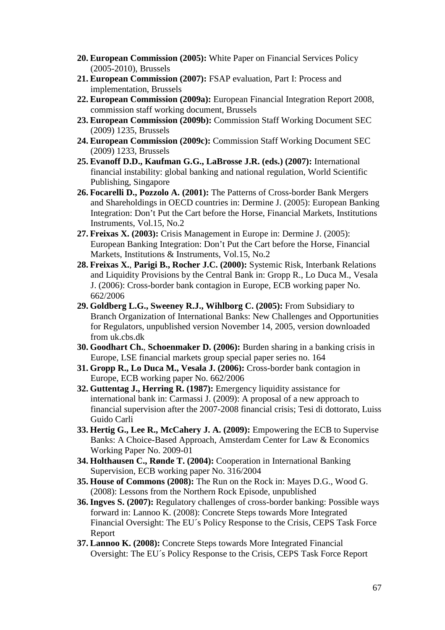- **20. European Commission (2005):** White Paper on Financial Services Policy (2005-2010), Brussels
- **21. European Commission (2007):** FSAP evaluation, Part I: Process and implementation, Brussels
- **22. European Commission (2009a):** European Financial Integration Report 2008, commission staff working document, Brussels
- **23. European Commission (2009b):** Commission Staff Working Document SEC (2009) 1235, Brussels
- **24. European Commission (2009c):** Commission Staff Working Document SEC (2009) 1233, Brussels
- **25. Evanoff D.D., Kaufman G.G., LaBrosse J.R. (eds.) (2007):** International financial instability: global banking and national regulation, World Scientific Publishing, Singapore
- **26. Focarelli D., Pozzolo A. (2001):** The Patterns of Cross-border Bank Mergers and Shareholdings in OECD countries in: Dermine J. (2005): European Banking Integration: Don't Put the Cart before the Horse, Financial Markets, Institutions Instruments, Vol.15, No.2
- **27. Freixas X. (2003):** Crisis Management in Europe in: Dermine J. (2005): European Banking Integration: Don't Put the Cart before the Horse, Financial Markets, Institutions & Instruments, Vol.15, No.2
- **28. Freixas X.**, **Parigi B., Rocher J.C. (2000):** Systemic Risk, Interbank Relations and Liquidity Provisions by the Central Bank in: Gropp R., Lo Duca M., Vesala J. (2006): Cross-border bank contagion in Europe, ECB working paper No. 662/2006
- **29. Goldberg L.G., Sweeney R.J., Wihlborg C. (2005):** From Subsidiary to Branch Organization of International Banks: New Challenges and Opportunities for Regulators, unpublished version November 14, 2005, version downloaded from uk.cbs.dk
- **30. Goodhart Ch.**, **Schoenmaker D. (2006):** Burden sharing in a banking crisis in Europe, LSE financial markets group special paper series no. 164
- **31. Gropp R., Lo Duca M., Vesala J. (2006):** Cross-border bank contagion in Europe, ECB working paper No. 662/2006
- **32. Guttentag J., Herring R. (1987):** Emergency liquidity assistance for international bank in: Carmassi J. (2009): A proposal of a new approach to financial supervision after the 2007-2008 financial crisis; Tesi di dottorato, Luiss Guido Carli
- **33. Hertig G., Lee R., McCahery J. A. (2009):** Empowering the ECB to Supervise Banks: A Choice-Based Approach, Amsterdam Center for Law & Economics Working Paper No. 2009-01
- **34. Holthausen C., Rønde T. (2004):** Cooperation in International Banking Supervision, ECB working paper No. 316/2004
- **35. House of Commons (2008):** The Run on the Rock in: Mayes D.G., Wood G. (2008): Lessons from the Northern Rock Episode, unpublished
- **36. Ingves S. (2007):** Regulatory challenges of cross-border banking: Possible ways forward in: Lannoo K. (2008): Concrete Steps towards More Integrated Financial Oversight: The EU´s Policy Response to the Crisis, CEPS Task Force Report
- **37. Lannoo K. (2008):** Concrete Steps towards More Integrated Financial Oversight: The EU´s Policy Response to the Crisis, CEPS Task Force Report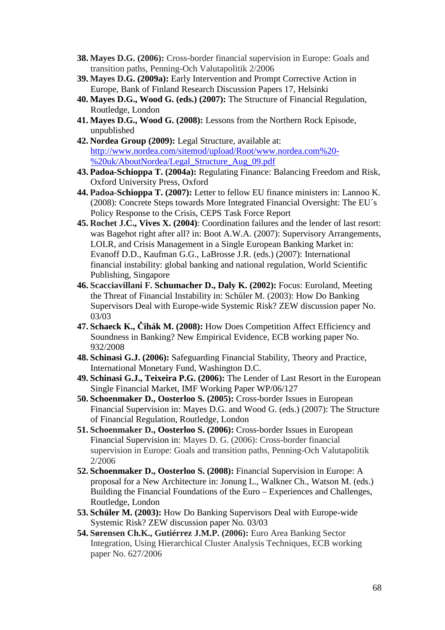- **38. Mayes D.G. (2006):** Cross-border financial supervision in Europe: Goals and transition paths, Penning-Och Valutapolitik 2/2006
- **39. Mayes D.G. (2009a):** Early Intervention and Prompt Corrective Action in Europe, Bank of Finland Research Discussion Papers 17, Helsinki
- **40. Mayes D.G., Wood G. (eds.) (2007):** The Structure of Financial Regulation, Routledge, London
- **41. Mayes D.G., Wood G. (2008):** Lessons from the Northern Rock Episode, unpublished
- **42. Nordea Group (2009):** Legal Structure, available at: http://www.nordea.com/sitemod/upload/Root/www.nordea.com%20- %20uk/AboutNordea/Legal\_Structure\_Aug\_09.pdf
- **43. Padoa-Schioppa T. (2004a):** Regulating Finance: Balancing Freedom and Risk, Oxford University Press, Oxford
- **44. Padoa-Schioppa T. (2007):** Letter to fellow EU finance ministers in: Lannoo K. (2008): Concrete Steps towards More Integrated Financial Oversight: The EU´s Policy Response to the Crisis, CEPS Task Force Report
- **45. Rochet J.C., Vives X. (2004)**: Coordination failures and the lender of last resort: was Bagehot right after all? in: Boot A.W.A. (2007): Supervisory Arrangements, LOLR, and Crisis Management in a Single European Banking Market in: Evanoff D.D., Kaufman G.G., LaBrosse J.R. (eds.) (2007): International financial instability: global banking and national regulation, World Scientific Publishing, Singapore
- **46. Scacciavillani F. Schumacher D., Daly K. (2002):** Focus: Euroland, Meeting the Threat of Financial Instability in: Schőler M. (2003): How Do Banking Supervisors Deal with Europe-wide Systemic Risk? ZEW discussion paper No. 03/03
- **47. Schaeck K., Čihák M. (2008):** How Does Competition Affect Efficiency and Soundness in Banking? New Empirical Evidence, ECB working paper No. 932/2008
- **48. Schinasi G.J. (2006):** Safeguarding Financial Stability, Theory and Practice, International Monetary Fund, Washington D.C.
- **49. Schinasi G.J., Teixeira P.G. (2006):** The Lender of Last Resort in the European Single Financial Market, IMF Working Paper WP/06/127
- **50. Schoenmaker D., Oosterloo S. (2005):** Cross-border Issues in European Financial Supervision in: Mayes D.G. and Wood G. (eds.) (2007): The Structure of Financial Regulation, Routledge, London
- **51. Schoenmaker D., Oosterloo S. (2006):** Cross-border Issues in European Financial Supervision in: Mayes D. G. (2006): Cross-border financial supervision in Europe: Goals and transition paths, Penning-Och Valutapolitik 2/2006
- **52. Schoenmaker D., Oosterloo S. (2008):** Financial Supervision in Europe: A proposal for a New Architecture in: Jonung L., Walkner Ch., Watson M. (eds.) Building the Financial Foundations of the Euro – Experiences and Challenges, Routledge, London
- **53. Schőler M. (2003):** How Do Banking Supervisors Deal with Europe-wide Systemic Risk? ZEW discussion paper No. 03/03
- **54. Sørensen Ch.K., Gutiérrez J.M.P. (2006):** Euro Area Banking Sector Integration, Using Hierarchical Cluster Analysis Techniques, ECB working paper No. 627/2006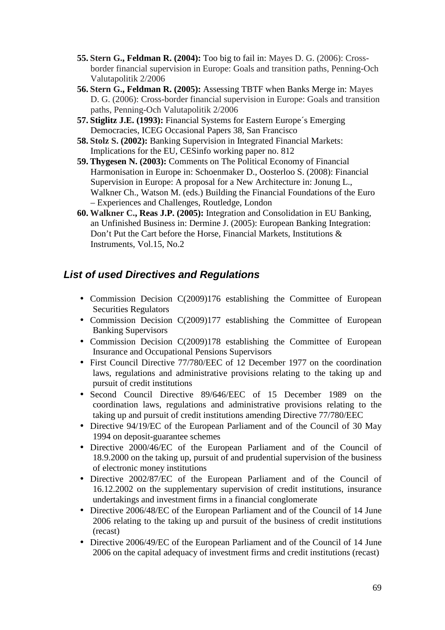- **55. Stern G., Feldman R. (2004):** Too big to fail in: Mayes D. G. (2006): Crossborder financial supervision in Europe: Goals and transition paths, Penning-Och Valutapolitik 2/2006
- **56. Stern G., Feldman R. (2005):** Assessing TBTF when Banks Merge in: Mayes D. G. (2006): Cross-border financial supervision in Europe: Goals and transition paths, Penning-Och Valutapolitik 2/2006
- **57. Stiglitz J.E. (1993):** Financial Systems for Eastern Europe´s Emerging Democracies, ICEG Occasional Papers 38, San Francisco
- **58. Stolz S. (2002):** Banking Supervision in Integrated Financial Markets: Implications for the EU, CESinfo working paper no. 812
- **59. Thygesen N. (2003):** Comments on The Political Economy of Financial Harmonisation in Europe in: Schoenmaker D., Oosterloo S. (2008): Financial Supervision in Europe: A proposal for a New Architecture in: Jonung L., Walkner Ch., Watson M. (eds.) Building the Financial Foundations of the Euro – Experiences and Challenges, Routledge, London
- **60. Walkner C., Reas J.P. (2005):** Integration and Consolidation in EU Banking, an Unfinished Business in: Dermine J. (2005): European Banking Integration: Don't Put the Cart before the Horse, Financial Markets, Institutions & Instruments, Vol.15, No.2

## **List of used Directives and Regulations**

- Commission Decision C(2009)176 establishing the Committee of European Securities Regulators
- Commission Decision C(2009)177 establishing the Committee of European Banking Supervisors
- Commission Decision C(2009)178 establishing the Committee of European Insurance and Occupational Pensions Supervisors
- First Council Directive 77/780/EEC of 12 December 1977 on the coordination laws, regulations and administrative provisions relating to the taking up and pursuit of credit institutions
- Second Council Directive 89/646/EEC of 15 December 1989 on the coordination laws, regulations and administrative provisions relating to the taking up and pursuit of credit institutions amending Directive 77/780/EEC
- Directive 94/19/EC of the European Parliament and of the Council of 30 May 1994 on deposit-guarantee schemes
- Directive 2000/46/EC of the European Parliament and of the Council of 18.9.2000 on the taking up, pursuit of and prudential supervision of the business of electronic money institutions
- Directive 2002/87/EC of the European Parliament and of the Council of 16.12.2002 on the supplementary supervision of credit institutions, insurance undertakings and investment firms in a financial conglomerate
- Directive 2006/48/EC of the European Parliament and of the Council of 14 June 2006 relating to the taking up and pursuit of the business of credit institutions (recast)
- Directive 2006/49/EC of the European Parliament and of the Council of 14 June 2006 on the capital adequacy of investment firms and credit institutions (recast)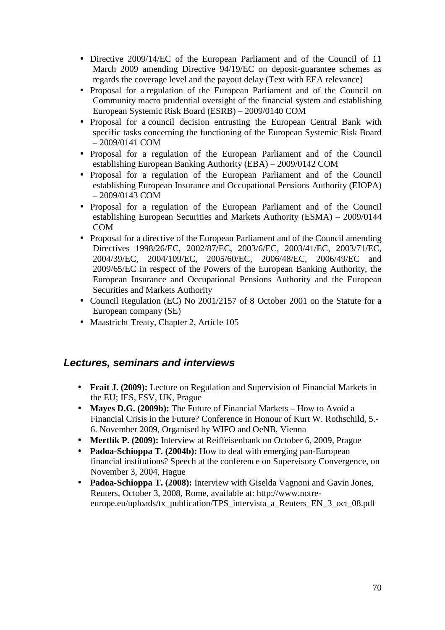- Directive 2009/14/EC of the European Parliament and of the Council of 11 March 2009 amending Directive 94/19/EC on deposit-guarantee schemes as regards the coverage level and the payout delay (Text with EEA relevance)
- Proposal for a regulation of the European Parliament and of the Council on Community macro prudential oversight of the financial system and establishing European Systemic Risk Board (ESRB) – 2009/0140 COM
- Proposal for a council decision entrusting the European Central Bank with specific tasks concerning the functioning of the European Systemic Risk Board – 2009/0141 COM
- Proposal for a regulation of the European Parliament and of the Council establishing European Banking Authority (EBA) – 2009/0142 COM
- Proposal for a regulation of the European Parliament and of the Council establishing European Insurance and Occupational Pensions Authority (EIOPA) – 2009/0143 COM
- Proposal for a regulation of the European Parliament and of the Council establishing European Securities and Markets Authority (ESMA) – 2009/0144 COM
- Proposal for a directive of the European Parliament and of the Council amending Directives 1998/26/EC, 2002/87/EC, 2003/6/EC, 2003/41/EC, 2003/71/EC, 2004/39/EC, 2004/109/EC, 2005/60/EC, 2006/48/EC, 2006/49/EC and 2009/65/EC in respect of the Powers of the European Banking Authority, the European Insurance and Occupational Pensions Authority and the European Securities and Markets Authority
- Council Regulation (EC) No 2001/2157 of 8 October 2001 on the Statute for a European company (SE)
- Maastricht Treaty, Chapter 2, Article 105

## **Lectures, seminars and interviews**

- **Frait J. (2009):** Lecture on Regulation and Supervision of Financial Markets in the EU; IES, FSV, UK, Prague
- **Mayes D.G. (2009b):** The Future of Financial Markets How to Avoid a Financial Crisis in the Future? Conference in Honour of Kurt W. Rothschild, 5.- 6. November 2009, Organised by WIFO and OeNB, Vienna
- **Mertlík P. (2009):** Interview at Reiffeisenbank on October 6, 2009, Prague
- **Padoa-Schioppa T. (2004b):** How to deal with emerging pan-European financial institutions? Speech at the conference on Supervisory Convergence, on November 3, 2004, Hague
- **Padoa-Schioppa T. (2008):** Interview with Giselda Vagnoni and Gavin Jones, Reuters, October 3, 2008, Rome, available at: http://www.notreeurope.eu/uploads/tx\_publication/TPS\_intervista\_a\_Reuters\_EN\_3\_oct\_08.pdf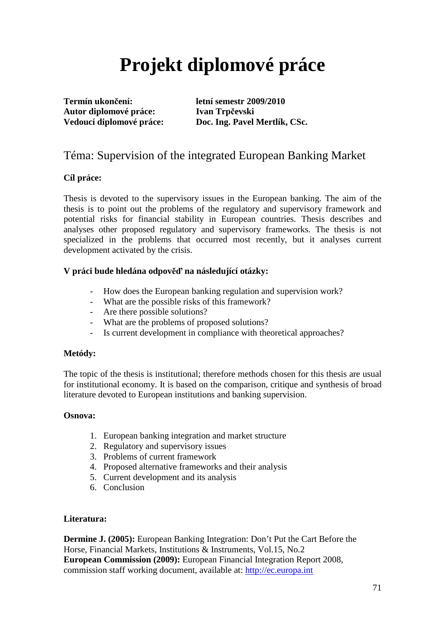# **Projekt diplomové práce**

**Termín ukončení: letní semestr 2009/2010 Autor diplomové práce: Ivan Trpčevski** 

**Vedoucí diplomové práce: Doc. Ing. Pavel Mertlík, CSc.** 

## Téma: Supervision of the integrated European Banking Market

### **Cíl práce:**

Thesis is devoted to the supervisory issues in the European banking. The aim of the thesis is to point out the problems of the regulatory and supervisory framework and potential risks for financial stability in European countries. Thesis describes and analyses other proposed regulatory and supervisory frameworks. The thesis is not specialized in the problems that occurred most recently, but it analyses current development activated by the crisis.

### **V práci bude hledána odpověď na následující otázky:**

- How does the European banking regulation and supervision work?
- What are the possible risks of this framework?
- Are there possible solutions?
- What are the problems of proposed solutions?
- Is current development in compliance with theoretical approaches?

### **Metódy:**

The topic of the thesis is institutional; therefore methods chosen for this thesis are usual for institutional economy. It is based on the comparison, critique and synthesis of broad literature devoted to European institutions and banking supervision.

### **Osnova:**

- 1. European banking integration and market structure
- 2. Regulatory and supervisory issues
- 3. Problems of current framework
- 4. Proposed alternative frameworks and their analysis
- 5. Current development and its analysis
- 6. Conclusion

## **Literatura:**

**Dermine J. (2005):** European Banking Integration: Don't Put the Cart Before the Horse, Financial Markets, Institutions & Instruments, Vol.15, No.2 **European Commission (2009):** European Financial Integration Report 2008, commission staff working document, available at: http://ec.europa.int